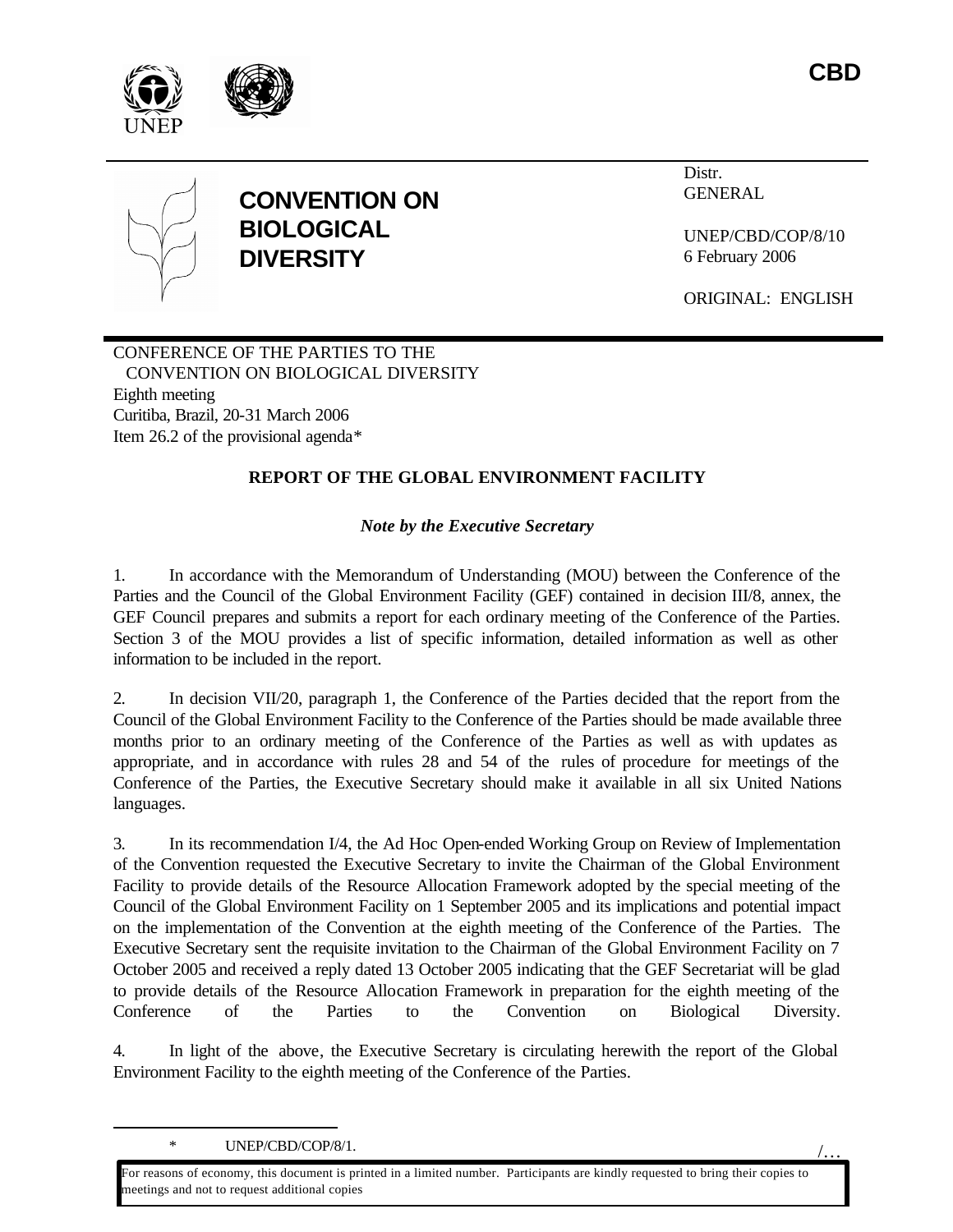

/…





# **CONVENTION ON BIOLOGICAL DIVERSITY**

Distr. GENERAL

UNEP/CBD/COP/8/10 6 February 2006

ORIGINAL: ENGLISH

CONFERENCE OF THE PARTIES TO THE CONVENTION ON BIOLOGICAL DIVERSITY Eighth meeting Curitiba, Brazil, 20-31 March 2006 Item 26.2 of the provisional agenda\*

# **REPORT OF THE GLOBAL ENVIRONMENT FACILITY**

*Note by the Executive Secretary*

1. In accordance with the Memorandum of Understanding (MOU) between the Conference of the Parties and the Council of the Global Environment Facility (GEF) contained in decision III/8, annex, the GEF Council prepares and submits a report for each ordinary meeting of the Conference of the Parties. Section 3 of the MOU provides a list of specific information, detailed information as well as other information to be included in the report.

2. In decision VII/20, paragraph 1, the Conference of the Parties decided that the report from the Council of the Global Environment Facility to the Conference of the Parties should be made available three months prior to an ordinary meeting of the Conference of the Parties as well as with updates as appropriate, and in accordance with rules 28 and 54 of the rules of procedure for meetings of the Conference of the Parties, the Executive Secretary should make it available in all six United Nations languages.

3. In its recommendation I/4, the Ad Hoc Open-ended Working Group on Review of Implementation of the Convention requested the Executive Secretary to invite the Chairman of the Global Environment Facility to provide details of the Resource Allocation Framework adopted by the special meeting of the Council of the Global Environment Facility on 1 September 2005 and its implications and potential impact on the implementation of the Convention at the eighth meeting of the Conference of the Parties. The Executive Secretary sent the requisite invitation to the Chairman of the Global Environment Facility on 7 October 2005 and received a reply dated 13 October 2005 indicating that the GEF Secretariat will be glad to provide details of the Resource Allocation Framework in preparation for the eighth meeting of the Conference of the Parties to the Convention on Biological Diversity.

4. In light of the above, the Executive Secretary is circulating herewith the report of the Global Environment Facility to the eighth meeting of the Conference of the Parties.

\* UNEP/CBD/COP/8/1.

 $\overline{a}$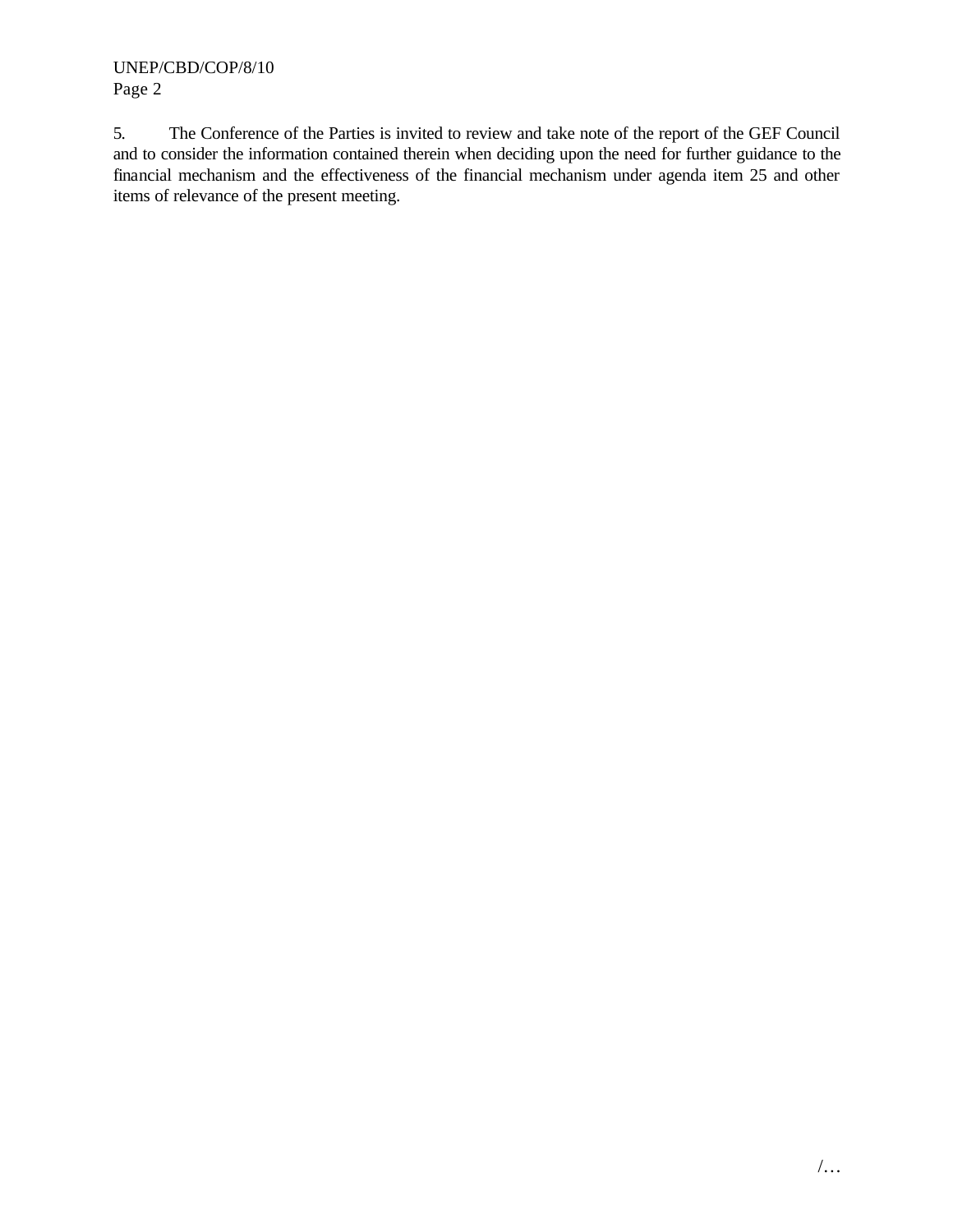5. The Conference of the Parties is invited to review and take note of the report of the GEF Council and to consider the information contained therein when deciding upon the need for further guidance to the financial mechanism and the effectiveness of the financial mechanism under agenda item 25 and other items of relevance of the present meeting.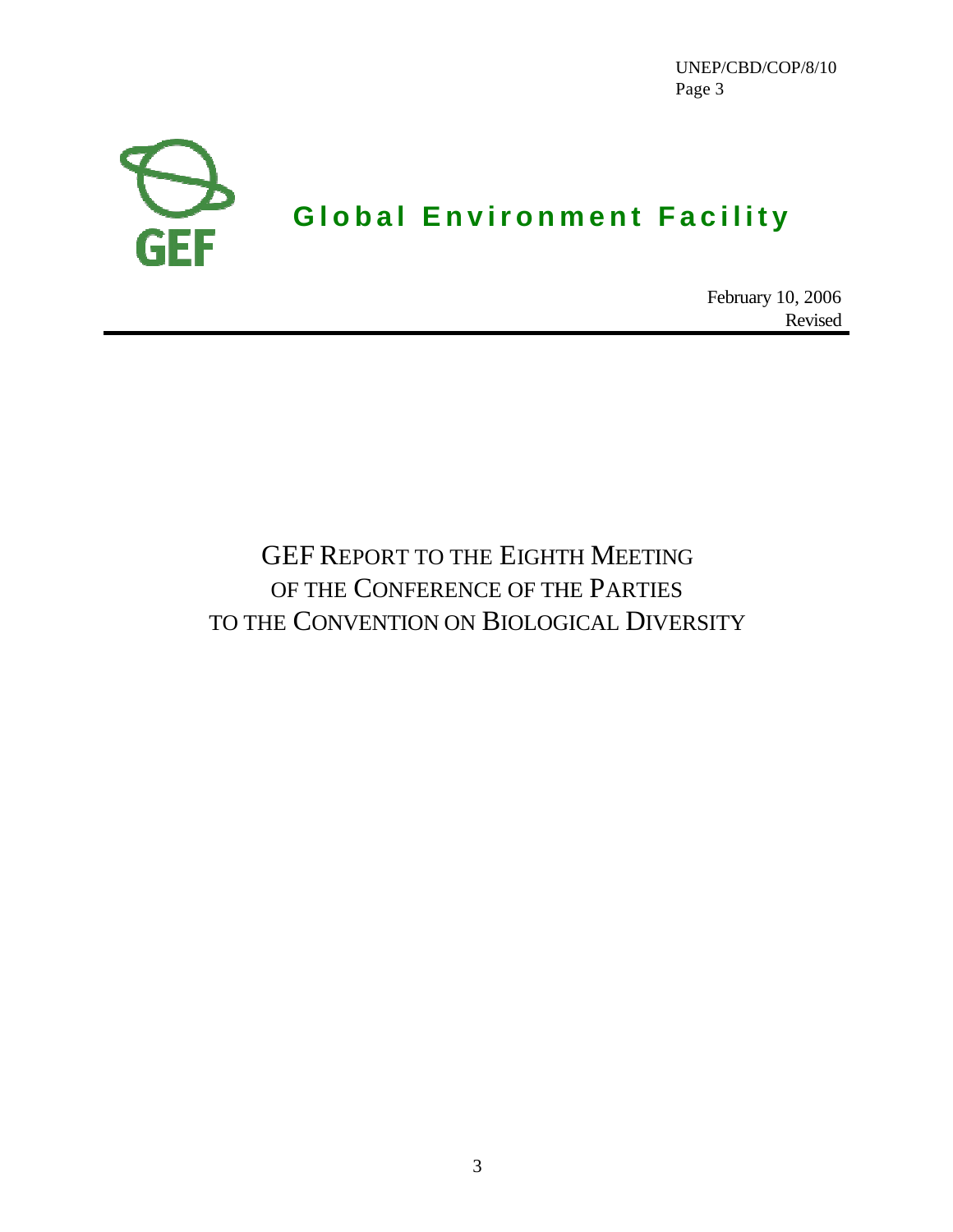

February 10, 2006 Revised

# GEF REPORT TO THE EIGHTH MEETING OF THE CONFERENCE OF THE PARTIES TO THE CONVENTION ON BIOLOGICAL DIVERSITY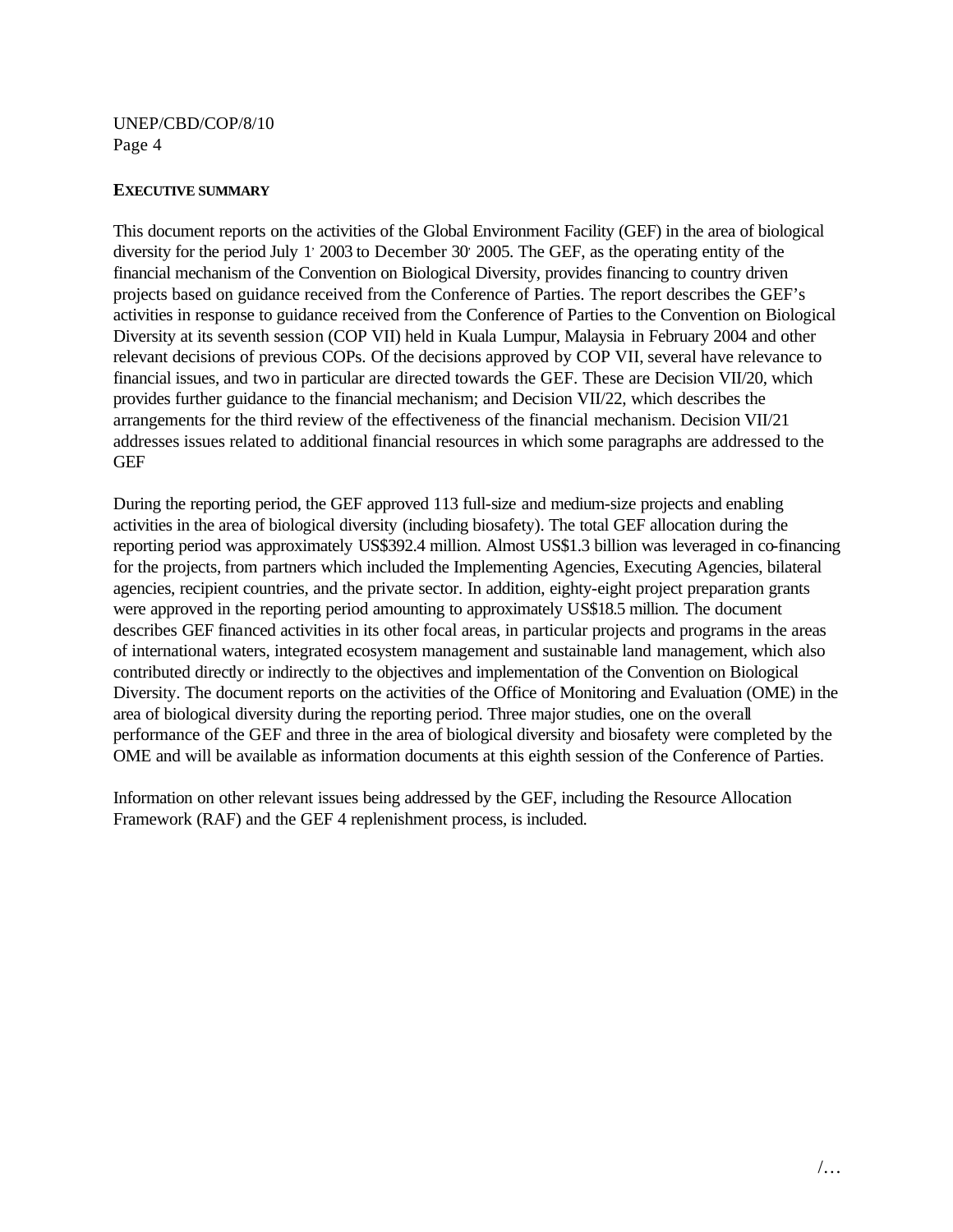#### **EXECUTIVE SUMMARY**

This document reports on the activities of the Global Environment Facility (GEF) in the area of biological diversity for the period July 1' 2003 to December 30' 2005. The GEF, as the operating entity of the financial mechanism of the Convention on Biological Diversity, provides financing to country driven projects based on guidance received from the Conference of Parties. The report describes the GEF's activities in response to guidance received from the Conference of Parties to the Convention on Biological Diversity at its seventh session (COP VII) held in Kuala Lumpur, Malaysia in February 2004 and other relevant decisions of previous COPs. Of the decisions approved by COP VII, several have relevance to financial issues, and two in particular are directed towards the GEF. These are Decision VII/20, which provides further guidance to the financial mechanism; and Decision VII/22, which describes the arrangements for the third review of the effectiveness of the financial mechanism. Decision VII/21 addresses issues related to additional financial resources in which some paragraphs are addressed to the **GEF** 

During the reporting period, the GEF approved 113 full-size and medium-size projects and enabling activities in the area of biological diversity (including biosafety). The total GEF allocation during the reporting period was approximately US\$392.4 million. Almost US\$1.3 billion was leveraged in co-financing for the projects, from partners which included the Implementing Agencies, Executing Agencies, bilateral agencies, recipient countries, and the private sector. In addition, eighty-eight project preparation grants were approved in the reporting period amounting to approximately US\$18.5 million. The document describes GEF financed activities in its other focal areas, in particular projects and programs in the areas of international waters, integrated ecosystem management and sustainable land management, which also contributed directly or indirectly to the objectives and implementation of the Convention on Biological Diversity. The document reports on the activities of the Office of Monitoring and Evaluation (OME) in the area of biological diversity during the reporting period. Three major studies, one on the overall performance of the GEF and three in the area of biological diversity and biosafety were completed by the OME and will be available as information documents at this eighth session of the Conference of Parties.

Information on other relevant issues being addressed by the GEF, including the Resource Allocation Framework (RAF) and the GEF 4 replenishment process, is included.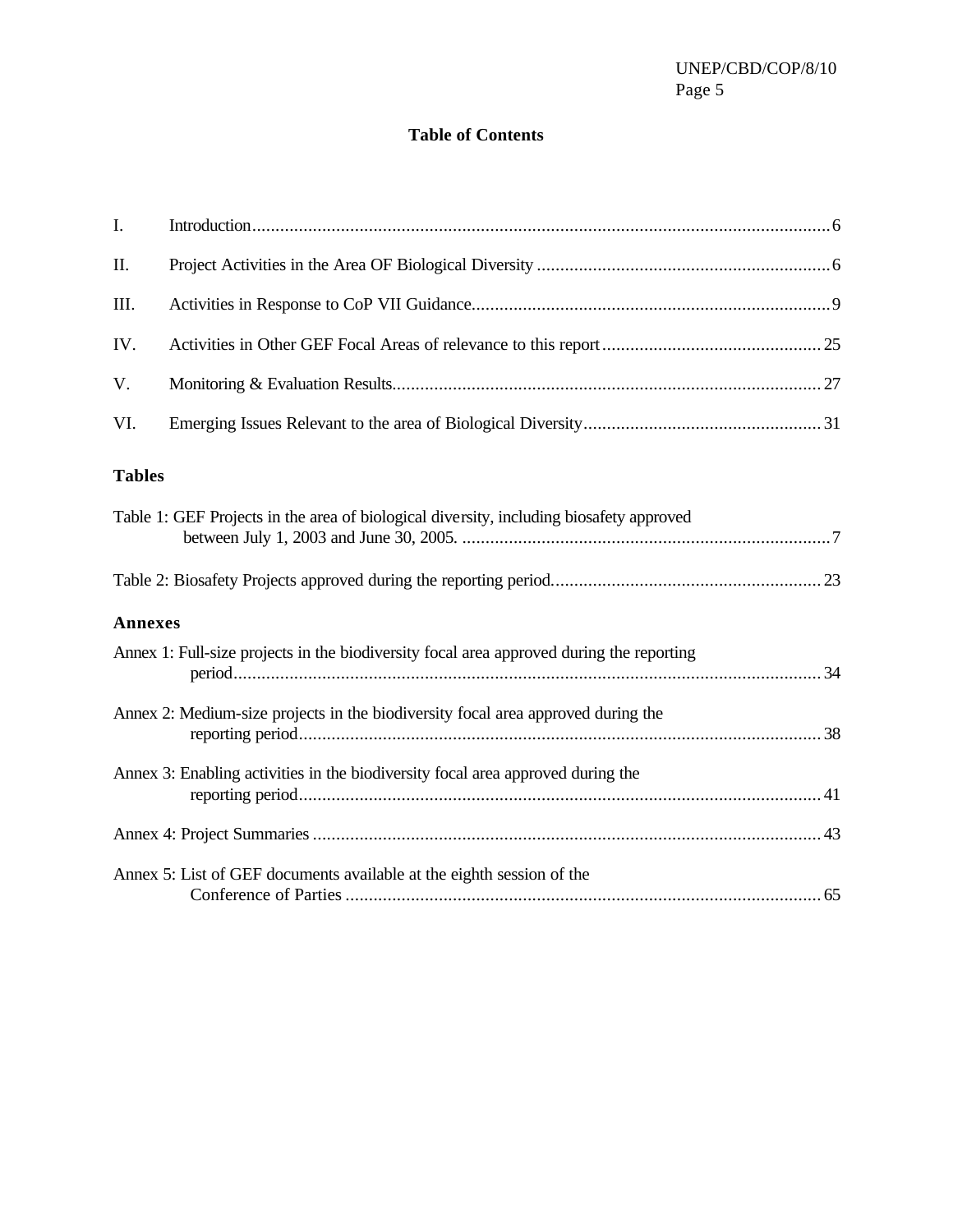# **Table of Contents**

| I.             |                                                                                          |
|----------------|------------------------------------------------------------------------------------------|
| II.            |                                                                                          |
| III.           |                                                                                          |
| IV.            |                                                                                          |
| V.             |                                                                                          |
| VI.            |                                                                                          |
| <b>Tables</b>  |                                                                                          |
|                | Table 1: GEF Projects in the area of biological diversity, including biosafety approved  |
|                |                                                                                          |
| <b>Annexes</b> |                                                                                          |
|                | Annex 1: Full-size projects in the biodiversity focal area approved during the reporting |
|                | Annex 2: Medium-size projects in the biodiversity focal area approved during the         |
|                | Annex 3: Enabling activities in the biodiversity focal area approved during the          |
|                |                                                                                          |
|                | Annex 5: List of GEF documents available at the eighth session of the                    |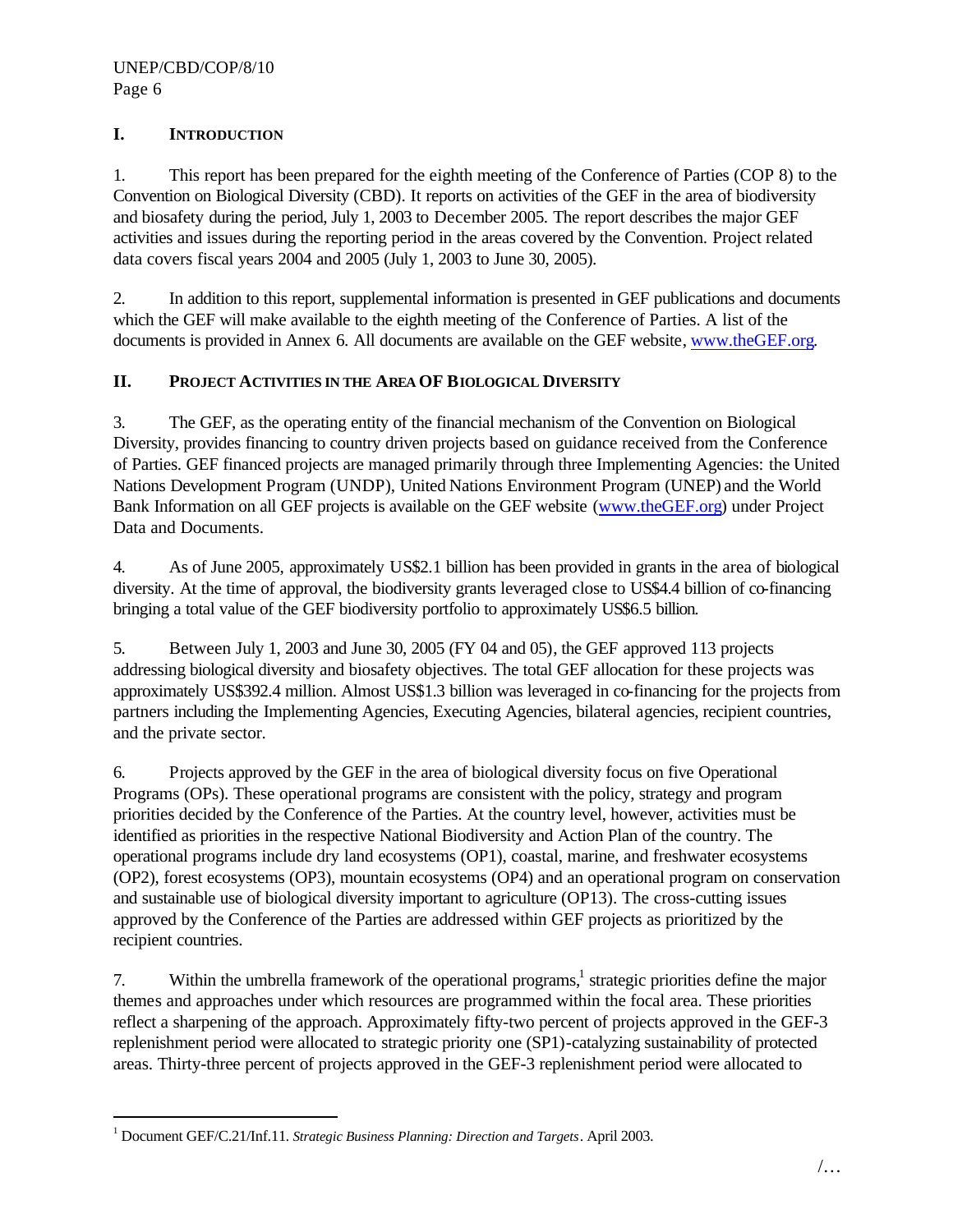## **I. INTRODUCTION**

1. This report has been prepared for the eighth meeting of the Conference of Parties (COP 8) to the Convention on Biological Diversity (CBD). It reports on activities of the GEF in the area of biodiversity and biosafety during the period, July 1, 2003 to December 2005. The report describes the major GEF activities and issues during the reporting period in the areas covered by the Convention. Project related data covers fiscal years 2004 and 2005 (July 1, 2003 to June 30, 2005).

2. In addition to this report, supplemental information is presented in GEF publications and documents which the GEF will make available to the eighth meeting of the Conference of Parties. A list of the documents is provided in Annex 6. All documents are available on the GEF website, www.theGEF.org.

# **II. PROJECT ACTIVITIES IN THE AREA OF BIOLOGICAL DIVERSITY**

3. The GEF, as the operating entity of the financial mechanism of the Convention on Biological Diversity, provides financing to country driven projects based on guidance received from the Conference of Parties. GEF financed projects are managed primarily through three Implementing Agencies: the United Nations Development Program (UNDP), United Nations Environment Program (UNEP) and the World Bank Information on all GEF projects is available on the GEF website (www.theGEF.org) under Project Data and Documents.

4. As of June 2005, approximately US\$2.1 billion has been provided in grants in the area of biological diversity. At the time of approval, the biodiversity grants leveraged close to US\$4.4 billion of co-financing bringing a total value of the GEF biodiversity portfolio to approximately US\$6.5 billion.

5. Between July 1, 2003 and June 30, 2005 (FY 04 and 05), the GEF approved 113 projects addressing biological diversity and biosafety objectives. The total GEF allocation for these projects was approximately US\$392.4 million. Almost US\$1.3 billion was leveraged in co-financing for the projects from partners including the Implementing Agencies, Executing Agencies, bilateral agencies, recipient countries, and the private sector.

6. Projects approved by the GEF in the area of biological diversity focus on five Operational Programs (OPs). These operational programs are consistent with the policy, strategy and program priorities decided by the Conference of the Parties. At the country level, however, activities must be identified as priorities in the respective National Biodiversity and Action Plan of the country. The operational programs include dry land ecosystems (OP1), coastal, marine, and freshwater ecosystems (OP2), forest ecosystems (OP3), mountain ecosystems (OP4) and an operational program on conservation and sustainable use of biological diversity important to agriculture (OP13). The cross-cutting issues approved by the Conference of the Parties are addressed within GEF projects as prioritized by the recipient countries.

7. Within the umbrella framework of the operational programs,<sup>1</sup> strategic priorities define the major themes and approaches under which resources are programmed within the focal area. These priorities reflect a sharpening of the approach. Approximately fifty-two percent of projects approved in the GEF-3 replenishment period were allocated to strategic priority one (SP1)-catalyzing sustainability of protected areas. Thirty-three percent of projects approved in the GEF-3 replenishment period were allocated to

 $\overline{a}$ 

<sup>1</sup> Document GEF/C.21/Inf.11*. Strategic Business Planning: Direction and Targets*. April 2003.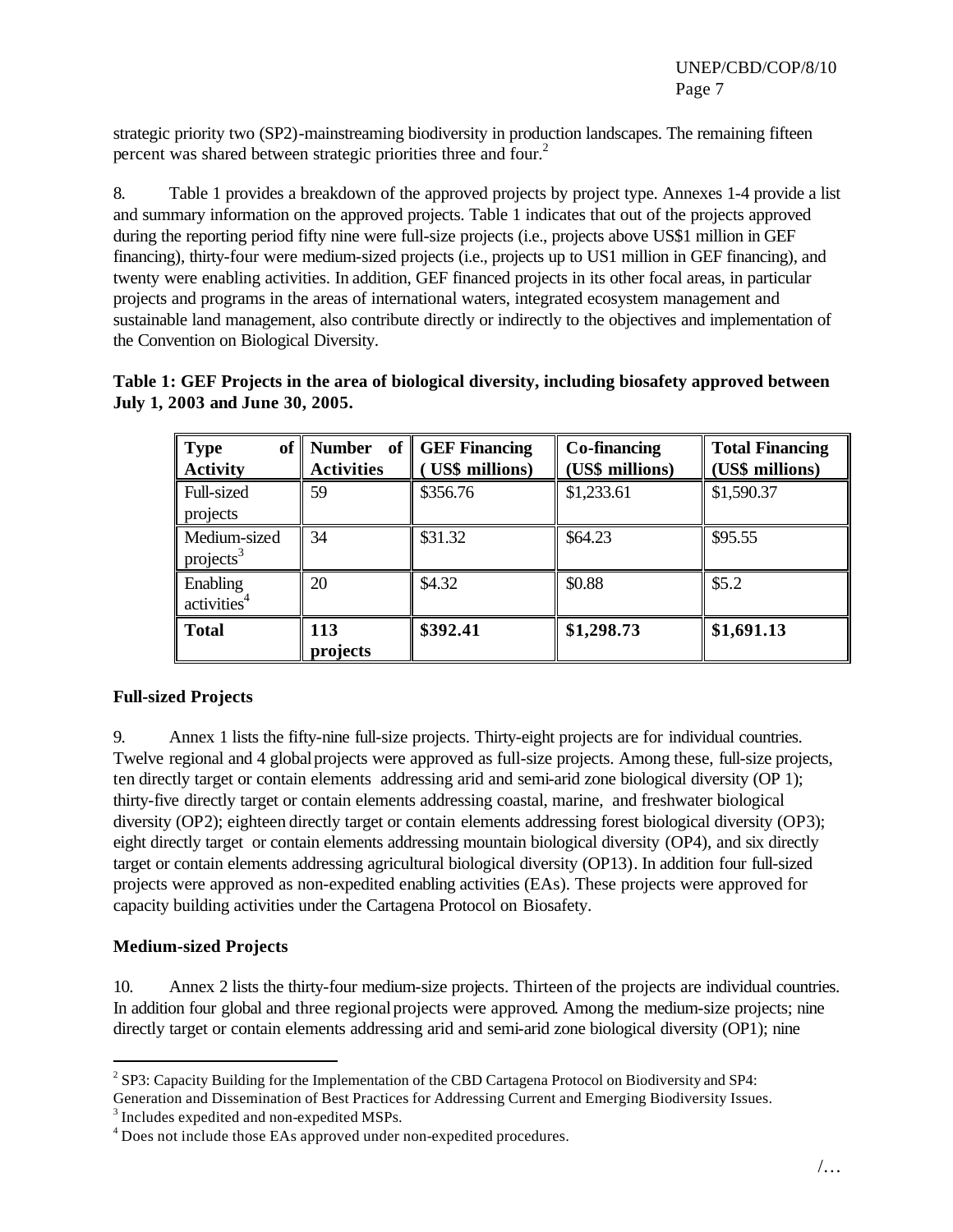strategic priority two (SP2)-mainstreaming biodiversity in production landscapes. The remaining fifteen percent was shared between strategic priorities three and four.<sup>2</sup>

8. Table 1 provides a breakdown of the approved projects by project type. Annexes 1-4 provide a list and summary information on the approved projects. Table 1 indicates that out of the projects approved during the reporting period fifty nine were full-size projects (i.e., projects above US\$1 million in GEF financing), thirty-four were medium-sized projects (i.e., projects up to US1 million in GEF financing), and twenty were enabling activities. In addition, GEF financed projects in its other focal areas, in particular projects and programs in the areas of international waters, integrated ecosystem management and sustainable land management, also contribute directly or indirectly to the objectives and implementation of the Convention on Biological Diversity.

| Table 1: GEF Projects in the area of biological diversity, including biosafety approved between |  |  |  |
|-------------------------------------------------------------------------------------------------|--|--|--|
| July 1, 2003 and June 30, 2005.                                                                 |  |  |  |

| $\parallel$ Type<br><b>Activity</b>   | - of<br>of   Number<br><b>Activities</b> | GEF Financing<br><b>US\$</b> millions) | Co-financing<br>(US\$ millions) | <b>Total Financing</b><br>(US\$ millions) |
|---------------------------------------|------------------------------------------|----------------------------------------|---------------------------------|-------------------------------------------|
| Full-sized<br>projects                | 59                                       | \$356.76                               | \$1,233.61                      | \$1,590.37                                |
| Medium-sized<br>projects <sup>3</sup> | 34                                       | \$31.32                                | \$64.23                         | \$95.55                                   |
| Enabling<br>activities <sup>4</sup>   | 20                                       | \$4.32                                 | \$0.88                          | \$5.2\$                                   |
| <b>Total</b>                          | 113<br>projects                          | \$392.41                               | \$1,298.73                      | \$1,691.13                                |

## **Full-sized Projects**

9. Annex 1 lists the fifty-nine full-size projects. Thirty-eight projects are for individual countries. Twelve regional and 4 global projects were approved as full-size projects. Among these, full-size projects, ten directly target or contain elements addressing arid and semi-arid zone biological diversity (OP 1); thirty-five directly target or contain elements addressing coastal, marine, and freshwater biological diversity (OP2); eighteen directly target or contain elements addressing forest biological diversity (OP3); eight directly target or contain elements addressing mountain biological diversity (OP4), and six directly target or contain elements addressing agricultural biological diversity (OP13). In addition four full-sized projects were approved as non-expedited enabling activities (EAs). These projects were approved for capacity building activities under the Cartagena Protocol on Biosafety.

#### **Medium-sized Projects**

 $\overline{a}$ 

10. Annex 2 lists the thirty-four medium-size projects. Thirteen of the projects are individual countries. In addition four global and three regional projects were approved. Among the medium-size projects; nine directly target or contain elements addressing arid and semi-arid zone biological diversity (OP1); nine

<sup>&</sup>lt;sup>2</sup> SP3: Capacity Building for the Implementation of the CBD Cartagena Protocol on Biodiversity and SP4:

Generation and Dissemination of Best Practices for Addressing Current and Emerging Biodiversity Issues.

<sup>&</sup>lt;sup>3</sup> Includes expedited and non-expedited MSPs.

<sup>&</sup>lt;sup>4</sup> Does not include those EAs approved under non-expedited procedures.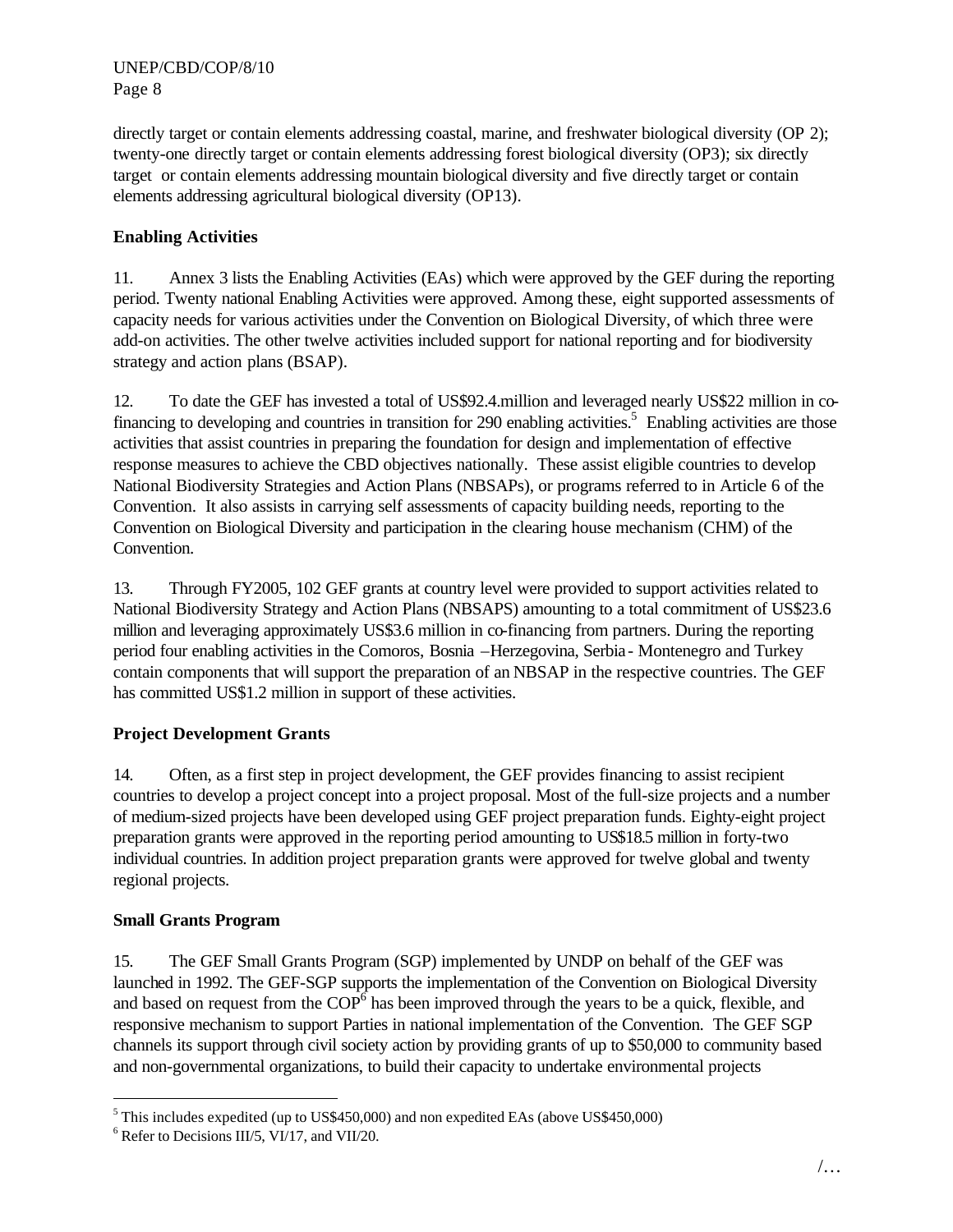directly target or contain elements addressing coastal, marine, and freshwater biological diversity (OP 2); twenty-one directly target or contain elements addressing forest biological diversity (OP3); six directly target or contain elements addressing mountain biological diversity and five directly target or contain elements addressing agricultural biological diversity (OP13).

# **Enabling Activities**

11. Annex 3 lists the Enabling Activities (EAs) which were approved by the GEF during the reporting period. Twenty national Enabling Activities were approved. Among these, eight supported assessments of capacity needs for various activities under the Convention on Biological Diversity, of which three were add-on activities. The other twelve activities included support for national reporting and for biodiversity strategy and action plans (BSAP).

12. To date the GEF has invested a total of US\$92.4.million and leveraged nearly US\$22 million in cofinancing to developing and countries in transition for 290 enabling activities.<sup>5</sup> Enabling activities are those activities that assist countries in preparing the foundation for design and implementation of effective response measures to achieve the CBD objectives nationally. These assist eligible countries to develop National Biodiversity Strategies and Action Plans (NBSAPs), or programs referred to in Article 6 of the Convention. It also assists in carrying self assessments of capacity building needs, reporting to the Convention on Biological Diversity and participation in the clearing house mechanism (CHM) of the Convention.

13. Through FY2005, 102 GEF grants at country level were provided to support activities related to National Biodiversity Strategy and Action Plans (NBSAPS) amounting to a total commitment of US\$23.6 million and leveraging approximately US\$3.6 million in co-financing from partners. During the reporting period four enabling activities in the Comoros, Bosnia –Herzegovina, Serbia- Montenegro and Turkey contain components that will support the preparation of an NBSAP in the respective countries. The GEF has committed US\$1.2 million in support of these activities.

# **Project Development Grants**

14. Often, as a first step in project development, the GEF provides financing to assist recipient countries to develop a project concept into a project proposal. Most of the full-size projects and a number of medium-sized projects have been developed using GEF project preparation funds. Eighty-eight project preparation grants were approved in the reporting period amounting to US\$18.5 million in forty-two individual countries. In addition project preparation grants were approved for twelve global and twenty regional projects.

# **Small Grants Program**

 $\overline{a}$ 

15. The GEF Small Grants Program (SGP) implemented by UNDP on behalf of the GEF was launched in 1992. The GEF-SGP supports the implementation of the Convention on Biological Diversity and based on request from the  $COP^6$  has been improved through the years to be a quick, flexible, and responsive mechanism to support Parties in national implementation of the Convention. The GEF SGP channels its support through civil society action by providing grants of up to \$50,000 to community based and non-governmental organizations, to build their capacity to undertake environmental projects

 $<sup>5</sup>$  This includes expedited (up to US\$450,000) and non expedited EAs (above US\$450,000)</sup>

<sup>6</sup> Refer to Decisions III/5, VI/17, and VII/20.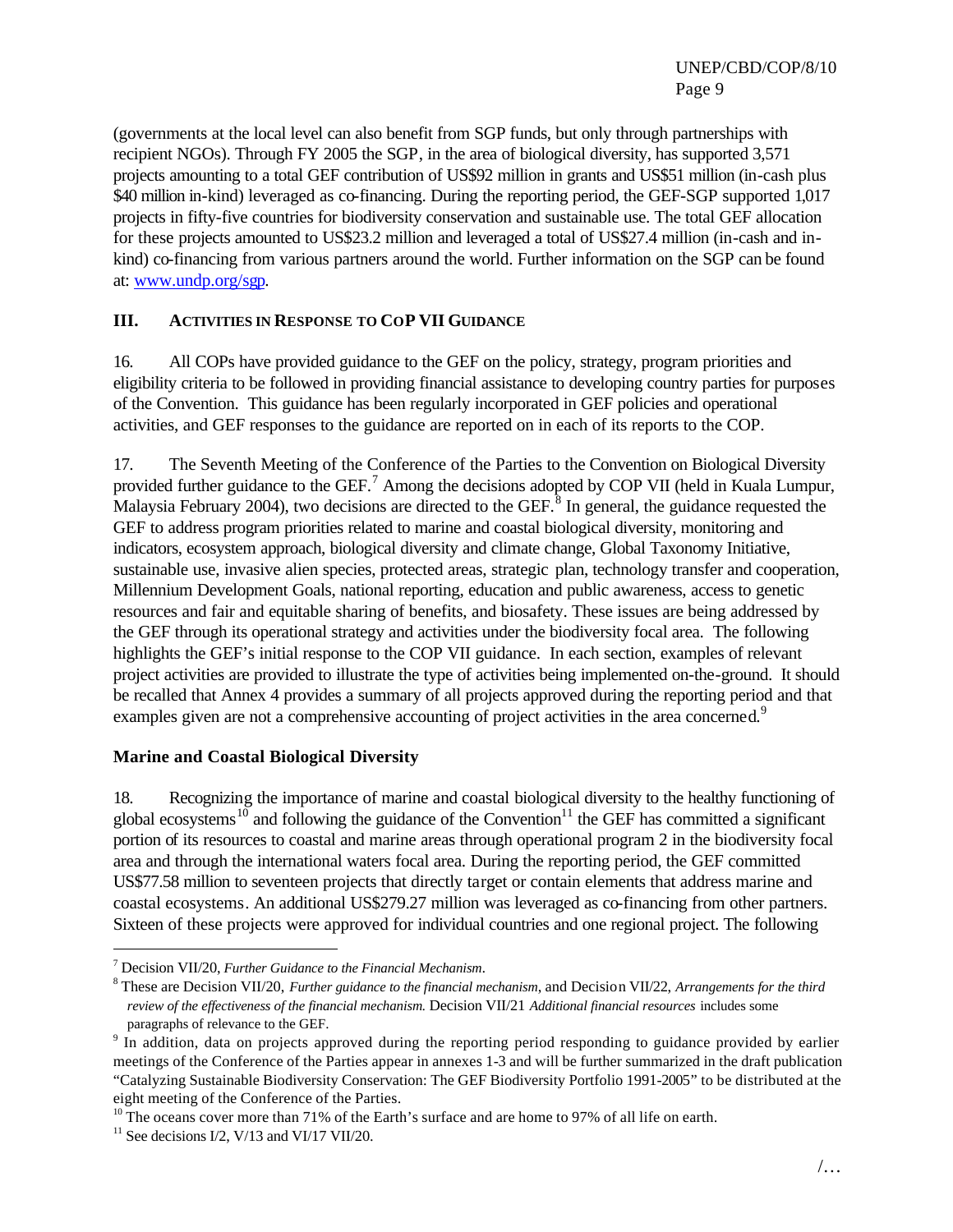(governments at the local level can also benefit from SGP funds, but only through partnerships with recipient NGOs). Through FY 2005 the SGP, in the area of biological diversity, has supported 3,571 projects amounting to a total GEF contribution of US\$92 million in grants and US\$51 million (in-cash plus \$40 million in-kind) leveraged as co-financing. During the reporting period, the GEF-SGP supported 1,017 projects in fifty-five countries for biodiversity conservation and sustainable use. The total GEF allocation for these projects amounted to US\$23.2 million and leveraged a total of US\$27.4 million (in-cash and inkind) co-financing from various partners around the world. Further information on the SGP can be found at: www.undp.org/sgp.

## **III. ACTIVITIES IN RESPONSE TO COP VII GUIDANCE**

16. All COPs have provided guidance to the GEF on the policy, strategy, program priorities and eligibility criteria to be followed in providing financial assistance to developing country parties for purposes of the Convention. This guidance has been regularly incorporated in GEF policies and operational activities, and GEF responses to the guidance are reported on in each of its reports to the COP.

17. The Seventh Meeting of the Conference of the Parties to the Convention on Biological Diversity provided further guidance to the GEF.<sup>7</sup> Among the decisions adopted by COP VII (held in Kuala Lumpur, Malaysia February 2004), two decisions are directed to the GEF.<sup>8</sup> In general, the guidance requested the GEF to address program priorities related to marine and coastal biological diversity, monitoring and indicators, ecosystem approach, biological diversity and climate change, Global Taxonomy Initiative, sustainable use, invasive alien species, protected areas, strategic plan, technology transfer and cooperation, Millennium Development Goals, national reporting, education and public awareness, access to genetic resources and fair and equitable sharing of benefits, and biosafety. These issues are being addressed by the GEF through its operational strategy and activities under the biodiversity focal area. The following highlights the GEF's initial response to the COP VII guidance. In each section, examples of relevant project activities are provided to illustrate the type of activities being implemented on-the-ground. It should be recalled that Annex 4 provides a summary of all projects approved during the reporting period and that examples given are not a comprehensive accounting of project activities in the area concerned.<sup>9</sup>

## **Marine and Coastal Biological Diversity**

18. Recognizing the importance of marine and coastal biological diversity to the healthy functioning of global ecosystems<sup>10</sup> and following the guidance of the Convention<sup>11</sup> the GEF has committed a significant portion of its resources to coastal and marine areas through operational program 2 in the biodiversity focal area and through the international waters focal area. During the reporting period, the GEF committed US\$77.58 million to seventeen projects that directly target or contain elements that address marine and coastal ecosystems. An additional US\$279.27 million was leveraged as co-financing from other partners. Sixteen of these projects were approved for individual countries and one regional project. The following

 $\overline{a}$ 

<sup>7</sup> Decision VII/20, *Further Guidance to the Financial Mechanism*.

<sup>8</sup> These are Decision VII/20, *Further guidance to the financial mechanism*, and Decision VII/22, *Arrangements for the third review of the effectiveness of the financial mechanism.* Decision VII/21 *Additional financial resources* includes some paragraphs of relevance to the GEF.

<sup>&</sup>lt;sup>9</sup> In addition, data on projects approved during the reporting period responding to guidance provided by earlier meetings of the Conference of the Parties appear in annexes 1-3 and will be further summarized in the draft publication "Catalyzing Sustainable Biodiversity Conservation: The GEF Biodiversity Portfolio 1991-2005" to be distributed at the eight meeting of the Conference of the Parties.

<sup>&</sup>lt;sup>10</sup> The oceans cover more than 71% of the Earth's surface and are home to 97% of all life on earth.

 $11$  See decisions I/2, V/13 and VI/17 VII/20.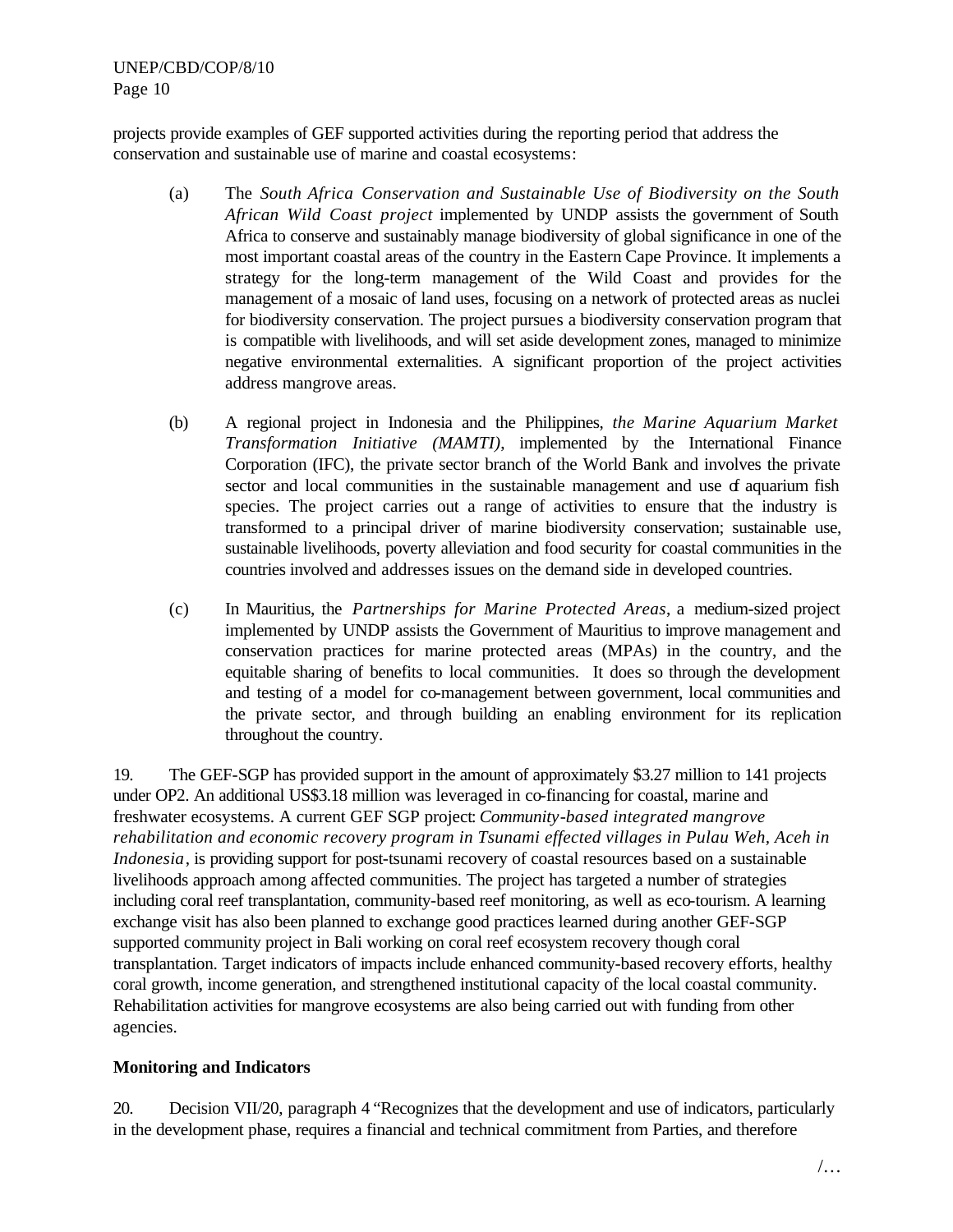projects provide examples of GEF supported activities during the reporting period that address the conservation and sustainable use of marine and coastal ecosystems:

- (a) The *South Africa Conservation and Sustainable Use of Biodiversity on the South African Wild Coast project* implemented by UNDP assists the government of South Africa to conserve and sustainably manage biodiversity of global significance in one of the most important coastal areas of the country in the Eastern Cape Province. It implements a strategy for the long-term management of the Wild Coast and provides for the management of a mosaic of land uses, focusing on a network of protected areas as nuclei for biodiversity conservation. The project pursues a biodiversity conservation program that is compatible with livelihoods, and will set aside development zones, managed to minimize negative environmental externalities. A significant proportion of the project activities address mangrove areas.
- (b) A regional project in Indonesia and the Philippines, *the Marine Aquarium Market Transformation Initiative (MAMTI)*, implemented by the International Finance Corporation (IFC), the private sector branch of the World Bank and involves the private sector and local communities in the sustainable management and use  $d$  aquarium fish species. The project carries out a range of activities to ensure that the industry is transformed to a principal driver of marine biodiversity conservation; sustainable use, sustainable livelihoods, poverty alleviation and food security for coastal communities in the countries involved and addresses issues on the demand side in developed countries.
- (c) In Mauritius, the *Partnerships for Marine Protected Areas*, a medium-sized project implemented by UNDP assists the Government of Mauritius to improve management and conservation practices for marine protected areas (MPAs) in the country, and the equitable sharing of benefits to local communities. It does so through the development and testing of a model for co-management between government, local communities and the private sector, and through building an enabling environment for its replication throughout the country.

19. The GEF-SGP has provided support in the amount of approximately \$3.27 million to 141 projects under OP2. An additional US\$3.18 million was leveraged in co-financing for coastal, marine and freshwater ecosystems. A current GEF SGP project: *Community-based integrated mangrove rehabilitation and economic recovery program in Tsunami effected villages in Pulau Weh, Aceh in Indonesia*, is providing support for post-tsunami recovery of coastal resources based on a sustainable livelihoods approach among affected communities. The project has targeted a number of strategies including coral reef transplantation, community-based reef monitoring, as well as eco-tourism. A learning exchange visit has also been planned to exchange good practices learned during another GEF-SGP supported community project in Bali working on coral reef ecosystem recovery though coral transplantation. Target indicators of impacts include enhanced community-based recovery efforts, healthy coral growth, income generation, and strengthened institutional capacity of the local coastal community. Rehabilitation activities for mangrove ecosystems are also being carried out with funding from other agencies.

## **Monitoring and Indicators**

20. Decision VII/20, paragraph 4 "Recognizes that the development and use of indicators, particularly in the development phase, requires a financial and technical commitment from Parties, and therefore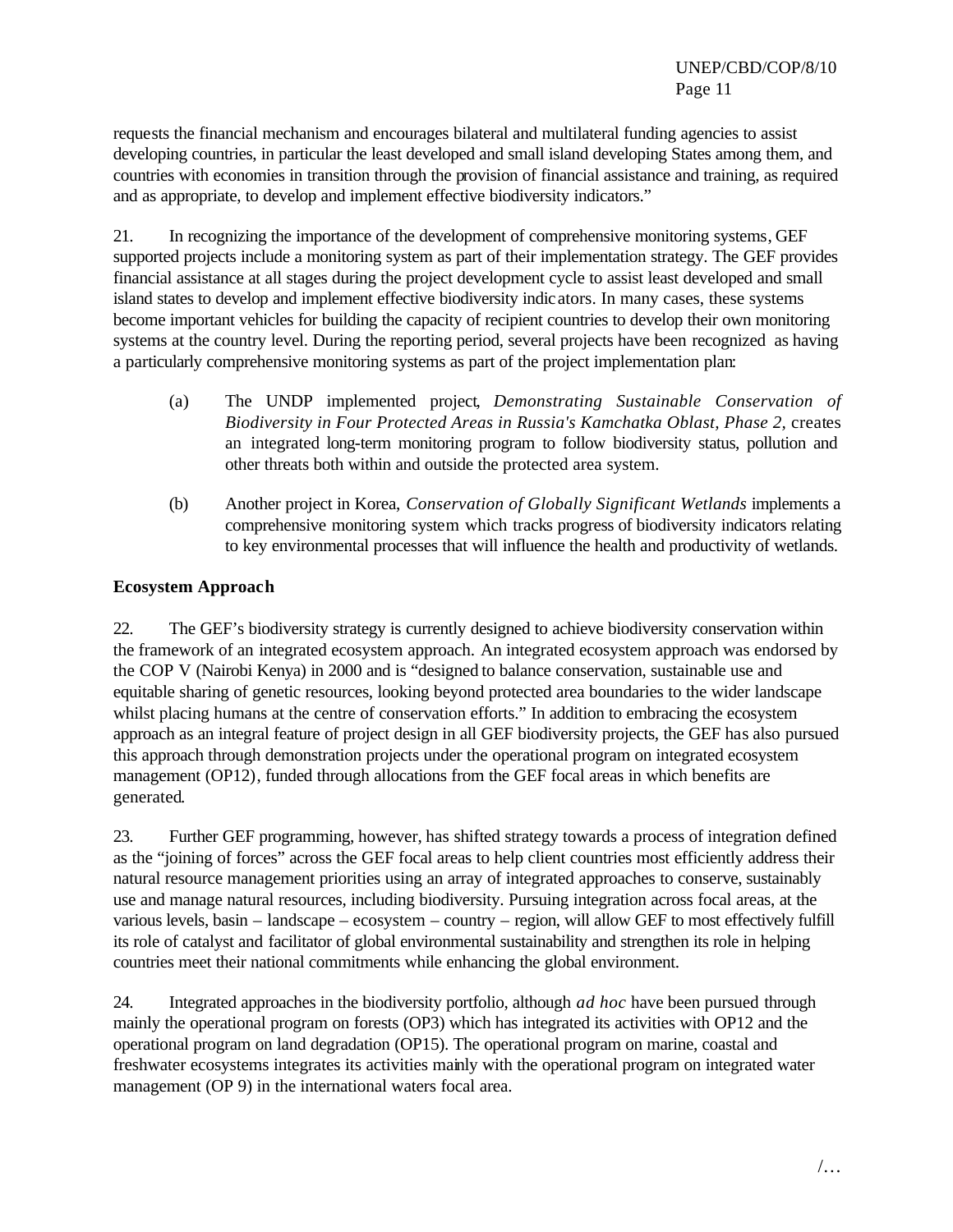requests the financial mechanism and encourages bilateral and multilateral funding agencies to assist developing countries, in particular the least developed and small island developing States among them, and countries with economies in transition through the provision of financial assistance and training, as required and as appropriate, to develop and implement effective biodiversity indicators."

21. In recognizing the importance of the development of comprehensive monitoring systems, GEF supported projects include a monitoring system as part of their implementation strategy. The GEF provides financial assistance at all stages during the project development cycle to assist least developed and small island states to develop and implement effective biodiversity indicators. In many cases, these systems become important vehicles for building the capacity of recipient countries to develop their own monitoring systems at the country level. During the reporting period, several projects have been recognized as having a particularly comprehensive monitoring systems as part of the project implementation plan:

- (a) The UNDP implemented project, *Demonstrating Sustainable Conservation of Biodiversity in Four Protected Areas in Russia's Kamchatka Oblast, Phase 2,* creates an integrated long-term monitoring program to follow biodiversity status, pollution and other threats both within and outside the protected area system.
- (b) Another project in Korea, *Conservation of Globally Significant Wetlands* implements a comprehensive monitoring system which tracks progress of biodiversity indicators relating to key environmental processes that will influence the health and productivity of wetlands.

## **Ecosystem Approach**

22. The GEF's biodiversity strategy is currently designed to achieve biodiversity conservation within the framework of an integrated ecosystem approach. An integrated ecosystem approach was endorsed by the COP V (Nairobi Kenya) in 2000 and is "designed to balance conservation, sustainable use and equitable sharing of genetic resources, looking beyond protected area boundaries to the wider landscape whilst placing humans at the centre of conservation efforts." In addition to embracing the ecosystem approach as an integral feature of project design in all GEF biodiversity projects, the GEF has also pursued this approach through demonstration projects under the operational program on integrated ecosystem management (OP12), funded through allocations from the GEF focal areas in which benefits are generated.

23. Further GEF programming, however, has shifted strategy towards a process of integration defined as the "joining of forces" across the GEF focal areas to help client countries most efficiently address their natural resource management priorities using an array of integrated approaches to conserve, sustainably use and manage natural resources, including biodiversity. Pursuing integration across focal areas, at the various levels, basin – landscape – ecosystem – country – region, will allow GEF to most effectively fulfill its role of catalyst and facilitator of global environmental sustainability and strengthen its role in helping countries meet their national commitments while enhancing the global environment.

24. Integrated approaches in the biodiversity portfolio, although *ad hoc* have been pursued through mainly the operational program on forests (OP3) which has integrated its activities with OP12 and the operational program on land degradation (OP15). The operational program on marine, coastal and freshwater ecosystems integrates its activities mainly with the operational program on integrated water management (OP 9) in the international waters focal area.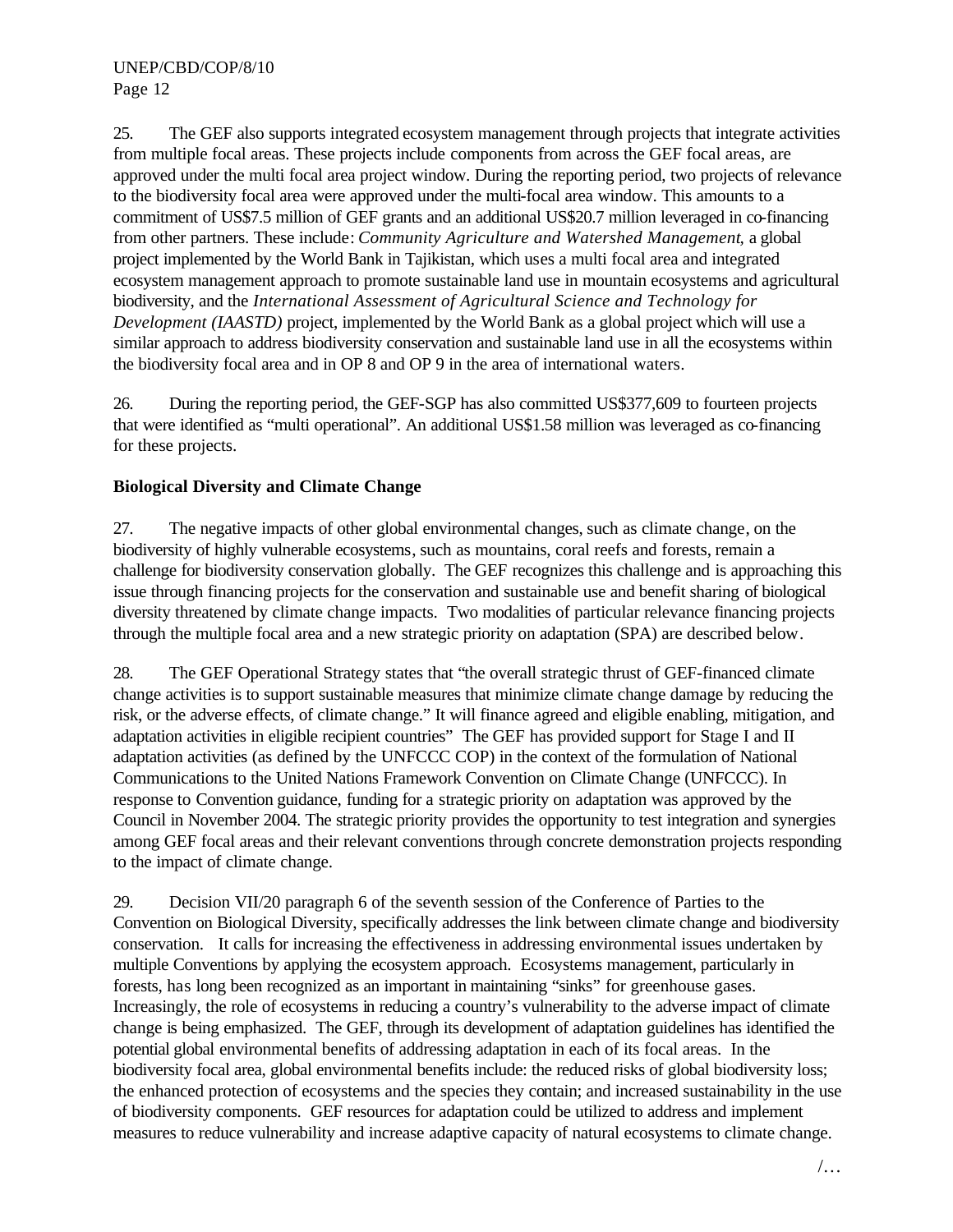25. The GEF also supports integrated ecosystem management through projects that integrate activities from multiple focal areas. These projects include components from across the GEF focal areas, are approved under the multi focal area project window. During the reporting period, two projects of relevance to the biodiversity focal area were approved under the multi-focal area window. This amounts to a commitment of US\$7.5 million of GEF grants and an additional US\$20.7 million leveraged in co-financing from other partners. These include: *Community Agriculture and Watershed Management,* a global project implemented by the World Bank in Tajikistan, which uses a multi focal area and integrated ecosystem management approach to promote sustainable land use in mountain ecosystems and agricultural biodiversity, and the *International Assessment of Agricultural Science and Technology for Development (IAASTD)* project, implemented by the World Bank as a global project which will use a similar approach to address biodiversity conservation and sustainable land use in all the ecosystems within the biodiversity focal area and in OP 8 and OP 9 in the area of international waters.

26. During the reporting period, the GEF-SGP has also committed US\$377,609 to fourteen projects that were identified as "multi operational". An additional US\$1.58 million was leveraged as co-financing for these projects.

# **Biological Diversity and Climate Change**

27. The negative impacts of other global environmental changes, such as climate change, on the biodiversity of highly vulnerable ecosystems, such as mountains, coral reefs and forests, remain a challenge for biodiversity conservation globally. The GEF recognizes this challenge and is approaching this issue through financing projects for the conservation and sustainable use and benefit sharing of biological diversity threatened by climate change impacts. Two modalities of particular relevance financing projects through the multiple focal area and a new strategic priority on adaptation (SPA) are described below.

28. The GEF Operational Strategy states that "the overall strategic thrust of GEF-financed climate change activities is to support sustainable measures that minimize climate change damage by reducing the risk, or the adverse effects, of climate change." It will finance agreed and eligible enabling, mitigation, and adaptation activities in eligible recipient countries" The GEF has provided support for Stage I and II adaptation activities (as defined by the UNFCCC COP) in the context of the formulation of National Communications to the United Nations Framework Convention on Climate Change (UNFCCC). In response to Convention guidance, funding for a strategic priority on adaptation was approved by the Council in November 2004. The strategic priority provides the opportunity to test integration and synergies among GEF focal areas and their relevant conventions through concrete demonstration projects responding to the impact of climate change.

29. Decision VII/20 paragraph 6 of the seventh session of the Conference of Parties to the Convention on Biological Diversity, specifically addresses the link between climate change and biodiversity conservation. It calls for increasing the effectiveness in addressing environmental issues undertaken by multiple Conventions by applying the ecosystem approach. Ecosystems management, particularly in forests, has long been recognized as an important in maintaining "sinks" for greenhouse gases. Increasingly, the role of ecosystems in reducing a country's vulnerability to the adverse impact of climate change is being emphasized. The GEF, through its development of adaptation guidelines has identified the potential global environmental benefits of addressing adaptation in each of its focal areas. In the biodiversity focal area, global environmental benefits include: the reduced risks of global biodiversity loss; the enhanced protection of ecosystems and the species they contain; and increased sustainability in the use of biodiversity components. GEF resources for adaptation could be utilized to address and implement measures to reduce vulnerability and increase adaptive capacity of natural ecosystems to climate change.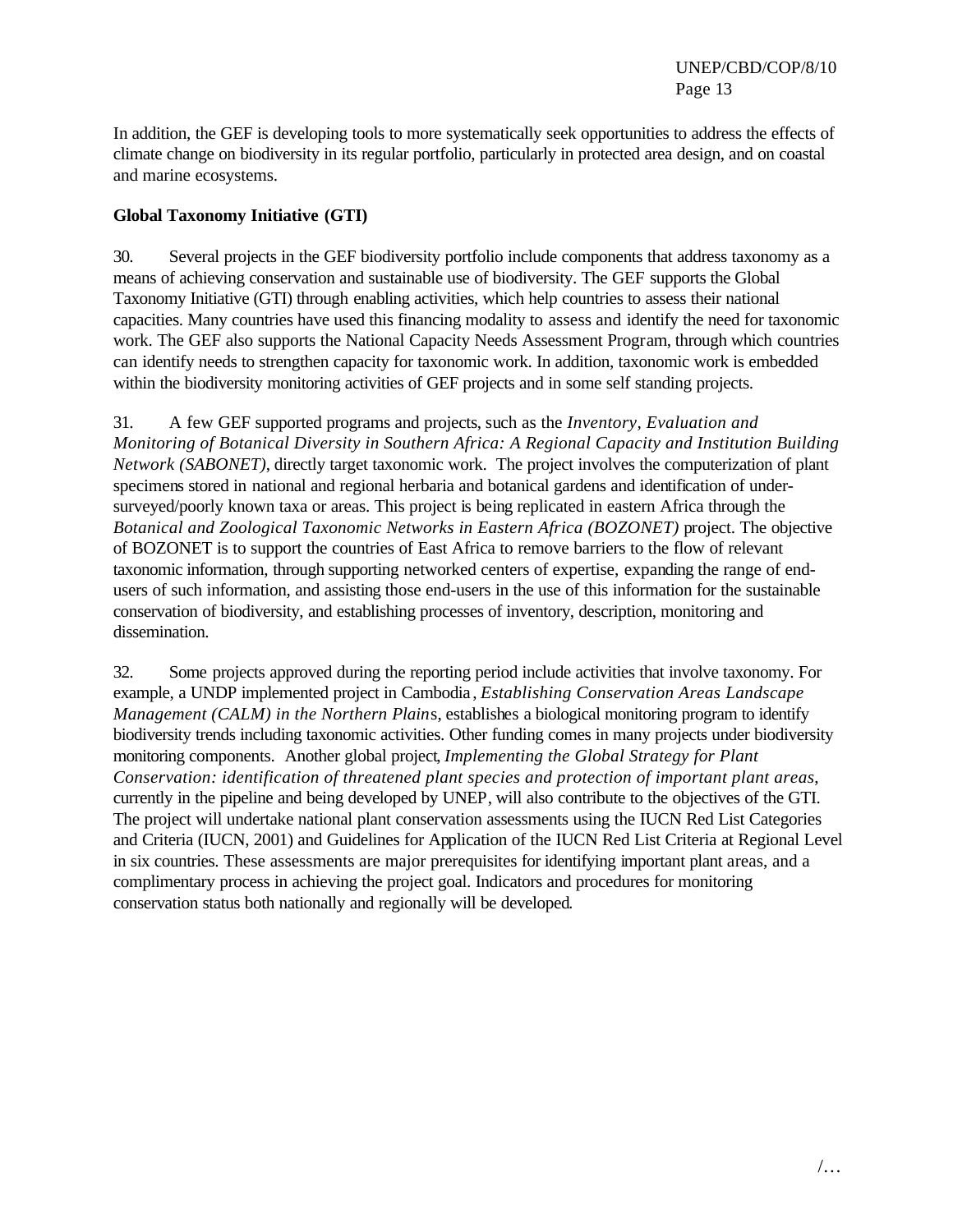In addition, the GEF is developing tools to more systematically seek opportunities to address the effects of climate change on biodiversity in its regular portfolio, particularly in protected area design, and on coastal and marine ecosystems.

#### **Global Taxonomy Initiative (GTI)**

30. Several projects in the GEF biodiversity portfolio include components that address taxonomy as a means of achieving conservation and sustainable use of biodiversity. The GEF supports the Global Taxonomy Initiative (GTI) through enabling activities, which help countries to assess their national capacities. Many countries have used this financing modality to assess and identify the need for taxonomic work. The GEF also supports the National Capacity Needs Assessment Program, through which countries can identify needs to strengthen capacity for taxonomic work. In addition, taxonomic work is embedded within the biodiversity monitoring activities of GEF projects and in some self standing projects.

31. A few GEF supported programs and projects, such as the *Inventory, Evaluation and Monitoring of Botanical Diversity in Southern Africa: A Regional Capacity and Institution Building Network (SABONET)*, directly target taxonomic work. The project involves the computerization of plant specimens stored in national and regional herbaria and botanical gardens and identification of undersurveyed/poorly known taxa or areas. This project is being replicated in eastern Africa through the *Botanical and Zoological Taxonomic Networks in Eastern Africa (BOZONET)* project. The objective of BOZONET is to support the countries of East Africa to remove barriers to the flow of relevant taxonomic information, through supporting networked centers of expertise, expanding the range of endusers of such information, and assisting those end-users in the use of this information for the sustainable conservation of biodiversity, and establishing processes of inventory, description, monitoring and dissemination.

32. Some projects approved during the reporting period include activities that involve taxonomy. For example, a UNDP implemented project in Cambodia , *Establishing Conservation Areas Landscape Management (CALM) in the Northern Plain*s, establishes a biological monitoring program to identify biodiversity trends including taxonomic activities. Other funding comes in many projects under biodiversity monitoring components. Another global project, *Implementing the Global Strategy for Plant Conservation: identification of threatened plant species and protection of important plant areas*, currently in the pipeline and being developed by UNEP, will also contribute to the objectives of the GTI. The project will undertake national plant conservation assessments using the IUCN Red List Categories and Criteria (IUCN, 2001) and Guidelines for Application of the IUCN Red List Criteria at Regional Level in six countries. These assessments are major prerequisites for identifying important plant areas, and a complimentary process in achieving the project goal. Indicators and procedures for monitoring conservation status both nationally and regionally will be developed.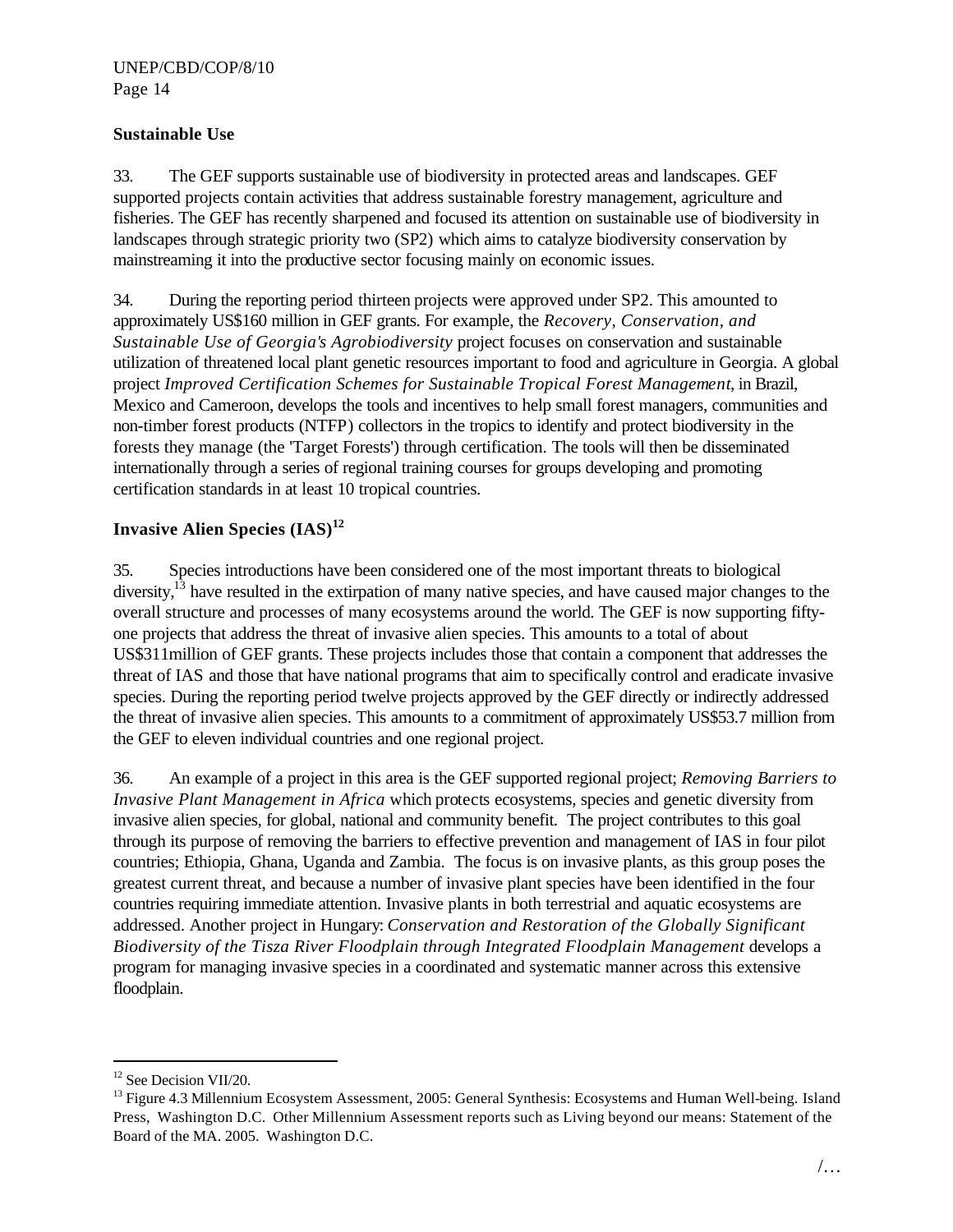#### **Sustainable Use**

33. The GEF supports sustainable use of biodiversity in protected areas and landscapes. GEF supported projects contain activities that address sustainable forestry management, agriculture and fisheries. The GEF has recently sharpened and focused its attention on sustainable use of biodiversity in landscapes through strategic priority two (SP2) which aims to catalyze biodiversity conservation by mainstreaming it into the productive sector focusing mainly on economic issues.

34. During the reporting period thirteen projects were approved under SP2. This amounted to approximately US\$160 million in GEF grants. For example, the *Recovery, Conservation, and Sustainable Use of Georgia's Agrobiodiversity* project focuses on conservation and sustainable utilization of threatened local plant genetic resources important to food and agriculture in Georgia. A global project *Improved Certification Schemes for Sustainable Tropical Forest Management*, in Brazil, Mexico and Cameroon, develops the tools and incentives to help small forest managers, communities and non-timber forest products (NTFP) collectors in the tropics to identify and protect biodiversity in the forests they manage (the 'Target Forests') through certification. The tools will then be disseminated internationally through a series of regional training courses for groups developing and promoting certification standards in at least 10 tropical countries.

# **Invasive Alien Species (IAS)<sup>12</sup>**

35. Species introductions have been considered one of the most important threats to biological diversity,  $^{13}$  have resulted in the extirpation of many native species, and have caused major changes to the overall structure and processes of many ecosystems around the world. The GEF is now supporting fiftyone projects that address the threat of invasive alien species. This amounts to a total of about US\$311million of GEF grants. These projects includes those that contain a component that addresses the threat of IAS and those that have national programs that aim to specifically control and eradicate invasive species. During the reporting period twelve projects approved by the GEF directly or indirectly addressed the threat of invasive alien species. This amounts to a commitment of approximately US\$53.7 million from the GEF to eleven individual countries and one regional project.

36. An example of a project in this area is the GEF supported regional project; *Removing Barriers to Invasive Plant Management in Africa* which protects ecosystems, species and genetic diversity from invasive alien species, for global, national and community benefit. The project contributes to this goal through its purpose of removing the barriers to effective prevention and management of IAS in four pilot countries; Ethiopia, Ghana, Uganda and Zambia. The focus is on invasive plants, as this group poses the greatest current threat, and because a number of invasive plant species have been identified in the four countries requiring immediate attention. Invasive plants in both terrestrial and aquatic ecosystems are addressed. Another project in Hungary: *Conservation and Restoration of the Globally Significant Biodiversity of the Tisza River Floodplain through Integrated Floodplain Management* develops a program for managing invasive species in a coordinated and systematic manner across this extensive floodplain.

 $\overline{a}$ 

<sup>&</sup>lt;sup>12</sup> See Decision VII/20.

 $<sup>13</sup>$  Figure 4.3 Millennium Ecosystem Assessment, 2005: General Synthesis: Ecosystems and Human Well-being. Island</sup> Press, Washington D.C. Other Millennium Assessment reports such as Living beyond our means: Statement of the Board of the MA. 2005. Washington D.C.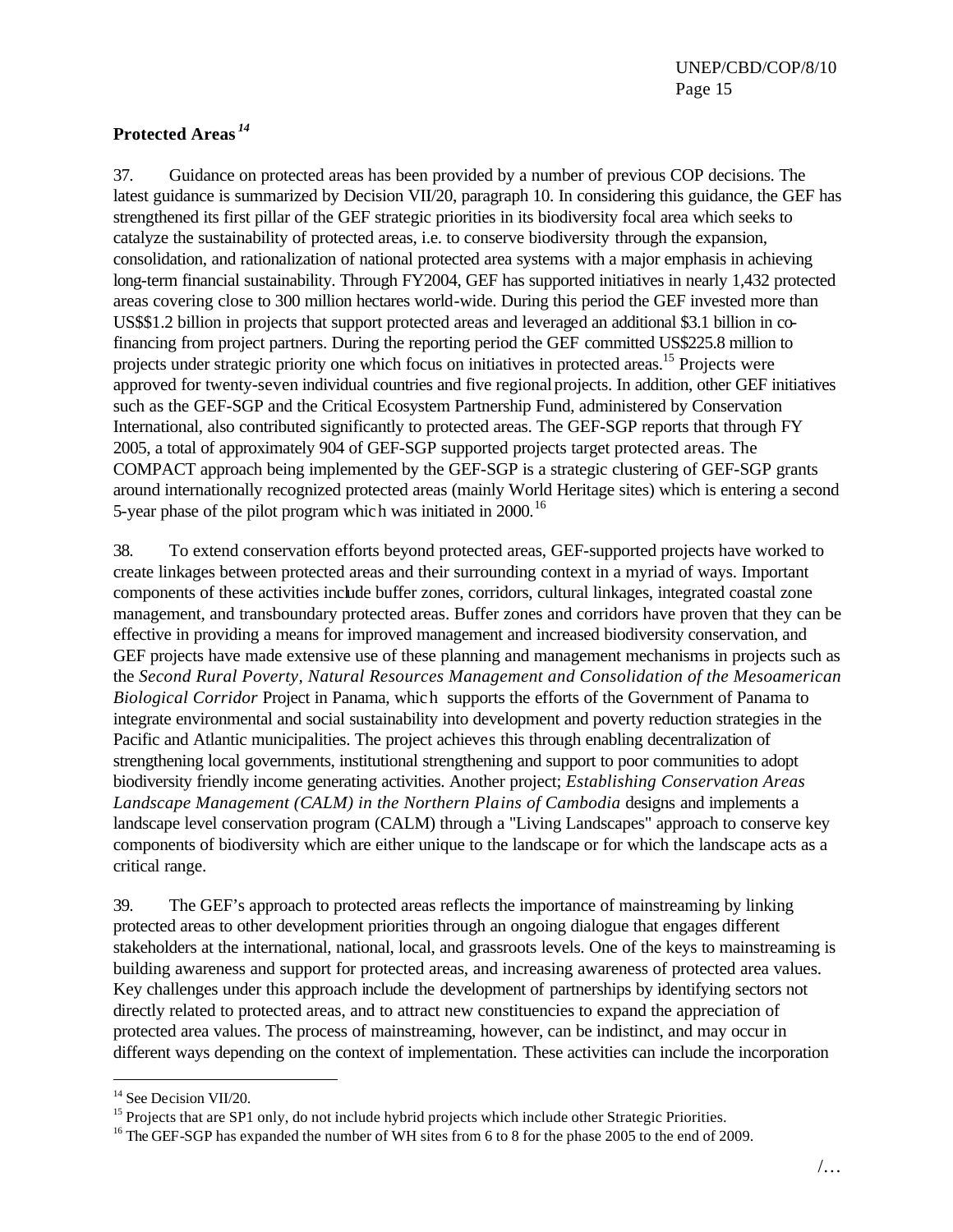## **Protected Areas** *<sup>14</sup>*

37. Guidance on protected areas has been provided by a number of previous COP decisions. The latest guidance is summarized by Decision VII/20, paragraph 10. In considering this guidance, the GEF has strengthened its first pillar of the GEF strategic priorities in its biodiversity focal area which seeks to catalyze the sustainability of protected areas, i.e. to conserve biodiversity through the expansion, consolidation, and rationalization of national protected area systems with a major emphasis in achieving long-term financial sustainability. Through FY2004, GEF has supported initiatives in nearly 1,432 protected areas covering close to 300 million hectares world-wide. During this period the GEF invested more than US\$\$1.2 billion in projects that support protected areas and leveraged an additional \$3.1 billion in cofinancing from project partners. During the reporting period the GEF committed US\$225.8 million to projects under strategic priority one which focus on initiatives in protected areas.<sup>15</sup> Projects were approved for twenty-seven individual countries and five regional projects. In addition, other GEF initiatives such as the GEF-SGP and the Critical Ecosystem Partnership Fund, administered by Conservation International, also contributed significantly to protected areas. The GEF-SGP reports that through FY 2005, a total of approximately 904 of GEF-SGP supported projects target protected areas. The COMPACT approach being implemented by the GEF-SGP is a strategic clustering of GEF-SGP grants around internationally recognized protected areas (mainly World Heritage sites) which is entering a second 5-year phase of the pilot program which was initiated in  $2000$ .<sup>16</sup>

38. To extend conservation efforts beyond protected areas, GEF-supported projects have worked to create linkages between protected areas and their surrounding context in a myriad of ways. Important components of these activities include buffer zones, corridors, cultural linkages, integrated coastal zone management, and transboundary protected areas. Buffer zones and corridors have proven that they can be effective in providing a means for improved management and increased biodiversity conservation, and GEF projects have made extensive use of these planning and management mechanisms in projects such as the *Second Rural Poverty, Natural Resources Management and Consolidation of the Mesoamerican Biological Corridor* Project in Panama, which supports the efforts of the Government of Panama to integrate environmental and social sustainability into development and poverty reduction strategies in the Pacific and Atlantic municipalities. The project achieves this through enabling decentralization of strengthening local governments, institutional strengthening and support to poor communities to adopt biodiversity friendly income generating activities. Another project; *Establishing Conservation Areas Landscape Management (CALM) in the Northern Plains of Cambodia* designs and implements a landscape level conservation program (CALM) through a "Living Landscapes" approach to conserve key components of biodiversity which are either unique to the landscape or for which the landscape acts as a critical range.

39. The GEF's approach to protected areas reflects the importance of mainstreaming by linking protected areas to other development priorities through an ongoing dialogue that engages different stakeholders at the international, national, local, and grassroots levels. One of the keys to mainstreaming is building awareness and support for protected areas, and increasing awareness of protected area values. Key challenges under this approach include the development of partnerships by identifying sectors not directly related to protected areas, and to attract new constituencies to expand the appreciation of protected area values. The process of mainstreaming, however, can be indistinct, and may occur in different ways depending on the context of implementation. These activities can include the incorporation

 $\overline{a}$ 

<sup>&</sup>lt;sup>14</sup> See Decision VII/20.

<sup>&</sup>lt;sup>15</sup> Projects that are SP1 only, do not include hybrid projects which include other Strategic Priorities.

<sup>&</sup>lt;sup>16</sup> The GEF-SGP has expanded the number of WH sites from 6 to 8 for the phase 2005 to the end of 2009.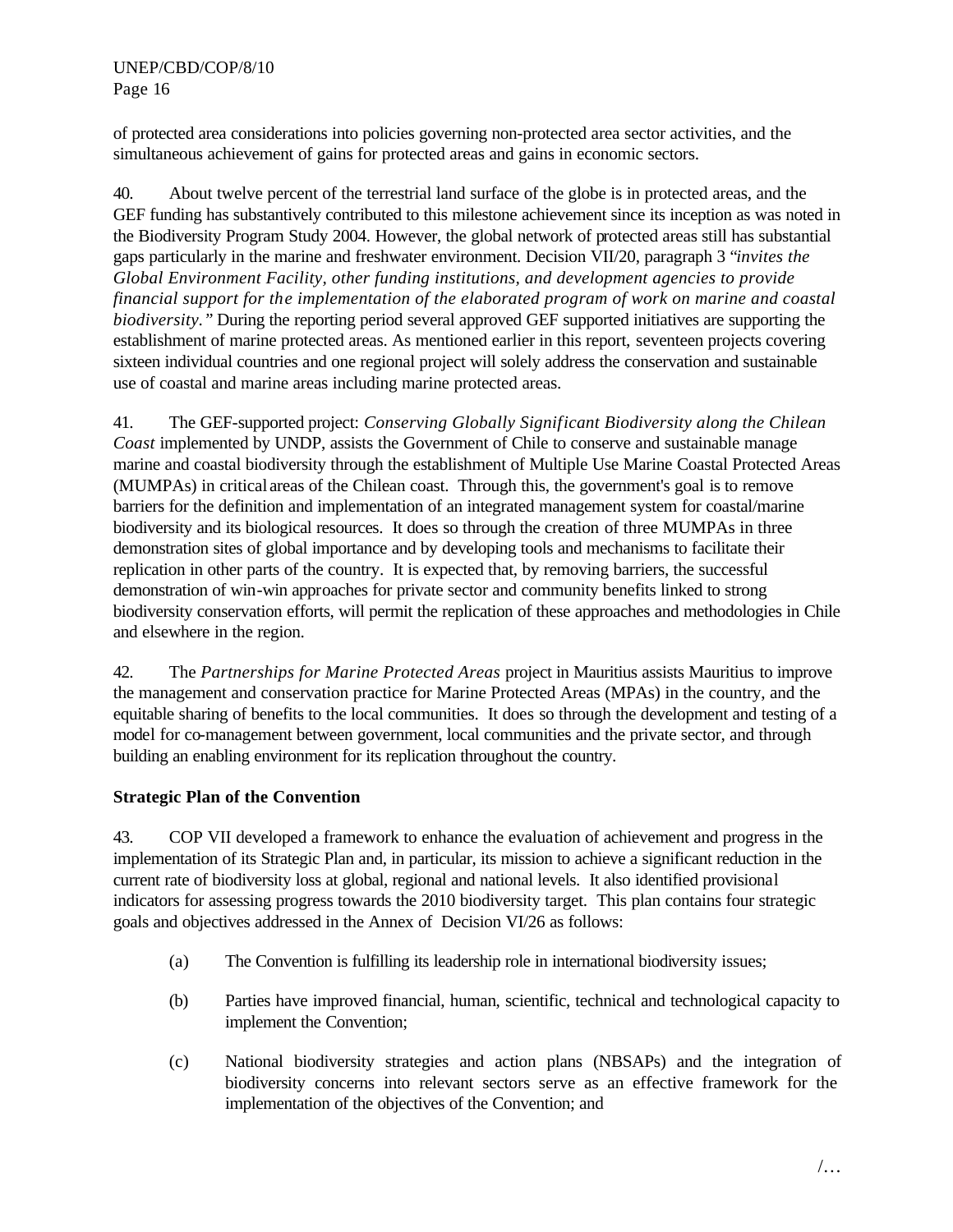of protected area considerations into policies governing non-protected area sector activities, and the simultaneous achievement of gains for protected areas and gains in economic sectors.

40. About twelve percent of the terrestrial land surface of the globe is in protected areas, and the GEF funding has substantively contributed to this milestone achievement since its inception as was noted in the Biodiversity Program Study 2004. However, the global network of protected areas still has substantial gaps particularly in the marine and freshwater environment. Decision VII/20, paragraph 3 "*invites the Global Environment Facility, other funding institutions, and development agencies to provide financial support for the implementation of the elaborated program of work on marine and coastal biodiversity.*" During the reporting period several approved GEF supported initiatives are supporting the establishment of marine protected areas. As mentioned earlier in this report, seventeen projects covering sixteen individual countries and one regional project will solely address the conservation and sustainable use of coastal and marine areas including marine protected areas.

41. The GEF-supported project: *Conserving Globally Significant Biodiversity along the Chilean Coast* implemented by UNDP, assists the Government of Chile to conserve and sustainable manage marine and coastal biodiversity through the establishment of Multiple Use Marine Coastal Protected Areas (MUMPAs) in critical areas of the Chilean coast. Through this, the government's goal is to remove barriers for the definition and implementation of an integrated management system for coastal/marine biodiversity and its biological resources. It does so through the creation of three MUMPAs in three demonstration sites of global importance and by developing tools and mechanisms to facilitate their replication in other parts of the country. It is expected that, by removing barriers, the successful demonstration of win-win approaches for private sector and community benefits linked to strong biodiversity conservation efforts, will permit the replication of these approaches and methodologies in Chile and elsewhere in the region.

42. The *Partnerships for Marine Protected Areas* project in Mauritius assists Mauritius to improve the management and conservation practice for Marine Protected Areas (MPAs) in the country, and the equitable sharing of benefits to the local communities. It does so through the development and testing of a model for co-management between government, local communities and the private sector, and through building an enabling environment for its replication throughout the country.

## **Strategic Plan of the Convention**

43. COP VII developed a framework to enhance the evaluation of achievement and progress in the implementation of its Strategic Plan and, in particular, its mission to achieve a significant reduction in the current rate of biodiversity loss at global, regional and national levels. It also identified provisional indicators for assessing progress towards the 2010 biodiversity target. This plan contains four strategic goals and objectives addressed in the Annex of Decision VI/26 as follows:

- (a) The Convention is fulfilling its leadership role in international biodiversity issues;
- (b) Parties have improved financial, human, scientific, technical and technological capacity to implement the Convention;
- (c) National biodiversity strategies and action plans (NBSAPs) and the integration of biodiversity concerns into relevant sectors serve as an effective framework for the implementation of the objectives of the Convention; and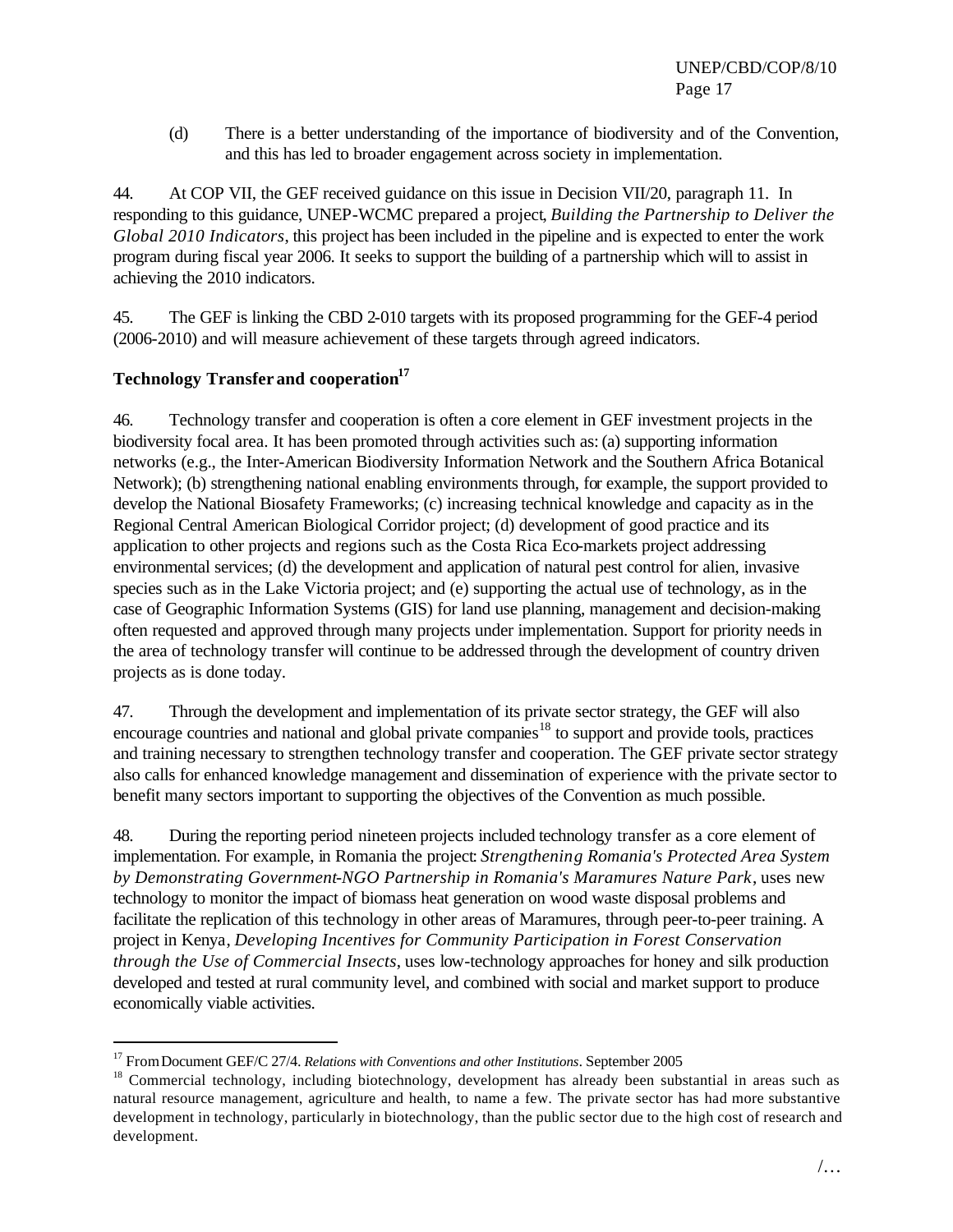(d) There is a better understanding of the importance of biodiversity and of the Convention, and this has led to broader engagement across society in implementation.

44. At COP VII, the GEF received guidance on this issue in Decision VII/20, paragraph 11. In responding to this guidance, UNEP-WCMC prepared a project, *Building the Partnership to Deliver the Global 2010 Indicators*, this project has been included in the pipeline and is expected to enter the work program during fiscal year 2006. It seeks to support the building of a partnership which will to assist in achieving the 2010 indicators.

45. The GEF is linking the CBD 2-010 targets with its proposed programming for the GEF-4 period (2006-2010) and will measure achievement of these targets through agreed indicators.

# **Technology Transfer and cooperation<sup>17</sup>**

 $\overline{a}$ 

46. Technology transfer and cooperation is often a core element in GEF investment projects in the biodiversity focal area. It has been promoted through activities such as: (a) supporting information networks (e.g., the Inter-American Biodiversity Information Network and the Southern Africa Botanical Network); (b) strengthening national enabling environments through, for example, the support provided to develop the National Biosafety Frameworks; (c) increasing technical knowledge and capacity as in the Regional Central American Biological Corridor project; (d) development of good practice and its application to other projects and regions such as the Costa Rica Eco-markets project addressing environmental services; (d) the development and application of natural pest control for alien, invasive species such as in the Lake Victoria project; and (e) supporting the actual use of technology, as in the case of Geographic Information Systems (GIS) for land use planning, management and decision-making often requested and approved through many projects under implementation. Support for priority needs in the area of technology transfer will continue to be addressed through the development of country driven projects as is done today.

47. Through the development and implementation of its private sector strategy, the GEF will also encourage countries and national and global private companies<sup>18</sup> to support and provide tools, practices and training necessary to strengthen technology transfer and cooperation. The GEF private sector strategy also calls for enhanced knowledge management and dissemination of experience with the private sector to benefit many sectors important to supporting the objectives of the Convention as much possible.

48. During the reporting period nineteen projects included technology transfer as a core element of implementation. For example, in Romania the project: *Strengthening Romania's Protected Area System by Demonstrating Government-NGO Partnership in Romania's Maramures Nature Park*, uses new technology to monitor the impact of biomass heat generation on wood waste disposal problems and facilitate the replication of this technology in other areas of Maramures, through peer-to-peer training. A project in Kenya, *Developing Incentives for Community Participation in Forest Conservation through the Use of Commercial Insects*, uses low-technology approaches for honey and silk production developed and tested at rural community level, and combined with social and market support to produce economically viable activities.

<sup>17</sup> FromDocument GEF/C 27/4. *Relations with Conventions and other Institutions*. September 2005

<sup>&</sup>lt;sup>18</sup> Commercial technology, including biotechnology, development has already been substantial in areas such as natural resource management, agriculture and health, to name a few. The private sector has had more substantive development in technology, particularly in biotechnology, than the public sector due to the high cost of research and development.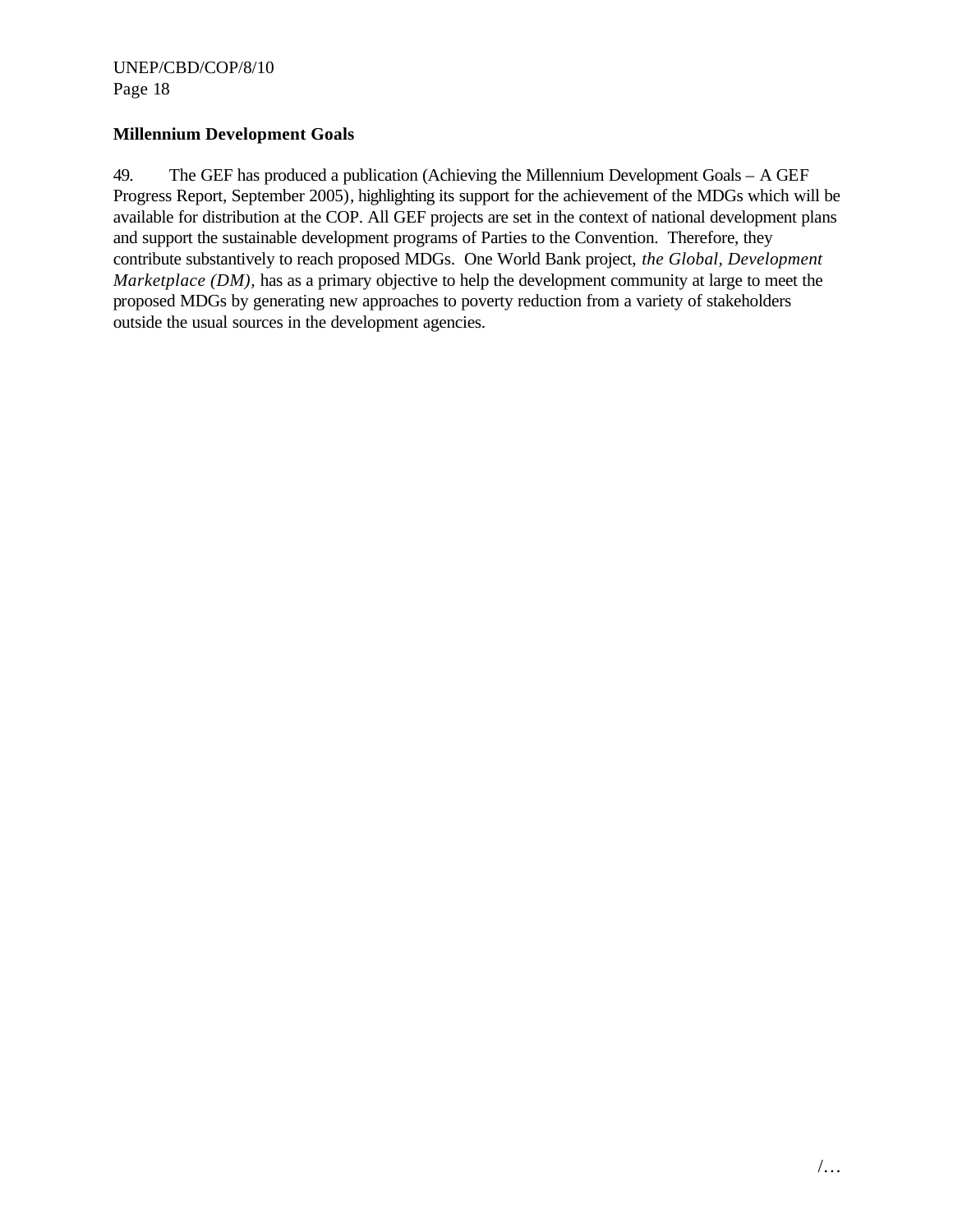## **Millennium Development Goals**

49. The GEF has produced a publication (Achieving the Millennium Development Goals – A GEF Progress Report, September 2005), highlighting its support for the achievement of the MDGs which will be available for distribution at the COP. All GEF projects are set in the context of national development plans and support the sustainable development programs of Parties to the Convention. Therefore, they contribute substantively to reach proposed MDGs. One World Bank project, *the Global, Development Marketplace (DM)*, has as a primary objective to help the development community at large to meet the proposed MDGs by generating new approaches to poverty reduction from a variety of stakeholders outside the usual sources in the development agencies.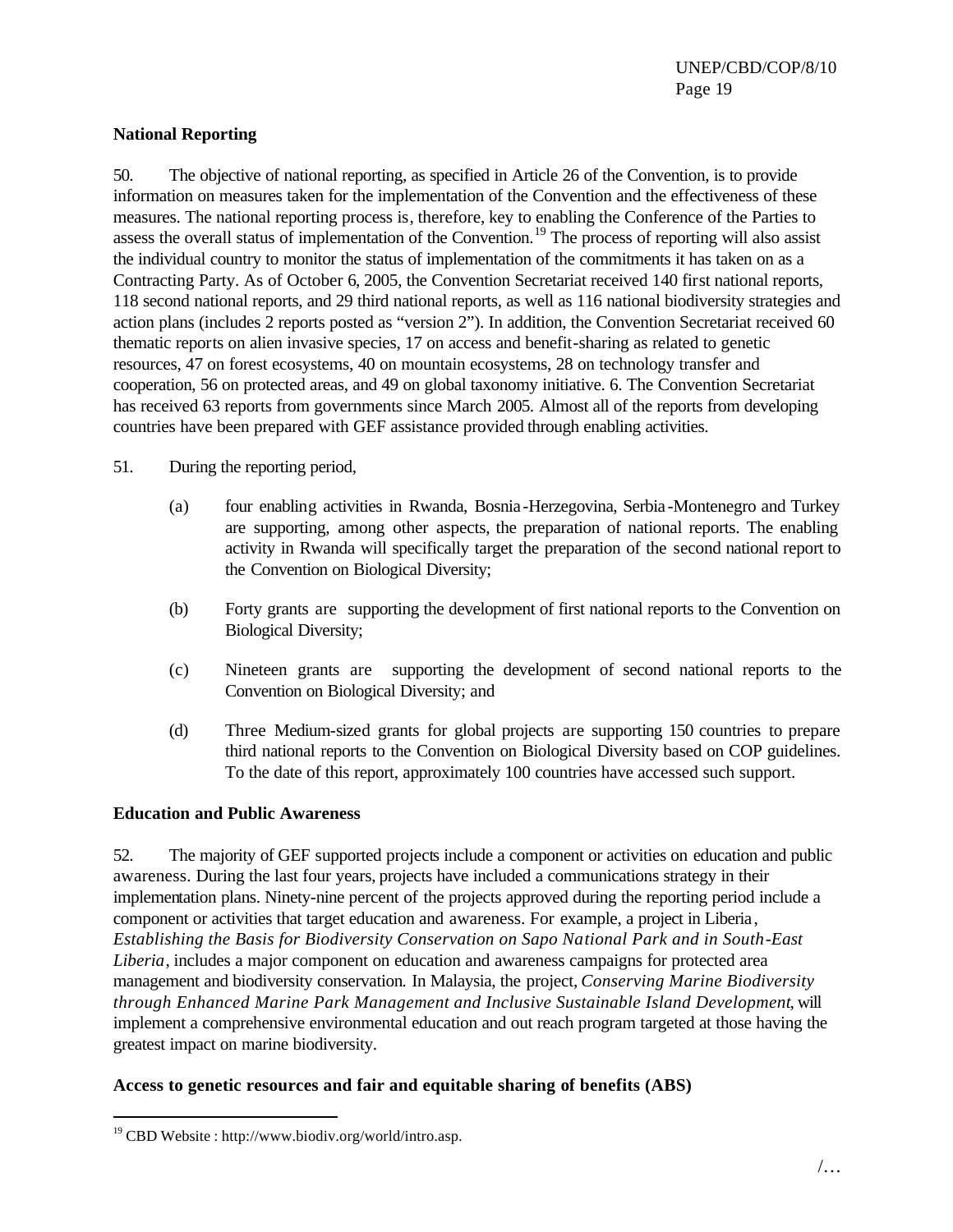## **National Reporting**

50. The objective of national reporting, as specified in Article 26 of the Convention, is to provide information on measures taken for the implementation of the Convention and the effectiveness of these measures. The national reporting process is, therefore, key to enabling the Conference of the Parties to assess the overall status of implementation of the Convention.<sup>19</sup> The process of reporting will also assist the individual country to monitor the status of implementation of the commitments it has taken on as a Contracting Party. As of October 6, 2005, the Convention Secretariat received 140 first national reports, 118 second national reports, and 29 third national reports, as well as 116 national biodiversity strategies and action plans (includes 2 reports posted as "version 2"). In addition, the Convention Secretariat received 60 thematic reports on alien invasive species, 17 on access and benefit-sharing as related to genetic resources, 47 on forest ecosystems, 40 on mountain ecosystems, 28 on technology transfer and cooperation, 56 on protected areas, and 49 on global taxonomy initiative. 6. The Convention Secretariat has received 63 reports from governments since March 2005. Almost all of the reports from developing countries have been prepared with GEF assistance provided through enabling activities.

#### 51. During the reporting period,

- (a) four enabling activities in Rwanda, Bosnia-Herzegovina, Serbia-Montenegro and Turkey are supporting, among other aspects, the preparation of national reports. The enabling activity in Rwanda will specifically target the preparation of the second national report to the Convention on Biological Diversity;
- (b) Forty grants are supporting the development of first national reports to the Convention on Biological Diversity;
- (c) Nineteen grants are supporting the development of second national reports to the Convention on Biological Diversity; and
- (d) Three Medium-sized grants for global projects are supporting 150 countries to prepare third national reports to the Convention on Biological Diversity based on COP guidelines. To the date of this report, approximately 100 countries have accessed such support.

## **Education and Public Awareness**

52. The majority of GEF supported projects include a component or activities on education and public awareness. During the last four years, projects have included a communications strategy in their implementation plans. Ninety-nine percent of the projects approved during the reporting period include a component or activities that target education and awareness. For example, a project in Liberia, *Establishing the Basis for Biodiversity Conservation on Sapo National Park and in South-East Liberia*, includes a major component on education and awareness campaigns for protected area management and biodiversity conservation*.* In Malaysia, the project, *Conserving Marine Biodiversity through Enhanced Marine Park Management and Inclusive Sustainable Island Development*, will implement a comprehensive environmental education and out reach program targeted at those having the greatest impact on marine biodiversity.

## **Access to genetic resources and fair and equitable sharing of benefits (ABS)**

 $\overline{a}$ 

 $19$  CBD Website : http://www.biodiv.org/world/intro.asp.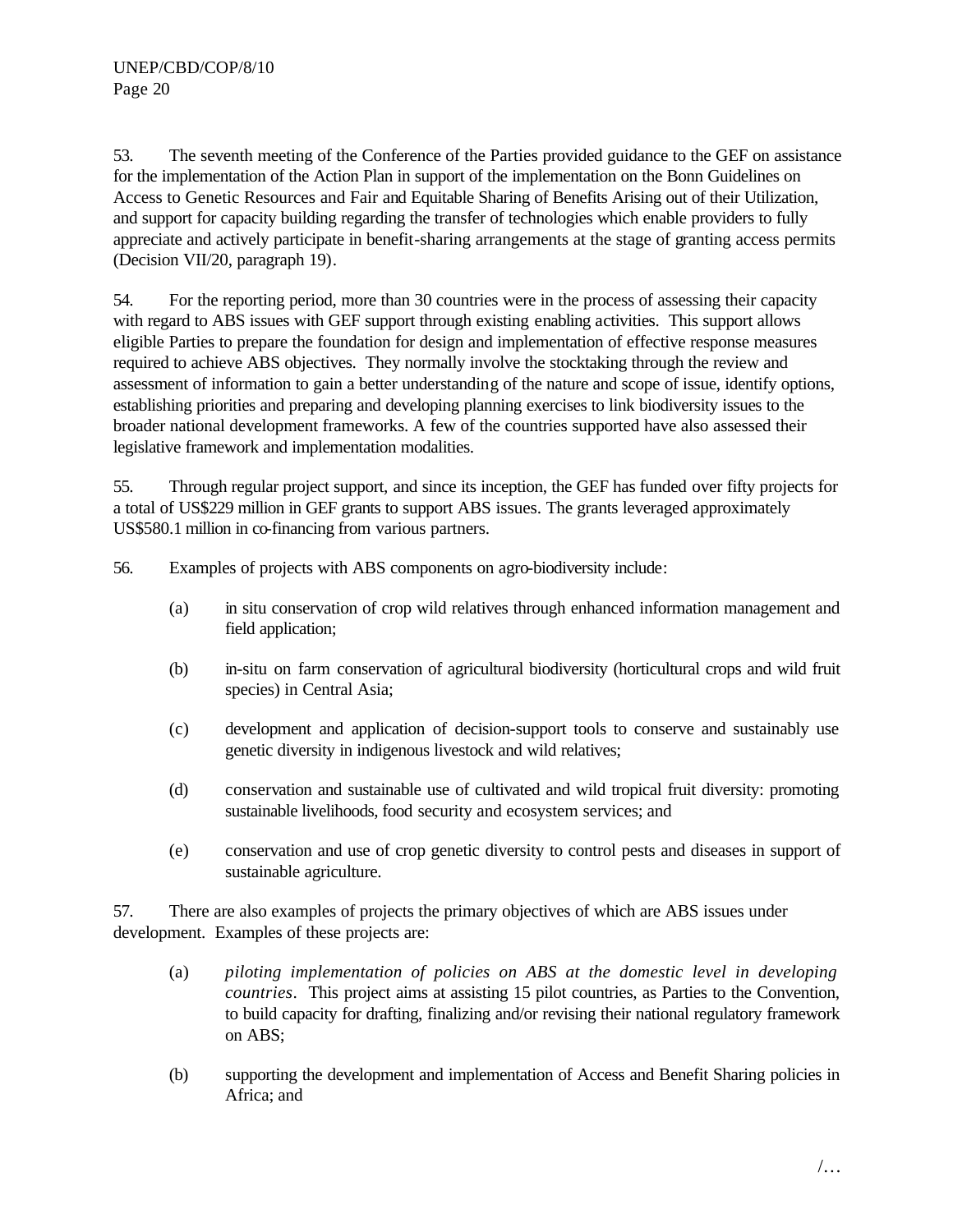53. The seventh meeting of the Conference of the Parties provided guidance to the GEF on assistance for the implementation of the Action Plan in support of the implementation on the Bonn Guidelines on Access to Genetic Resources and Fair and Equitable Sharing of Benefits Arising out of their Utilization, and support for capacity building regarding the transfer of technologies which enable providers to fully appreciate and actively participate in benefit-sharing arrangements at the stage of granting access permits (Decision VII/20, paragraph 19).

54. For the reporting period, more than 30 countries were in the process of assessing their capacity with regard to ABS issues with GEF support through existing enabling activities. This support allows eligible Parties to prepare the foundation for design and implementation of effective response measures required to achieve ABS objectives. They normally involve the stocktaking through the review and assessment of information to gain a better understanding of the nature and scope of issue, identify options, establishing priorities and preparing and developing planning exercises to link biodiversity issues to the broader national development frameworks. A few of the countries supported have also assessed their legislative framework and implementation modalities.

55. Through regular project support, and since its inception, the GEF has funded over fifty projects for a total of US\$229 million in GEF grants to support ABS issues. The grants leveraged approximately US\$580.1 million in co-financing from various partners.

56. Examples of projects with ABS components on agro-biodiversity include:

- (a) in situ conservation of crop wild relatives through enhanced information management and field application;
- (b) in-situ on farm conservation of agricultural biodiversity (horticultural crops and wild fruit species) in Central Asia;
- (c) development and application of decision-support tools to conserve and sustainably use genetic diversity in indigenous livestock and wild relatives;
- (d) conservation and sustainable use of cultivated and wild tropical fruit diversity: promoting sustainable livelihoods, food security and ecosystem services; and
- (e) conservation and use of crop genetic diversity to control pests and diseases in support of sustainable agriculture.

57. There are also examples of projects the primary objectives of which are ABS issues under development. Examples of these projects are:

- (a) *piloting implementation of policies on ABS at the domestic level in developing countries*. This project aims at assisting 15 pilot countries, as Parties to the Convention, to build capacity for drafting, finalizing and/or revising their national regulatory framework on ABS;
- (b) supporting the development and implementation of Access and Benefit Sharing policies in Africa; and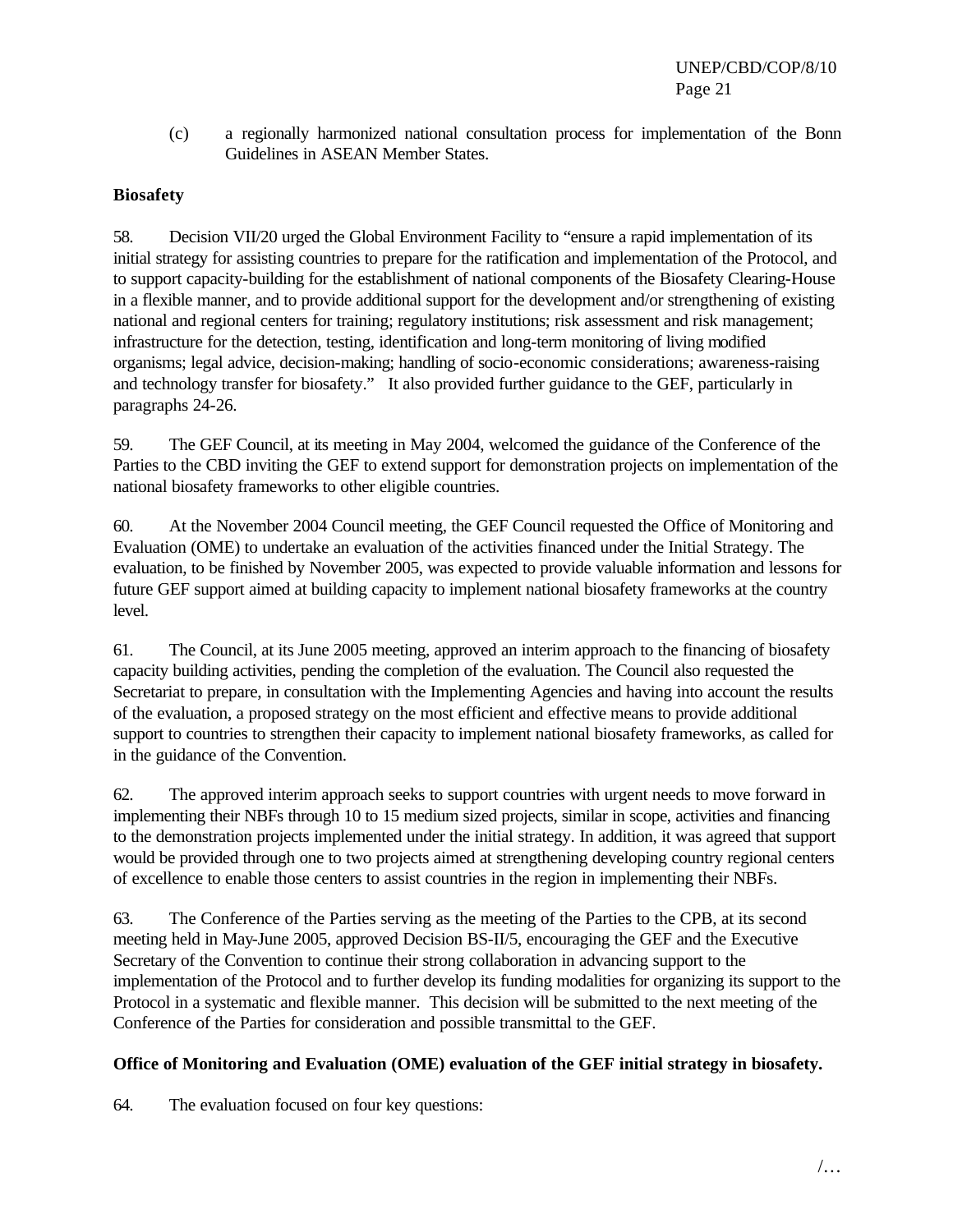(c) a regionally harmonized national consultation process for implementation of the Bonn Guidelines in ASEAN Member States.

# **Biosafety**

58. Decision VII/20 urged the Global Environment Facility to "ensure a rapid implementation of its initial strategy for assisting countries to prepare for the ratification and implementation of the Protocol, and to support capacity-building for the establishment of national components of the Biosafety Clearing-House in a flexible manner, and to provide additional support for the development and/or strengthening of existing national and regional centers for training; regulatory institutions; risk assessment and risk management; infrastructure for the detection, testing, identification and long-term monitoring of living modified organisms; legal advice, decision-making; handling of socio-economic considerations; awareness-raising and technology transfer for biosafety." It also provided further guidance to the GEF, particularly in paragraphs 24-26.

59. The GEF Council, at its meeting in May 2004, welcomed the guidance of the Conference of the Parties to the CBD inviting the GEF to extend support for demonstration projects on implementation of the national biosafety frameworks to other eligible countries.

60. At the November 2004 Council meeting, the GEF Council requested the Office of Monitoring and Evaluation (OME) to undertake an evaluation of the activities financed under the Initial Strategy. The evaluation, to be finished by November 2005, was expected to provide valuable information and lessons for future GEF support aimed at building capacity to implement national biosafety frameworks at the country level.

61. The Council, at its June 2005 meeting, approved an interim approach to the financing of biosafety capacity building activities, pending the completion of the evaluation. The Council also requested the Secretariat to prepare, in consultation with the Implementing Agencies and having into account the results of the evaluation, a proposed strategy on the most efficient and effective means to provide additional support to countries to strengthen their capacity to implement national biosafety frameworks, as called for in the guidance of the Convention.

62. The approved interim approach seeks to support countries with urgent needs to move forward in implementing their NBFs through 10 to 15 medium sized projects, similar in scope, activities and financing to the demonstration projects implemented under the initial strategy. In addition, it was agreed that support would be provided through one to two projects aimed at strengthening developing country regional centers of excellence to enable those centers to assist countries in the region in implementing their NBFs.

63. The Conference of the Parties serving as the meeting of the Parties to the CPB, at its second meeting held in May-June 2005, approved Decision BS-II/5, encouraging the GEF and the Executive Secretary of the Convention to continue their strong collaboration in advancing support to the implementation of the Protocol and to further develop its funding modalities for organizing its support to the Protocol in a systematic and flexible manner. This decision will be submitted to the next meeting of the Conference of the Parties for consideration and possible transmittal to the GEF.

# **Office of Monitoring and Evaluation (OME) evaluation of the GEF initial strategy in biosafety.**

64. The evaluation focused on four key questions: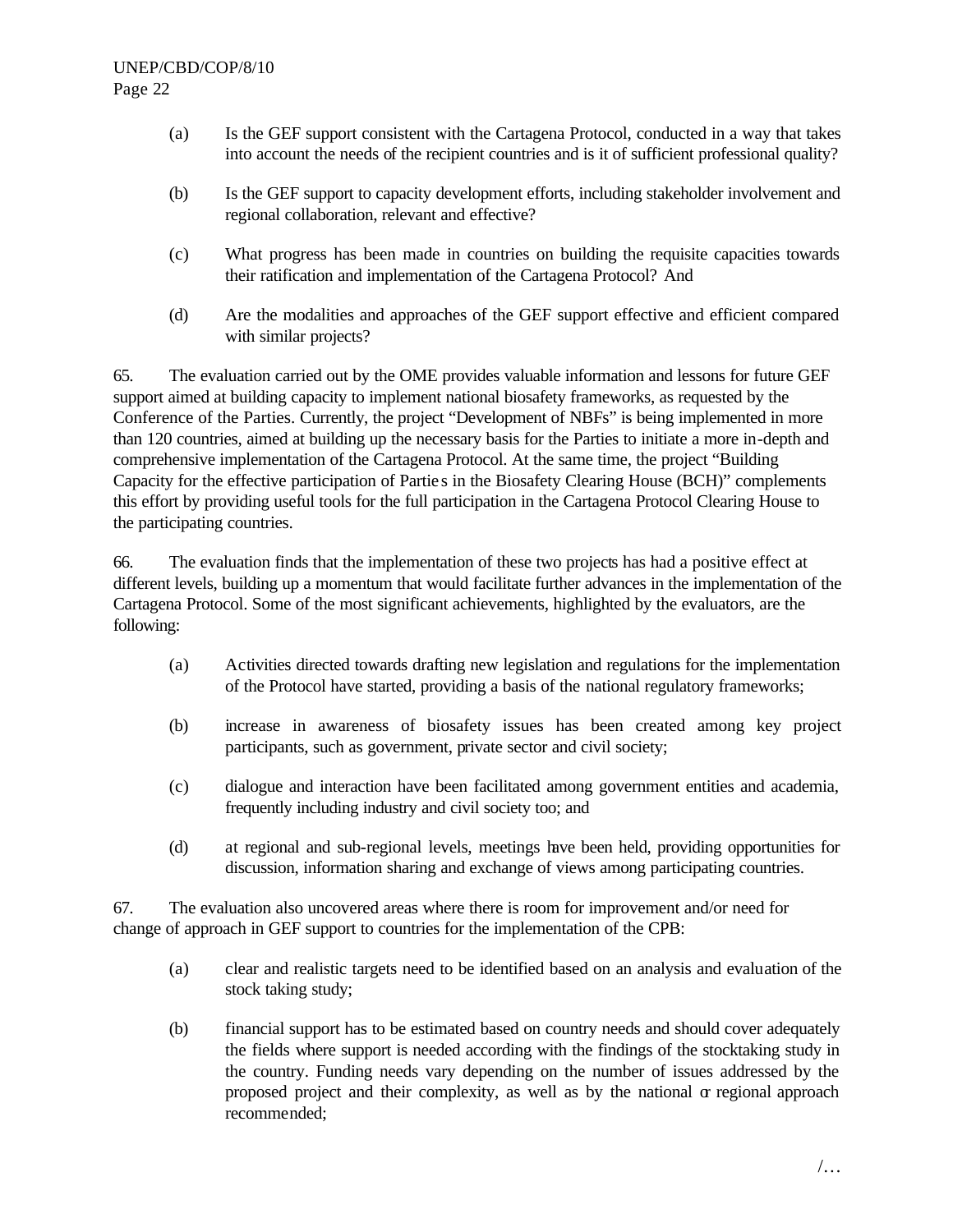- (a) Is the GEF support consistent with the Cartagena Protocol, conducted in a way that takes into account the needs of the recipient countries and is it of sufficient professional quality?
- (b) Is the GEF support to capacity development efforts, including stakeholder involvement and regional collaboration, relevant and effective?
- (c) What progress has been made in countries on building the requisite capacities towards their ratification and implementation of the Cartagena Protocol? And
- (d) Are the modalities and approaches of the GEF support effective and efficient compared with similar projects?

65. The evaluation carried out by the OME provides valuable information and lessons for future GEF support aimed at building capacity to implement national biosafety frameworks, as requested by the Conference of the Parties. Currently, the project "Development of NBFs" is being implemented in more than 120 countries, aimed at building up the necessary basis for the Parties to initiate a more in-depth and comprehensive implementation of the Cartagena Protocol. At the same time, the project "Building Capacity for the effective participation of Partie s in the Biosafety Clearing House (BCH)" complements this effort by providing useful tools for the full participation in the Cartagena Protocol Clearing House to the participating countries.

66. The evaluation finds that the implementation of these two projects has had a positive effect at different levels, building up a momentum that would facilitate further advances in the implementation of the Cartagena Protocol. Some of the most significant achievements, highlighted by the evaluators, are the following:

- (a) Activities directed towards drafting new legislation and regulations for the implementation of the Protocol have started, providing a basis of the national regulatory frameworks;
- (b) increase in awareness of biosafety issues has been created among key project participants, such as government, private sector and civil society;
- (c) dialogue and interaction have been facilitated among government entities and academia, frequently including industry and civil society too; and
- (d) at regional and sub-regional levels, meetings have been held, providing opportunities for discussion, information sharing and exchange of views among participating countries.

67. The evaluation also uncovered areas where there is room for improvement and/or need for change of approach in GEF support to countries for the implementation of the CPB:

- (a) clear and realistic targets need to be identified based on an analysis and evaluation of the stock taking study;
- (b) financial support has to be estimated based on country needs and should cover adequately the fields where support is needed according with the findings of the stocktaking study in the country. Funding needs vary depending on the number of issues addressed by the proposed project and their complexity, as well as by the national  $\alpha$  regional approach recommended;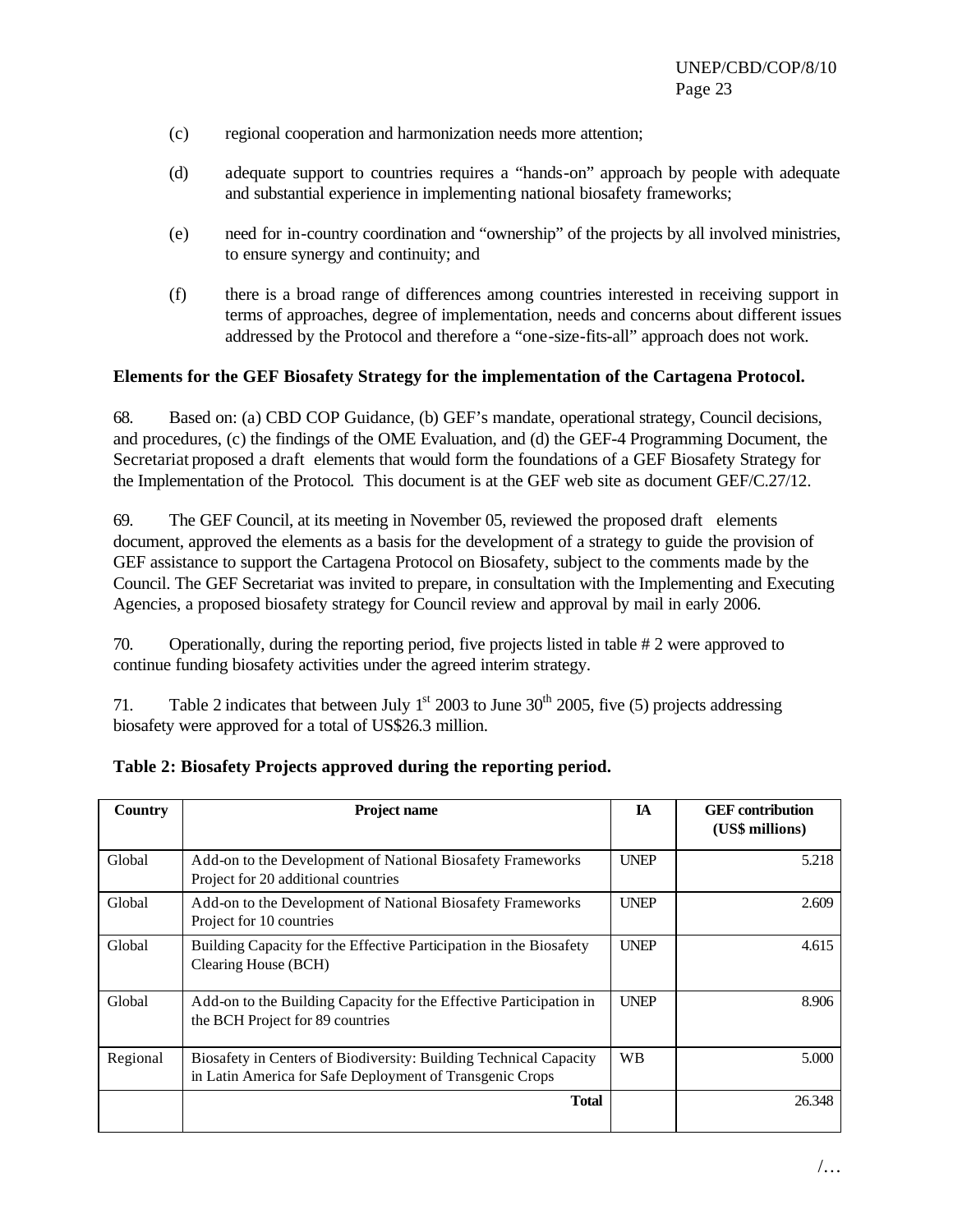- (c) regional cooperation and harmonization needs more attention;
- (d) adequate support to countries requires a "hands-on" approach by people with adequate and substantial experience in implementing national biosafety frameworks;
- (e) need for in-country coordination and "ownership" of the projects by all involved ministries, to ensure synergy and continuity; and
- (f) there is a broad range of differences among countries interested in receiving support in terms of approaches, degree of implementation, needs and concerns about different issues addressed by the Protocol and therefore a "one-size-fits-all" approach does not work.

#### **Elements for the GEF Biosafety Strategy for the implementation of the Cartagena Protocol.**

68. Based on: (a) CBD COP Guidance, (b) GEF's mandate, operational strategy, Council decisions, and procedures, (c) the findings of the OME Evaluation, and (d) the GEF-4 Programming Document, the Secretariat proposed a draft elements that would form the foundations of a GEF Biosafety Strategy for the Implementation of the Protocol. This document is at the GEF web site as document GEF/C.27/12.

69. The GEF Council, at its meeting in November 05, reviewed the proposed draft elements document, approved the elements as a basis for the development of a strategy to guide the provision of GEF assistance to support the Cartagena Protocol on Biosafety, subject to the comments made by the Council. The GEF Secretariat was invited to prepare, in consultation with the Implementing and Executing Agencies, a proposed biosafety strategy for Council review and approval by mail in early 2006.

70. Operationally, during the reporting period, five projects listed in table # 2 were approved to continue funding biosafety activities under the agreed interim strategy.

71. Table 2 indicates that between July  $1<sup>st</sup>$  2003 to June 30<sup>th</sup> 2005, five (5) projects addressing biosafety were approved for a total of US\$26.3 million.

| Country  | <b>Project name</b>                                                                                                           | IA          | <b>GEF</b> contribution<br>(US\$ millions) |
|----------|-------------------------------------------------------------------------------------------------------------------------------|-------------|--------------------------------------------|
| Global   | Add-on to the Development of National Biosafety Frameworks<br>Project for 20 additional countries                             | <b>UNEP</b> | 5.218                                      |
| Global   | Add-on to the Development of National Biosafety Frameworks<br>Project for 10 countries                                        | <b>UNEP</b> | 2.609                                      |
| Global   | Building Capacity for the Effective Participation in the Biosafety<br>Clearing House (BCH)                                    | <b>UNEP</b> | 4.615                                      |
| Global   | Add-on to the Building Capacity for the Effective Participation in<br>the BCH Project for 89 countries                        | <b>UNEP</b> | 8.906                                      |
| Regional | Biosafety in Centers of Biodiversity: Building Technical Capacity<br>in Latin America for Safe Deployment of Transgenic Crops | <b>WB</b>   | 5.000                                      |
|          | <b>Total</b>                                                                                                                  |             | 26.348                                     |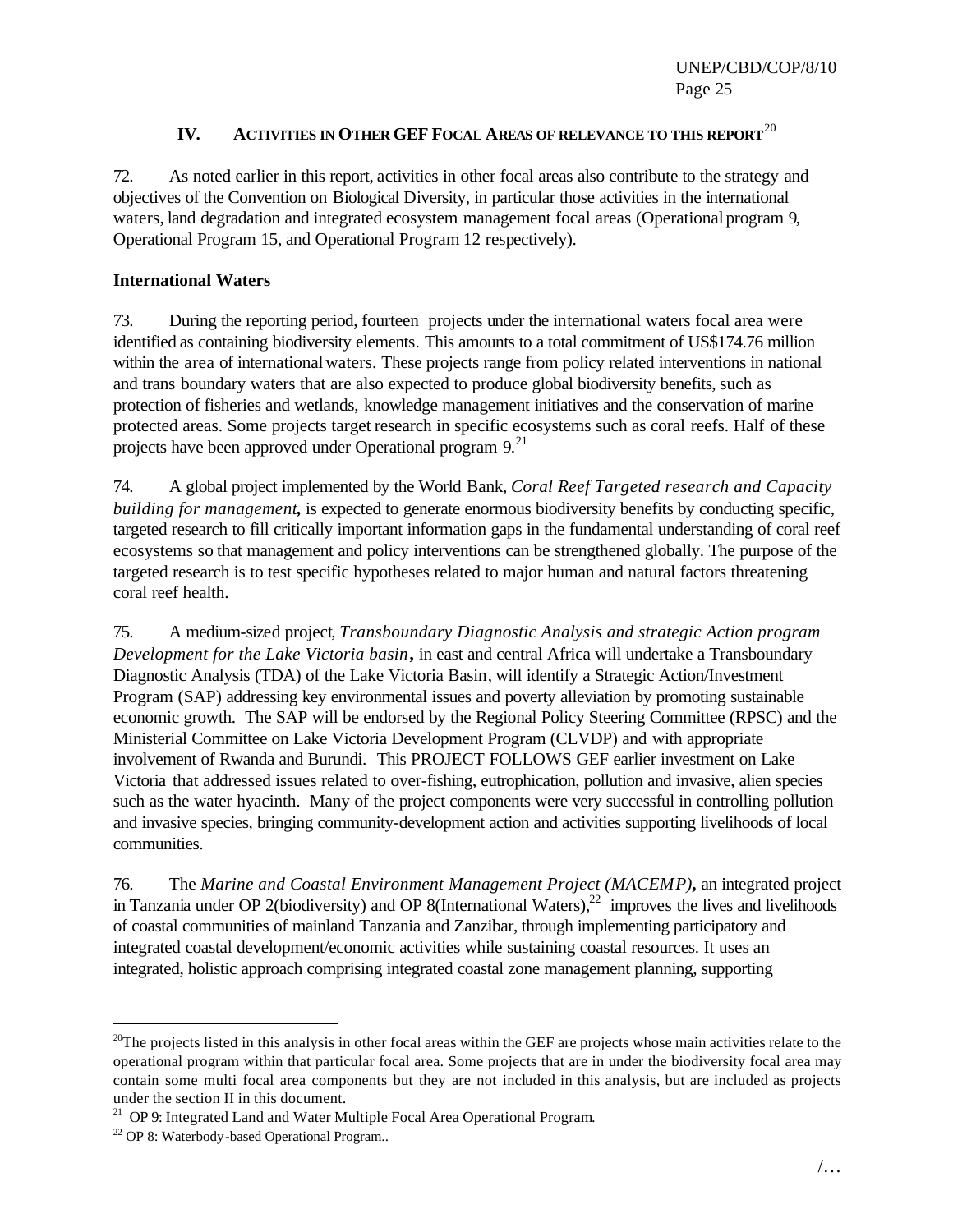## **IV. ACTIVITIES IN OTHER GEF FOCAL AREAS OF RELEVANCE TO THIS REPORT**<sup>20</sup>

72. As noted earlier in this report, activities in other focal areas also contribute to the strategy and objectives of the Convention on Biological Diversity, in particular those activities in the international waters, land degradation and integrated ecosystem management focal areas (Operational program 9, Operational Program 15, and Operational Program 12 respectively).

#### **International Waters**

73. During the reporting period, fourteen projects under the international waters focal area were identified as containing biodiversity elements. This amounts to a total commitment of US\$174.76 million within the area of international waters. These projects range from policy related interventions in national and trans boundary waters that are also expected to produce global biodiversity benefits, such as protection of fisheries and wetlands, knowledge management initiatives and the conservation of marine protected areas. Some projects target research in specific ecosystems such as coral reefs. Half of these projects have been approved under Operational program  $9$ <sup>21</sup>

74. A global project implemented by the World Bank, *Coral Reef Targeted research and Capacity building for management***,** is expected to generate enormous biodiversity benefits by conducting specific, targeted research to fill critically important information gaps in the fundamental understanding of coral reef ecosystems so that management and policy interventions can be strengthened globally. The purpose of the targeted research is to test specific hypotheses related to major human and natural factors threatening coral reef health.

75. A medium-sized project, *Transboundary Diagnostic Analysis and strategic Action program Development for the Lake Victoria basin***,** in east and central Africa will undertake a Transboundary Diagnostic Analysis (TDA) of the Lake Victoria Basin, will identify a Strategic Action/Investment Program (SAP) addressing key environmental issues and poverty alleviation by promoting sustainable economic growth. The SAP will be endorsed by the Regional Policy Steering Committee (RPSC) and the Ministerial Committee on Lake Victoria Development Program (CLVDP) and with appropriate involvement of Rwanda and Burundi. This PROJECT FOLLOWS GEF earlier investment on Lake Victoria that addressed issues related to over-fishing, eutrophication, pollution and invasive, alien species such as the water hyacinth. Many of the project components were very successful in controlling pollution and invasive species, bringing community-development action and activities supporting livelihoods of local communities.

76. The *Marine and Coastal Environment Management Project (MACEMP)***,** an integrated project in Tanzania under OP 2(biodiversity) and OP 8(International Waters), $^{22}$  improves the lives and livelihoods of coastal communities of mainland Tanzania and Zanzibar, through implementing participatory and integrated coastal development/economic activities while sustaining coastal resources. It uses an integrated, holistic approach comprising integrated coastal zone management planning, supporting

 $\overline{a}$ 

 $20$ The projects listed in this analysis in other focal areas within the GEF are projects whose main activities relate to the operational program within that particular focal area. Some projects that are in under the biodiversity focal area may contain some multi focal area components but they are not included in this analysis, but are included as projects under the section II in this document.

 $21$  OP 9: Integrated Land and Water Multiple Focal Area Operational Program.

<sup>22</sup> OP 8: Waterbody-based Operational Program..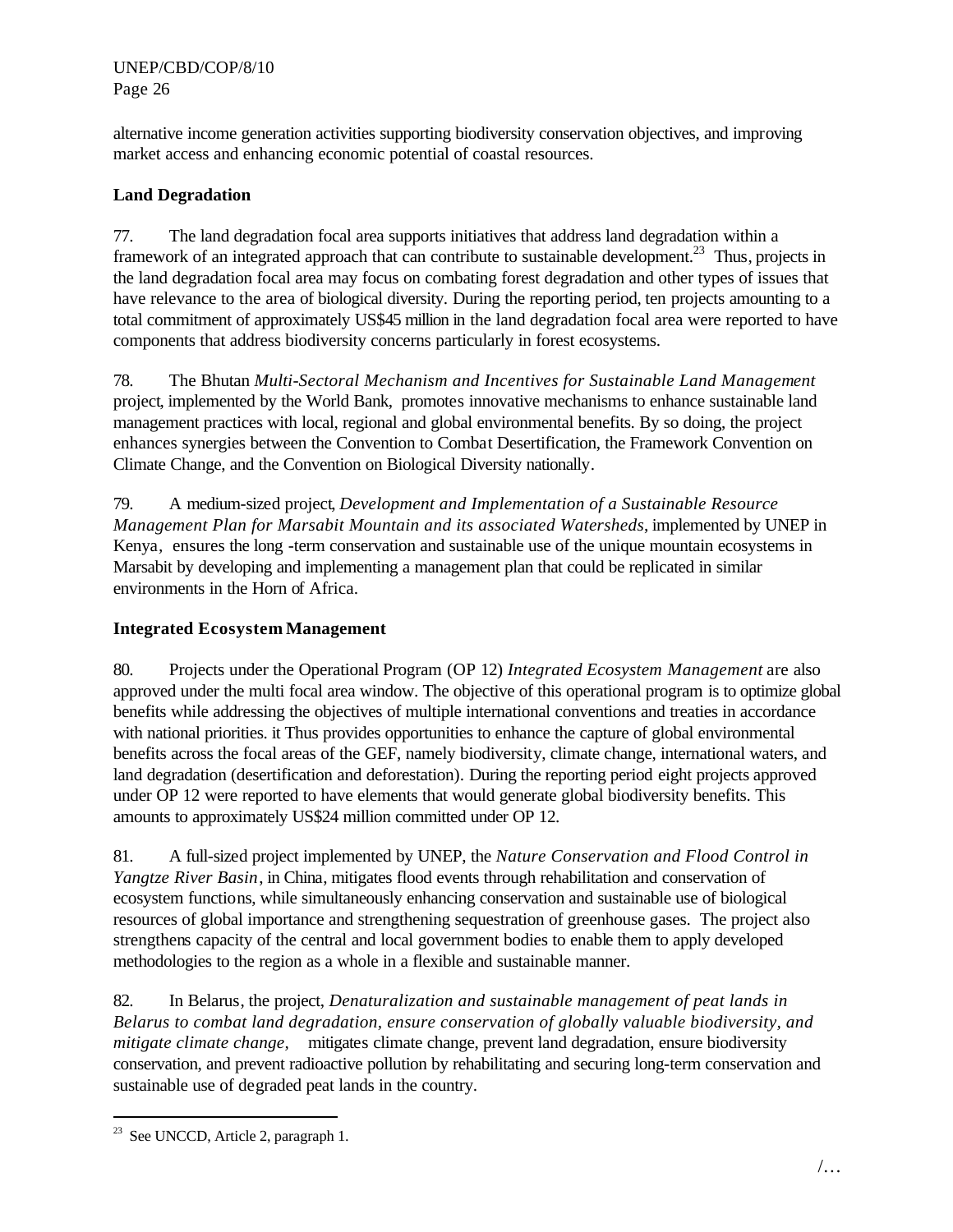alternative income generation activities supporting biodiversity conservation objectives, and improving market access and enhancing economic potential of coastal resources.

# **Land Degradation**

77. The land degradation focal area supports initiatives that address land degradation within a framework of an integrated approach that can contribute to sustainable development.<sup>23</sup> Thus, projects in the land degradation focal area may focus on combating forest degradation and other types of issues that have relevance to the area of biological diversity. During the reporting period, ten projects amounting to a total commitment of approximately US\$45 million in the land degradation focal area were reported to have components that address biodiversity concerns particularly in forest ecosystems.

78. The Bhutan *Multi-Sectoral Mechanism and Incentives for Sustainable Land Management*  project, implemented by the World Bank, promotes innovative mechanisms to enhance sustainable land management practices with local, regional and global environmental benefits. By so doing, the project enhances synergies between the Convention to Combat Desertification, the Framework Convention on Climate Change, and the Convention on Biological Diversity nationally.

79. A medium-sized project, *Development and Implementation of a Sustainable Resource Management Plan for Marsabit Mountain and its associated Watersheds*, implemented by UNEP in Kenya*,* ensures the long -term conservation and sustainable use of the unique mountain ecosystems in Marsabit by developing and implementing a management plan that could be replicated in similar environments in the Horn of Africa.

# **Integrated Ecosystem Management**

80. Projects under the Operational Program (OP 12) *Integrated Ecosystem Management* are also approved under the multi focal area window. The objective of this operational program is to optimize global benefits while addressing the objectives of multiple international conventions and treaties in accordance with national priorities. it Thus provides opportunities to enhance the capture of global environmental benefits across the focal areas of the GEF, namely biodiversity, climate change, international waters, and land degradation (desertification and deforestation). During the reporting period eight projects approved under OP 12 were reported to have elements that would generate global biodiversity benefits. This amounts to approximately US\$24 million committed under OP 12.

81. A full-sized project implemented by UNEP, the *Nature Conservation and Flood Control in Yangtze River Basin*, in China, mitigates flood events through rehabilitation and conservation of ecosystem functions, while simultaneously enhancing conservation and sustainable use of biological resources of global importance and strengthening sequestration of greenhouse gases. The project also strengthens capacity of the central and local government bodies to enable them to apply developed methodologies to the region as a whole in a flexible and sustainable manner.

82. In Belarus, the project, *Denaturalization and sustainable management of peat lands in Belarus to combat land degradation, ensure conservation of globally valuable biodiversity, and mitigate climate change,* mitigates climate change, prevent land degradation, ensure biodiversity conservation, and prevent radioactive pollution by rehabilitating and securing long-term conservation and sustainable use of degraded peat lands in the country.

 $\overline{a}$ 

<sup>&</sup>lt;sup>23</sup> See UNCCD, Article 2, paragraph 1.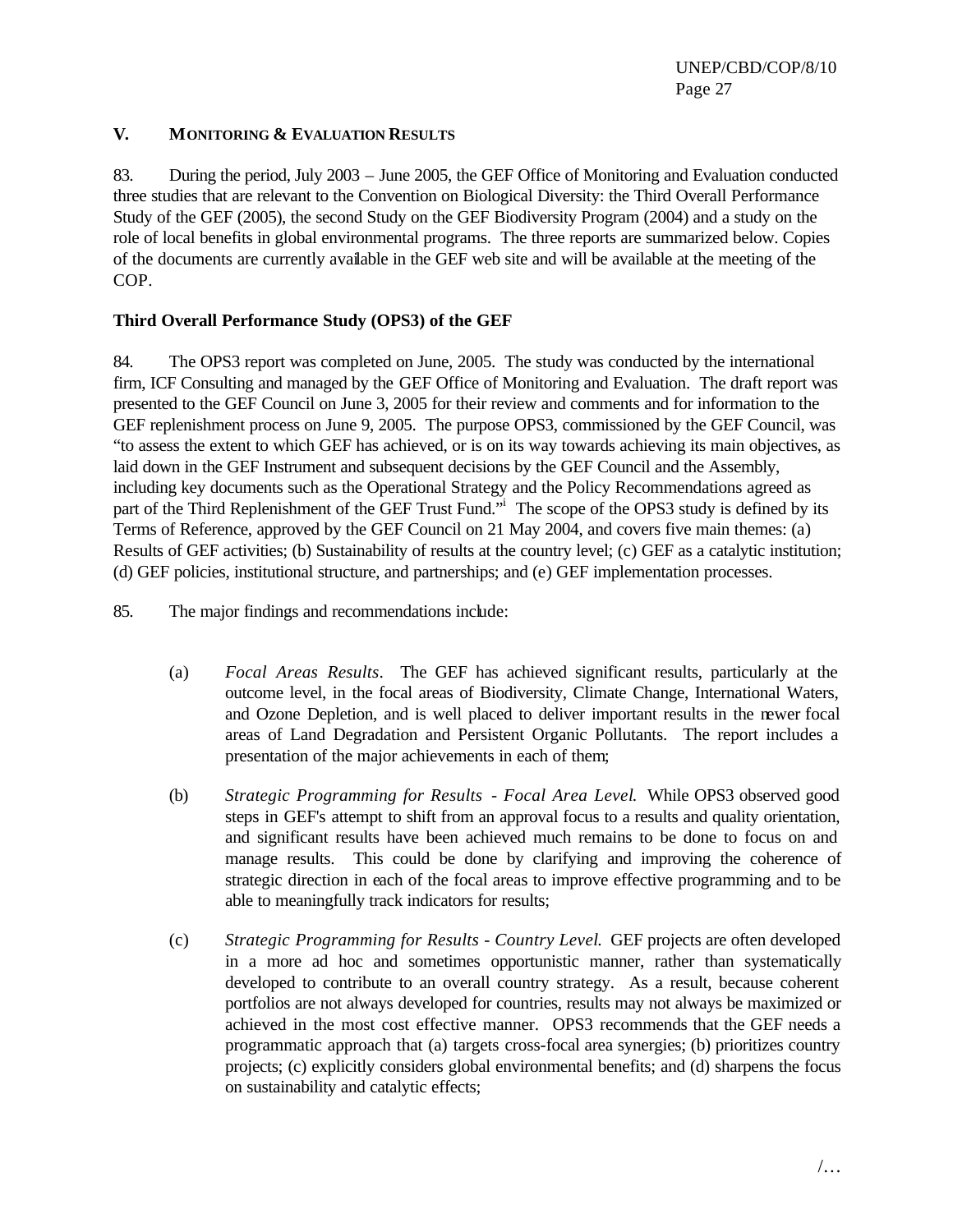#### **V. MONITORING & EVALUATION RESULTS**

83. During the period, July 2003 – June 2005, the GEF Office of Monitoring and Evaluation conducted three studies that are relevant to the Convention on Biological Diversity: the Third Overall Performance Study of the GEF (2005), the second Study on the GEF Biodiversity Program (2004) and a study on the role of local benefits in global environmental programs. The three reports are summarized below. Copies of the documents are currently available in the GEF web site and will be available at the meeting of the COP.

## **Third Overall Performance Study (OPS3) of the GEF**

84. The OPS3 report was completed on June, 2005. The study was conducted by the international firm, ICF Consulting and managed by the GEF Office of Monitoring and Evaluation. The draft report was presented to the GEF Council on June 3, 2005 for their review and comments and for information to the GEF replenishment process on June 9, 2005. The purpose OPS3, commissioned by the GEF Council, was "to assess the extent to which GEF has achieved, or is on its way towards achieving its main objectives, as laid down in the GEF Instrument and subsequent decisions by the GEF Council and the Assembly, including key documents such as the Operational Strategy and the Policy Recommendations agreed as part of the Third Replenishment of the GEF Trust Fund."<sup>i</sup> The scope of the OPS3 study is defined by its Terms of Reference, approved by the GEF Council on 21 May 2004, and covers five main themes: (a) Results of GEF activities; (b) Sustainability of results at the country level; (c) GEF as a catalytic institution; (d) GEF policies, institutional structure, and partnerships; and (e) GEF implementation processes.

85. The major findings and recommendations include:

- (a) *Focal Areas Results*. The GEF has achieved significant results, particularly at the outcome level, in the focal areas of Biodiversity, Climate Change, International Waters, and Ozone Depletion, and is well placed to deliver important results in the newer focal areas of Land Degradation and Persistent Organic Pollutants. The report includes a presentation of the major achievements in each of them;
- (b) *Strategic Programming for Results Focal Area Level*. While OPS3 observed good steps in GEF's attempt to shift from an approval focus to a results and quality orientation, and significant results have been achieved much remains to be done to focus on and manage results. This could be done by clarifying and improving the coherence of strategic direction in each of the focal areas to improve effective programming and to be able to meaningfully track indicators for results;
- (c) *Strategic Programming for Results Country Level*. GEF projects are often developed in a more ad hoc and sometimes opportunistic manner, rather than systematically developed to contribute to an overall country strategy. As a result, because coherent portfolios are not always developed for countries, results may not always be maximized or achieved in the most cost effective manner. OPS3 recommends that the GEF needs a programmatic approach that (a) targets cross-focal area synergies; (b) prioritizes country projects; (c) explicitly considers global environmental benefits; and (d) sharpens the focus on sustainability and catalytic effects;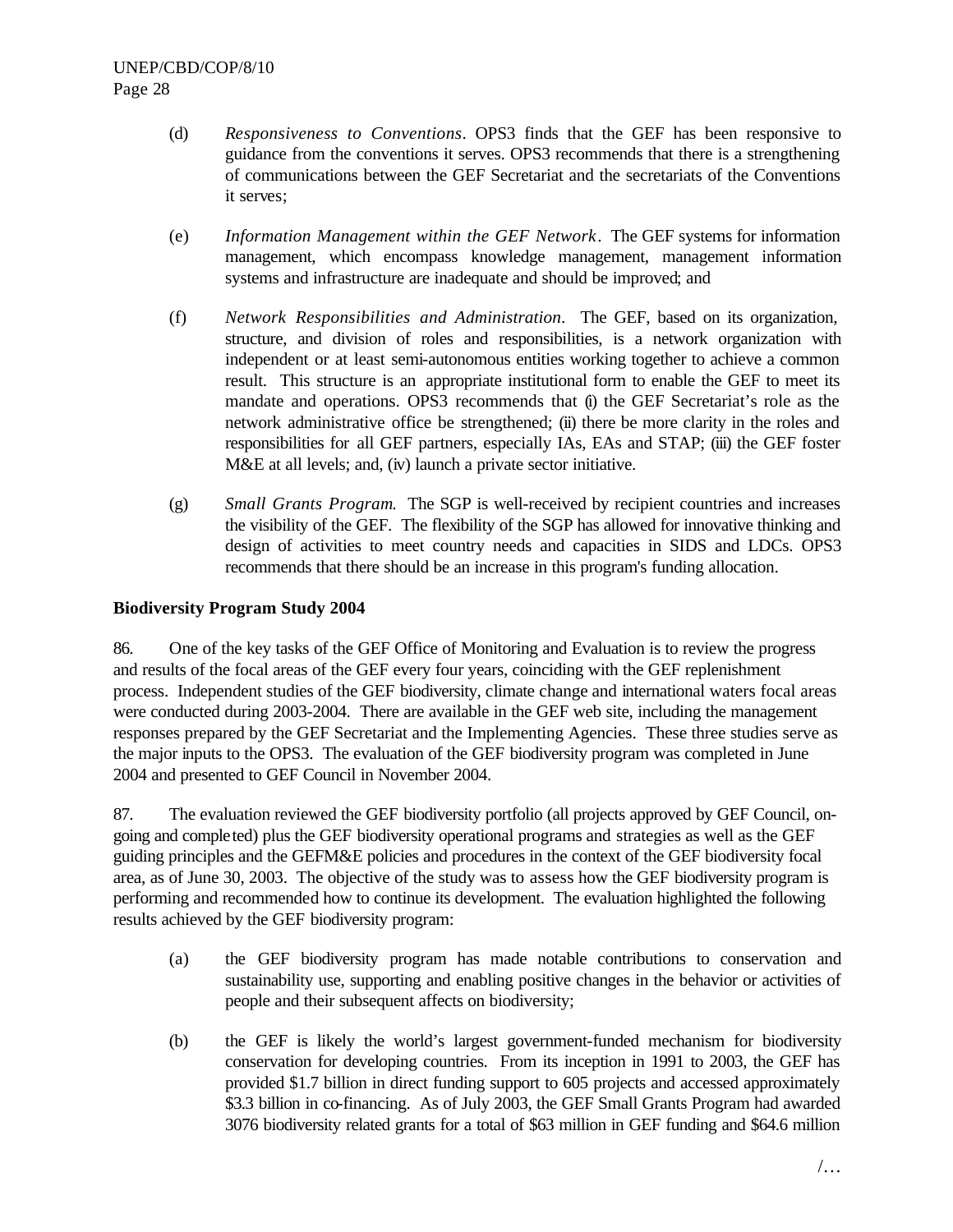- (d) *Responsiveness to Conventions*. OPS3 finds that the GEF has been responsive to guidance from the conventions it serves. OPS3 recommends that there is a strengthening of communications between the GEF Secretariat and the secretariats of the Conventions it serves;
- (e) *Information Management within the GEF Network*. The GEF systems for information management, which encompass knowledge management, management information systems and infrastructure are inadequate and should be improved; and
- (f) *Network Responsibilities and Administration*. The GEF, based on its organization, structure, and division of roles and responsibilities, is a network organization with independent or at least semi-autonomous entities working together to achieve a common result. This structure is an appropriate institutional form to enable the GEF to meet its mandate and operations. OPS3 recommends that (i) the GEF Secretariat's role as the network administrative office be strengthened; (ii) there be more clarity in the roles and responsibilities for all GEF partners, especially IAs, EAs and STAP; (iii) the GEF foster M&E at all levels; and, (iv) launch a private sector initiative.
- (g) *Small Grants Program*. The SGP is well-received by recipient countries and increases the visibility of the GEF. The flexibility of the SGP has allowed for innovative thinking and design of activities to meet country needs and capacities in SIDS and LDCs. OPS3 recommends that there should be an increase in this program's funding allocation.

## **Biodiversity Program Study 2004**

86. One of the key tasks of the GEF Office of Monitoring and Evaluation is to review the progress and results of the focal areas of the GEF every four years, coinciding with the GEF replenishment process. Independent studies of the GEF biodiversity, climate change and international waters focal areas were conducted during 2003-2004. There are available in the GEF web site, including the management responses prepared by the GEF Secretariat and the Implementing Agencies. These three studies serve as the major inputs to the OPS3. The evaluation of the GEF biodiversity program was completed in June 2004 and presented to GEF Council in November 2004.

87. The evaluation reviewed the GEF biodiversity portfolio (all projects approved by GEF Council, ongoing and completed) plus the GEF biodiversity operational programs and strategies as well as the GEF guiding principles and the GEFM&E policies and procedures in the context of the GEF biodiversity focal area, as of June 30, 2003. The objective of the study was to assess how the GEF biodiversity program is performing and recommended how to continue its development. The evaluation highlighted the following results achieved by the GEF biodiversity program:

- (a) the GEF biodiversity program has made notable contributions to conservation and sustainability use, supporting and enabling positive changes in the behavior or activities of people and their subsequent affects on biodiversity;
- (b) the GEF is likely the world's largest government-funded mechanism for biodiversity conservation for developing countries. From its inception in 1991 to 2003, the GEF has provided \$1.7 billion in direct funding support to 605 projects and accessed approximately \$3.3 billion in co-financing. As of July 2003, the GEF Small Grants Program had awarded 3076 biodiversity related grants for a total of \$63 million in GEF funding and \$64.6 million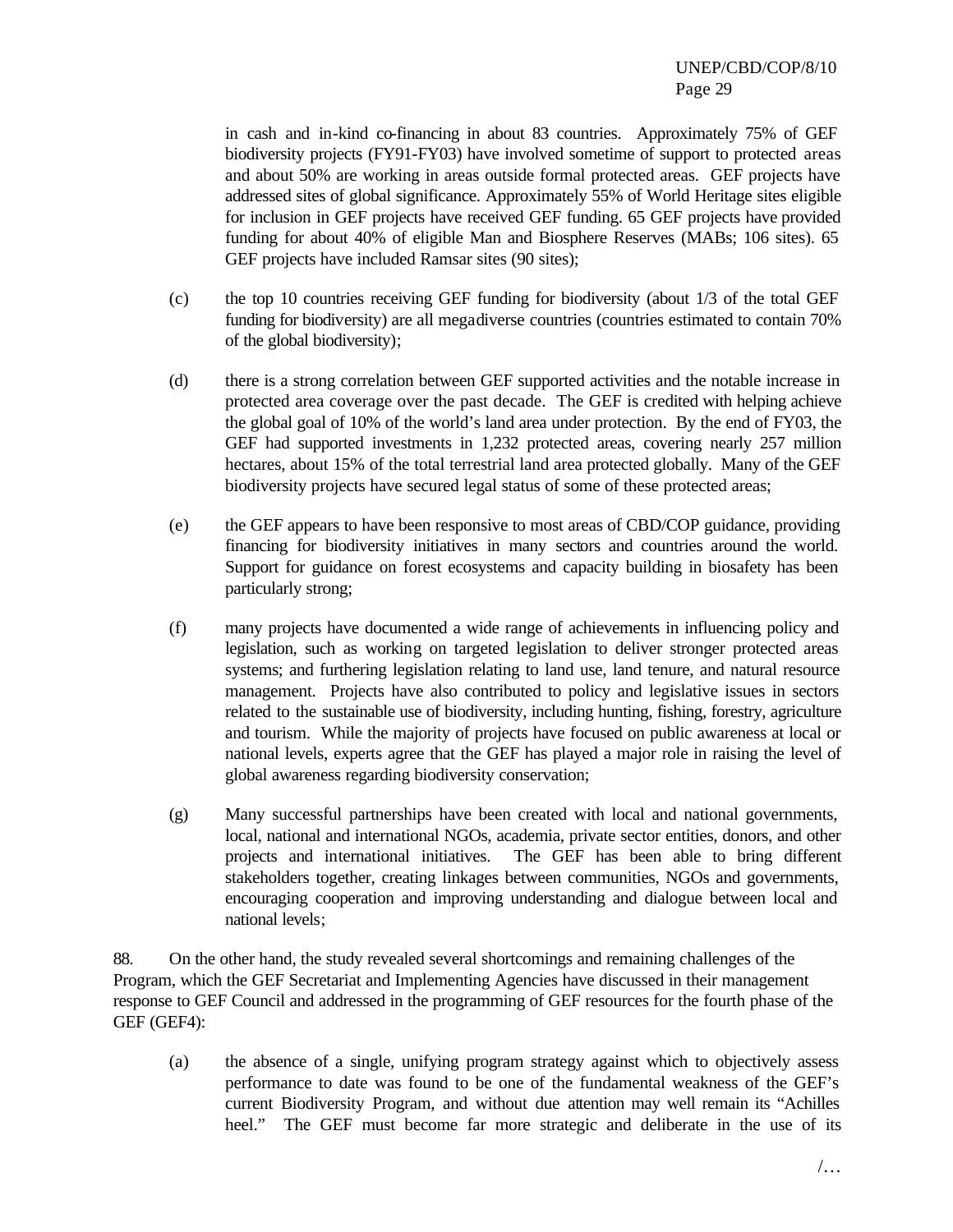in cash and in-kind co-financing in about 83 countries. Approximately 75% of GEF biodiversity projects (FY91-FY03) have involved sometime of support to protected areas and about 50% are working in areas outside formal protected areas. GEF projects have addressed sites of global significance. Approximately 55% of World Heritage sites eligible for inclusion in GEF projects have received GEF funding. 65 GEF projects have provided funding for about 40% of eligible Man and Biosphere Reserves (MABs; 106 sites). 65 GEF projects have included Ramsar sites (90 sites);

- (c) the top 10 countries receiving GEF funding for biodiversity (about 1/3 of the total GEF funding for biodiversity) are all megadiverse countries (countries estimated to contain 70% of the global biodiversity);
- (d) there is a strong correlation between GEF supported activities and the notable increase in protected area coverage over the past decade. The GEF is credited with helping achieve the global goal of 10% of the world's land area under protection. By the end of FY03, the GEF had supported investments in 1,232 protected areas, covering nearly 257 million hectares, about 15% of the total terrestrial land area protected globally. Many of the GEF biodiversity projects have secured legal status of some of these protected areas;
- (e) the GEF appears to have been responsive to most areas of CBD/COP guidance, providing financing for biodiversity initiatives in many sectors and countries around the world. Support for guidance on forest ecosystems and capacity building in biosafety has been particularly strong;
- (f) many projects have documented a wide range of achievements in influencing policy and legislation, such as working on targeted legislation to deliver stronger protected areas systems; and furthering legislation relating to land use, land tenure, and natural resource management. Projects have also contributed to policy and legislative issues in sectors related to the sustainable use of biodiversity, including hunting, fishing, forestry, agriculture and tourism. While the majority of projects have focused on public awareness at local or national levels, experts agree that the GEF has played a major role in raising the level of global awareness regarding biodiversity conservation;
- (g) Many successful partnerships have been created with local and national governments, local, national and international NGOs, academia, private sector entities, donors, and other projects and international initiatives. The GEF has been able to bring different stakeholders together, creating linkages between communities, NGOs and governments, encouraging cooperation and improving understanding and dialogue between local and national levels;

88. On the other hand, the study revealed several shortcomings and remaining challenges of the Program, which the GEF Secretariat and Implementing Agencies have discussed in their management response to GEF Council and addressed in the programming of GEF resources for the fourth phase of the GEF (GEF4):

(a) the absence of a single, unifying program strategy against which to objectively assess performance to date was found to be one of the fundamental weakness of the GEF's current Biodiversity Program, and without due attention may well remain its "Achilles heel." The GEF must become far more strategic and deliberate in the use of its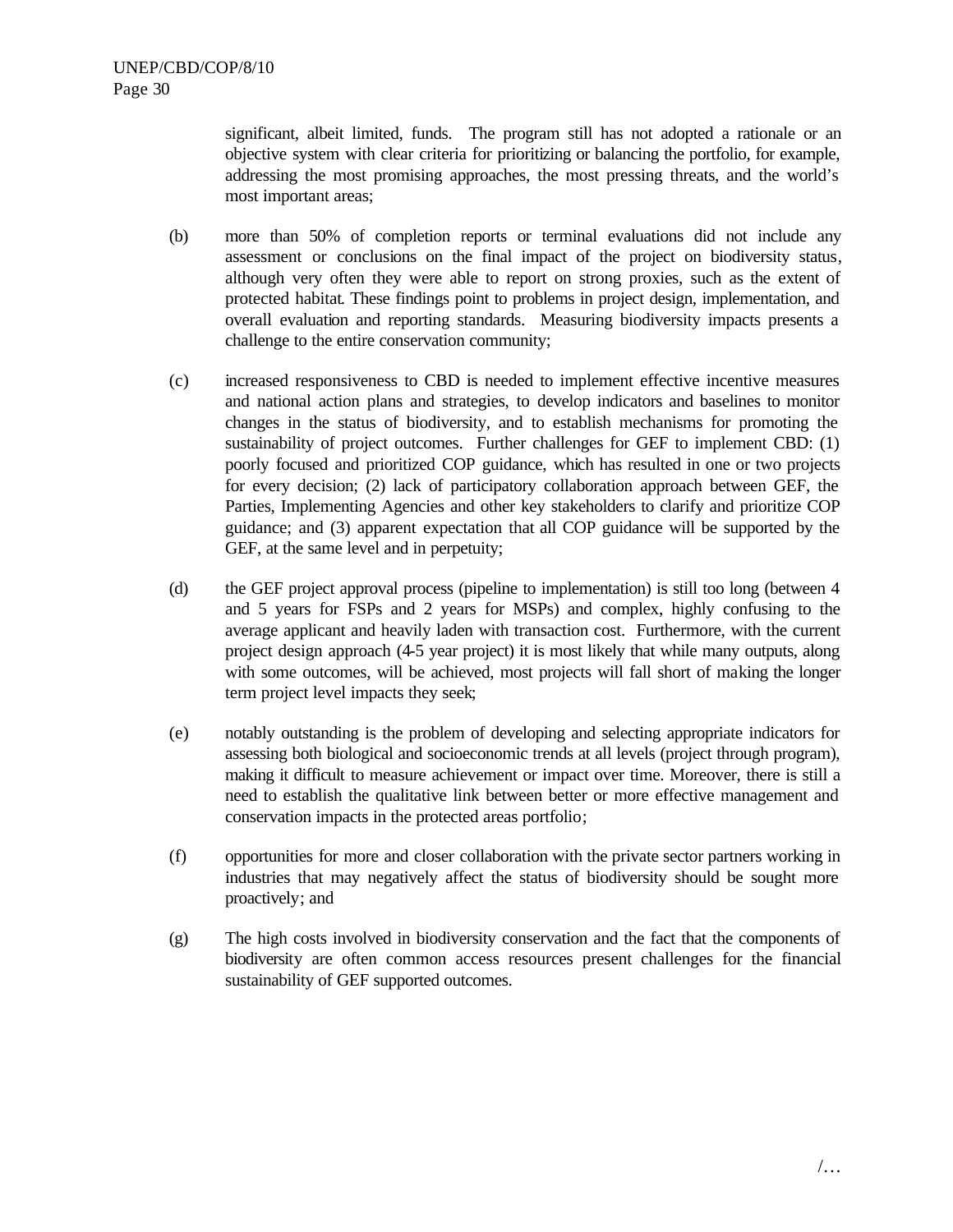significant, albeit limited, funds. The program still has not adopted a rationale or an objective system with clear criteria for prioritizing or balancing the portfolio, for example, addressing the most promising approaches, the most pressing threats, and the world's most important areas;

- (b) more than 50% of completion reports or terminal evaluations did not include any assessment or conclusions on the final impact of the project on biodiversity status, although very often they were able to report on strong proxies, such as the extent of protected habitat. These findings point to problems in project design, implementation, and overall evaluation and reporting standards. Measuring biodiversity impacts presents a challenge to the entire conservation community;
- (c) increased responsiveness to CBD is needed to implement effective incentive measures and national action plans and strategies, to develop indicators and baselines to monitor changes in the status of biodiversity, and to establish mechanisms for promoting the sustainability of project outcomes. Further challenges for GEF to implement CBD: (1) poorly focused and prioritized COP guidance, which has resulted in one or two projects for every decision; (2) lack of participatory collaboration approach between GEF, the Parties, Implementing Agencies and other key stakeholders to clarify and prioritize COP guidance; and (3) apparent expectation that all COP guidance will be supported by the GEF, at the same level and in perpetuity;
- (d) the GEF project approval process (pipeline to implementation) is still too long (between 4 and 5 years for FSPs and 2 years for MSPs) and complex, highly confusing to the average applicant and heavily laden with transaction cost. Furthermore, with the current project design approach (4-5 year project) it is most likely that while many outputs, along with some outcomes, will be achieved, most projects will fall short of making the longer term project level impacts they seek;
- (e) notably outstanding is the problem of developing and selecting appropriate indicators for assessing both biological and socioeconomic trends at all levels (project through program), making it difficult to measure achievement or impact over time. Moreover, there is still a need to establish the qualitative link between better or more effective management and conservation impacts in the protected areas portfolio;
- (f) opportunities for more and closer collaboration with the private sector partners working in industries that may negatively affect the status of biodiversity should be sought more proactively; and
- (g) The high costs involved in biodiversity conservation and the fact that the components of biodiversity are often common access resources present challenges for the financial sustainability of GEF supported outcomes.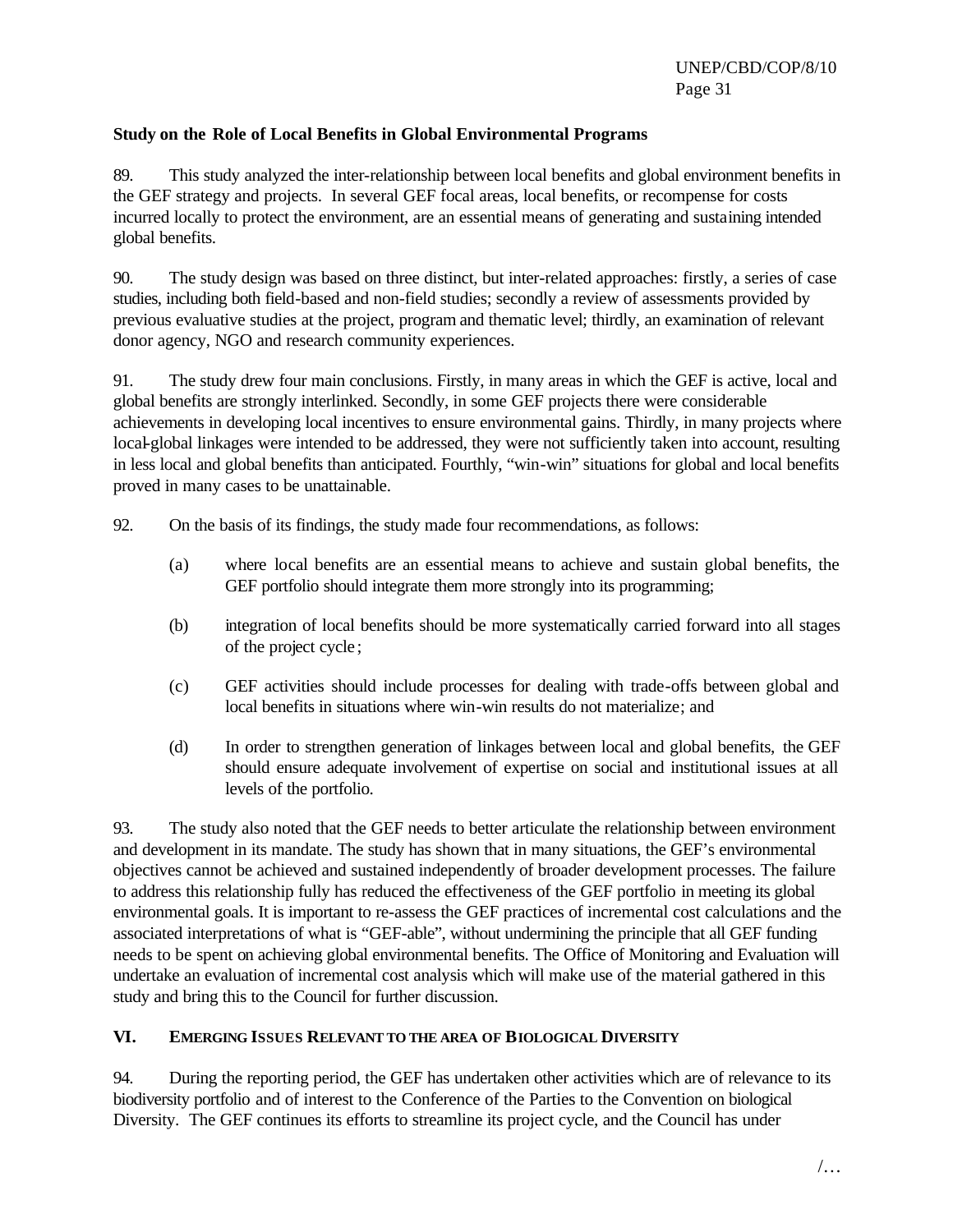#### **Study on the Role of Local Benefits in Global Environmental Programs**

89. This study analyzed the inter-relationship between local benefits and global environment benefits in the GEF strategy and projects. In several GEF focal areas, local benefits, or recompense for costs incurred locally to protect the environment, are an essential means of generating and sustaining intended global benefits.

90. The study design was based on three distinct, but inter-related approaches: firstly, a series of case studies, including both field-based and non-field studies; secondly a review of assessments provided by previous evaluative studies at the project, program and thematic level; thirdly, an examination of relevant donor agency, NGO and research community experiences.

91. The study drew four main conclusions. Firstly, in many areas in which the GEF is active, local and global benefits are strongly interlinked. Secondly, in some GEF projects there were considerable achievements in developing local incentives to ensure environmental gains. Thirdly, in many projects where local-global linkages were intended to be addressed, they were not sufficiently taken into account, resulting in less local and global benefits than anticipated. Fourthly, "win-win" situations for global and local benefits proved in many cases to be unattainable.

- 92. On the basis of its findings, the study made four recommendations, as follows:
	- (a) where local benefits are an essential means to achieve and sustain global benefits, the GEF portfolio should integrate them more strongly into its programming;
	- (b) integration of local benefits should be more systematically carried forward into all stages of the project cycle ;
	- (c) GEF activities should include processes for dealing with trade-offs between global and local benefits in situations where win-win results do not materialize; and
	- (d) In order to strengthen generation of linkages between local and global benefits, the GEF should ensure adequate involvement of expertise on social and institutional issues at all levels of the portfolio.

93. The study also noted that the GEF needs to better articulate the relationship between environment and development in its mandate. The study has shown that in many situations, the GEF's environmental objectives cannot be achieved and sustained independently of broader development processes. The failure to address this relationship fully has reduced the effectiveness of the GEF portfolio in meeting its global environmental goals. It is important to re-assess the GEF practices of incremental cost calculations and the associated interpretations of what is "GEF-able", without undermining the principle that all GEF funding needs to be spent on achieving global environmental benefits. The Office of Monitoring and Evaluation will undertake an evaluation of incremental cost analysis which will make use of the material gathered in this study and bring this to the Council for further discussion.

#### **VI. EMERGING ISSUES RELEVANT TO THE AREA OF BIOLOGICAL DIVERSITY**

94. During the reporting period, the GEF has undertaken other activities which are of relevance to its biodiversity portfolio and of interest to the Conference of the Parties to the Convention on biological Diversity. The GEF continues its efforts to streamline its project cycle, and the Council has under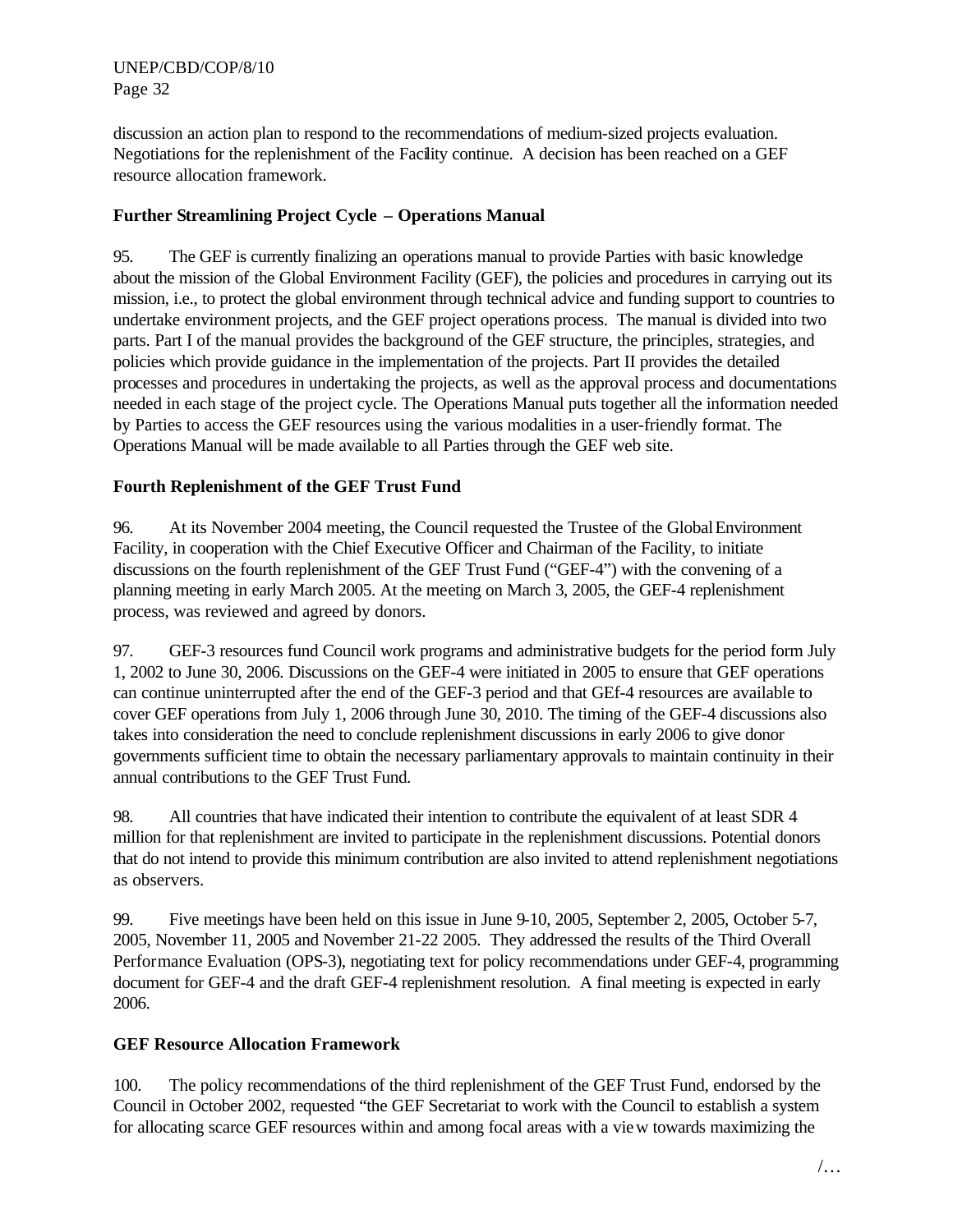discussion an action plan to respond to the recommendations of medium-sized projects evaluation. Negotiations for the replenishment of the Facility continue. A decision has been reached on a GEF resource allocation framework.

## **Further Streamlining Project Cycle – Operations Manual**

95. The GEF is currently finalizing an operations manual to provide Parties with basic knowledge about the mission of the Global Environment Facility (GEF), the policies and procedures in carrying out its mission, i.e., to protect the global environment through technical advice and funding support to countries to undertake environment projects, and the GEF project operations process. The manual is divided into two parts. Part I of the manual provides the background of the GEF structure, the principles, strategies, and policies which provide guidance in the implementation of the projects. Part II provides the detailed processes and procedures in undertaking the projects, as well as the approval process and documentations needed in each stage of the project cycle. The Operations Manual puts together all the information needed by Parties to access the GEF resources using the various modalities in a user-friendly format. The Operations Manual will be made available to all Parties through the GEF web site.

## **Fourth Replenishment of the GEF Trust Fund**

96. At its November 2004 meeting, the Council requested the Trustee of the Global Environment Facility, in cooperation with the Chief Executive Officer and Chairman of the Facility, to initiate discussions on the fourth replenishment of the GEF Trust Fund ("GEF-4") with the convening of a planning meeting in early March 2005. At the meeting on March 3, 2005, the GEF-4 replenishment process, was reviewed and agreed by donors.

97. GEF-3 resources fund Council work programs and administrative budgets for the period form July 1, 2002 to June 30, 2006. Discussions on the GEF-4 were initiated in 2005 to ensure that GEF operations can continue uninterrupted after the end of the GEF-3 period and that GEf-4 resources are available to cover GEF operations from July 1, 2006 through June 30, 2010. The timing of the GEF-4 discussions also takes into consideration the need to conclude replenishment discussions in early 2006 to give donor governments sufficient time to obtain the necessary parliamentary approvals to maintain continuity in their annual contributions to the GEF Trust Fund.

98. All countries that have indicated their intention to contribute the equivalent of at least SDR 4 million for that replenishment are invited to participate in the replenishment discussions. Potential donors that do not intend to provide this minimum contribution are also invited to attend replenishment negotiations as observers.

99. Five meetings have been held on this issue in June 9-10, 2005, September 2, 2005, October 5-7, 2005, November 11, 2005 and November 21-22 2005. They addressed the results of the Third Overall Performance Evaluation (OPS-3), negotiating text for policy recommendations under GEF-4, programming document for GEF-4 and the draft GEF-4 replenishment resolution. A final meeting is expected in early 2006.

## **GEF Resource Allocation Framework**

100. The policy recommendations of the third replenishment of the GEF Trust Fund, endorsed by the Council in October 2002, requested "the GEF Secretariat to work with the Council to establish a system for allocating scarce GEF resources within and among focal areas with a view towards maximizing the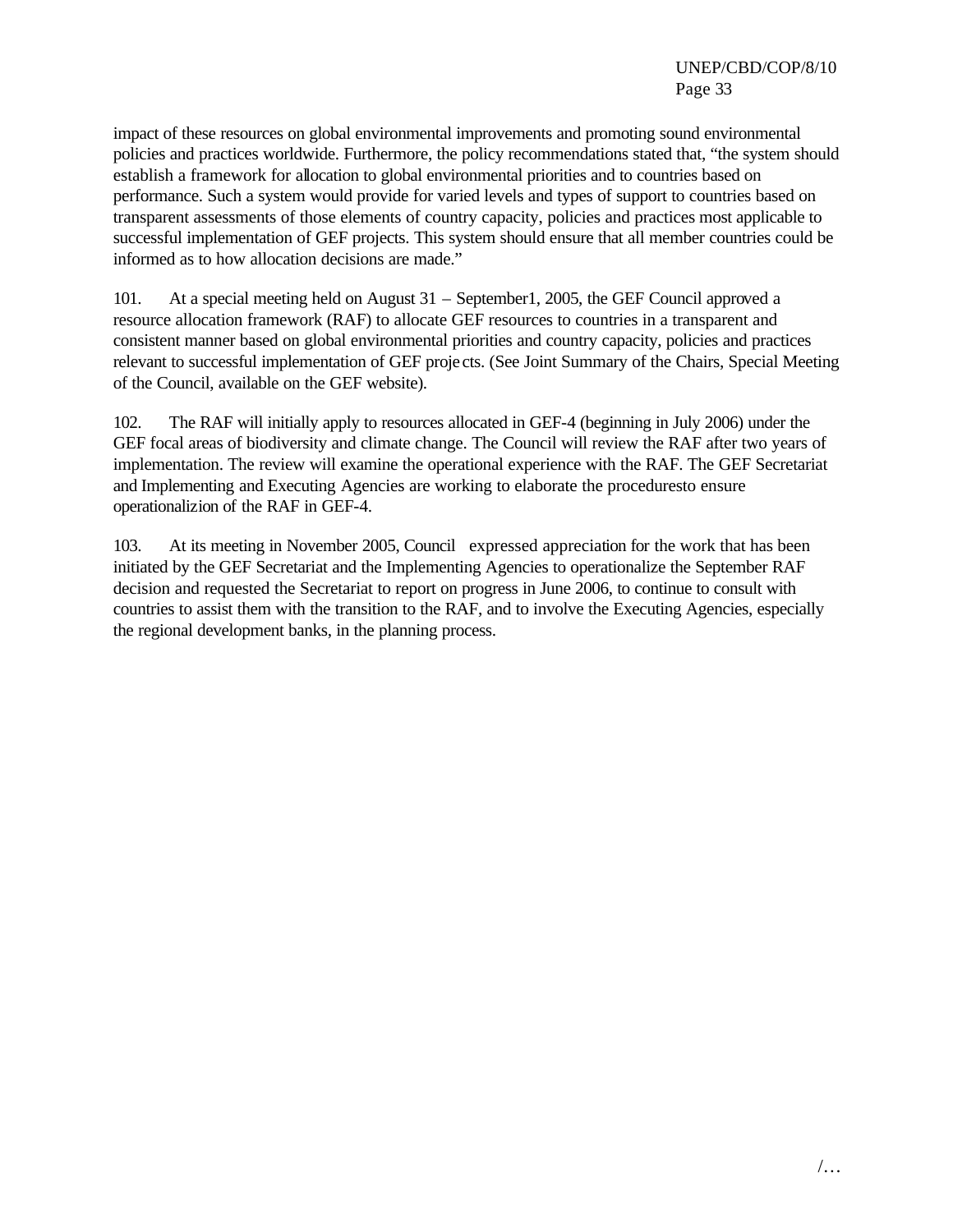impact of these resources on global environmental improvements and promoting sound environmental policies and practices worldwide. Furthermore, the policy recommendations stated that, "the system should establish a framework for allocation to global environmental priorities and to countries based on performance. Such a system would provide for varied levels and types of support to countries based on transparent assessments of those elements of country capacity, policies and practices most applicable to successful implementation of GEF projects. This system should ensure that all member countries could be informed as to how allocation decisions are made."

101. At a special meeting held on August 31 – September1, 2005, the GEF Council approved a resource allocation framework (RAF) to allocate GEF resources to countries in a transparent and consistent manner based on global environmental priorities and country capacity, policies and practices relevant to successful implementation of GEF proje cts. (See Joint Summary of the Chairs, Special Meeting of the Council, available on the GEF website).

102. The RAF will initially apply to resources allocated in GEF-4 (beginning in July 2006) under the GEF focal areas of biodiversity and climate change. The Council will review the RAF after two years of implementation. The review will examine the operational experience with the RAF. The GEF Secretariat and Implementing and Executing Agencies are working to elaborate the proceduresto ensure operationalizion of the RAF in GEF-4.

103. At its meeting in November 2005, Council expressed appreciation for the work that has been initiated by the GEF Secretariat and the Implementing Agencies to operationalize the September RAF decision and requested the Secretariat to report on progress in June 2006, to continue to consult with countries to assist them with the transition to the RAF, and to involve the Executing Agencies, especially the regional development banks, in the planning process.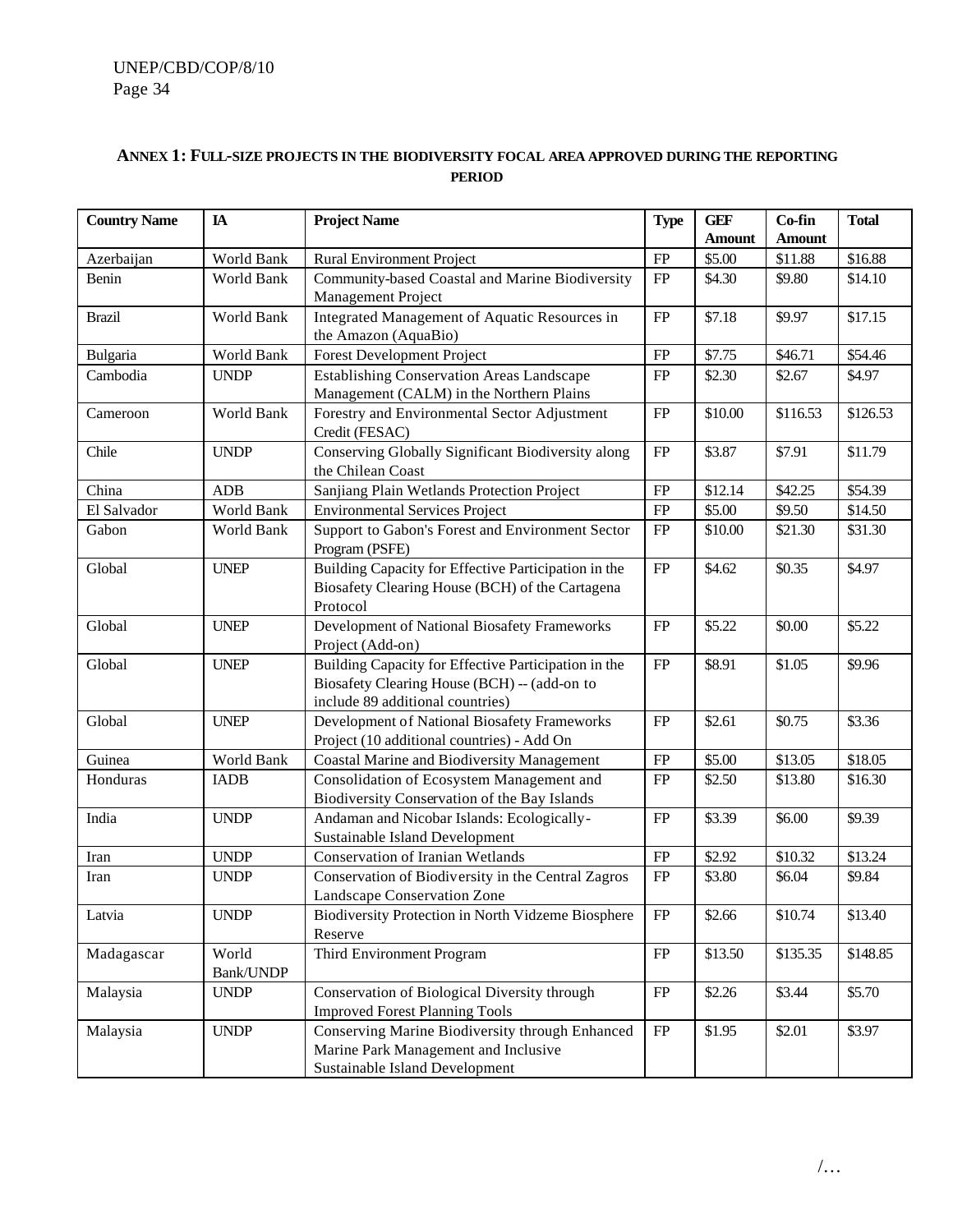## **ANNEX 1: FULL-SIZE PROJECTS IN THE BIODIVERSITY FOCAL AREA APPROVED DURING THE REPORTING PERIOD**

| <b>Country Name</b> | $I\!\!A$                                                                                                                                                                                 | <b>Project Name</b>                                                                                                                      | <b>Type</b> | <b>GEF</b>    | Co-fin        | <b>Total</b> |  |
|---------------------|------------------------------------------------------------------------------------------------------------------------------------------------------------------------------------------|------------------------------------------------------------------------------------------------------------------------------------------|-------------|---------------|---------------|--------------|--|
|                     |                                                                                                                                                                                          |                                                                                                                                          |             | <b>Amount</b> | <b>Amount</b> |              |  |
| Azerbaijan          | World Bank                                                                                                                                                                               | <b>Rural Environment Project</b>                                                                                                         | FP          | \$5.00        | \$11.88       | \$16.88      |  |
| Benin               | World Bank                                                                                                                                                                               | Community-based Coastal and Marine Biodiversity                                                                                          | FP          | \$4.30        | \$9.80        | \$14.10      |  |
|                     |                                                                                                                                                                                          | Management Project                                                                                                                       |             |               |               |              |  |
| <b>Brazil</b>       | World Bank                                                                                                                                                                               | Integrated Management of Aquatic Resources in                                                                                            | FP          | \$7.18        | \$9.97        | \$17.15      |  |
|                     |                                                                                                                                                                                          | the Amazon (AquaBio)                                                                                                                     |             |               |               |              |  |
| Bulgaria            | World Bank                                                                                                                                                                               | <b>Forest Development Project</b>                                                                                                        | FP          | \$7.75        | \$46.71       | \$54.46      |  |
| Cambodia            | <b>UNDP</b>                                                                                                                                                                              | <b>Establishing Conservation Areas Landscape</b>                                                                                         | FP          | \$2.30        | \$2.67        | \$4.97       |  |
|                     |                                                                                                                                                                                          | Management (CALM) in the Northern Plains                                                                                                 |             |               |               |              |  |
| Cameroon            | World Bank                                                                                                                                                                               | Forestry and Environmental Sector Adjustment<br>Credit (FESAC)                                                                           | FP          | \$10.00       | \$116.53      | \$126.53     |  |
| Chile               | <b>UNDP</b>                                                                                                                                                                              | Conserving Globally Significant Biodiversity along                                                                                       | FP          | \$3.87        | \$7.91        | \$11.79      |  |
|                     |                                                                                                                                                                                          | the Chilean Coast                                                                                                                        |             |               |               |              |  |
| China               | ADB                                                                                                                                                                                      | Sanjiang Plain Wetlands Protection Project                                                                                               | FP          | \$12.14       | \$42.25       | \$54.39      |  |
| El Salvador         | World Bank                                                                                                                                                                               | <b>Environmental Services Project</b>                                                                                                    | FP          | \$5.00        | \$9.50        | \$14.50      |  |
| Gabon               | World Bank                                                                                                                                                                               | Support to Gabon's Forest and Environment Sector<br>Program (PSFE)                                                                       | FP          | \$10.00       | \$21.30       | \$31.30      |  |
| Global              | <b>UNEP</b>                                                                                                                                                                              | Building Capacity for Effective Participation in the<br>Biosafety Clearing House (BCH) of the Cartagena<br>Protocol                      | FP          | \$4.62        | \$0.35        | \$4.97       |  |
| Global              | <b>UNEP</b>                                                                                                                                                                              | Development of National Biosafety Frameworks<br>Project (Add-on)                                                                         | FP          | \$5.22        | \$0.00        | \$5.22       |  |
| Global              | <b>UNEP</b>                                                                                                                                                                              | Building Capacity for Effective Participation in the<br>Biosafety Clearing House (BCH) -- (add-on to<br>include 89 additional countries) | FP          | \$8.91        | \$1.05        | \$9.96       |  |
| Global              | <b>UNEP</b>                                                                                                                                                                              | Development of National Biosafety Frameworks<br>Project (10 additional countries) - Add On                                               | FP          | \$2.61        | \$0.75        | \$3.36       |  |
| Guinea              | World Bank                                                                                                                                                                               | <b>Coastal Marine and Biodiversity Management</b>                                                                                        | FP          | \$5.00        | \$13.05       | \$18.05      |  |
| Honduras            | <b>IADB</b>                                                                                                                                                                              | Consolidation of Ecosystem Management and                                                                                                | FP          | \$2.50        | \$13.80       | \$16.30      |  |
|                     |                                                                                                                                                                                          | Biodiversity Conservation of the Bay Islands                                                                                             |             |               |               |              |  |
| India               | <b>UNDP</b>                                                                                                                                                                              | Andaman and Nicobar Islands: Ecologically-                                                                                               | FP          | \$3.39        | \$6.00        | \$9.39       |  |
|                     |                                                                                                                                                                                          | Sustainable Island Development                                                                                                           |             |               |               |              |  |
| Iran                | <b>UNDP</b>                                                                                                                                                                              | <b>Conservation of Iranian Wetlands</b>                                                                                                  | FP          | \$2.92        | \$10.32       | \$13.24      |  |
| Iran                | <b>UNDP</b>                                                                                                                                                                              | Conservation of Biodiversity in the Central Zagros<br>Landscape Conservation Zone                                                        | FP          | \$3.80        | \$6.04        | \$9.84       |  |
| Latvia              | <b>UNDP</b>                                                                                                                                                                              | Biodiversity Protection in North Vidzeme Biosphere<br>Reserve                                                                            | FP          | \$2.66        | \$10.74       | \$13.40      |  |
| Madagascar          | World<br>Bank/UNDP                                                                                                                                                                       | Third Environment Program                                                                                                                | FP          | \$13.50       | \$135.35      | \$148.85     |  |
| Malaysia            | <b>UNDP</b>                                                                                                                                                                              | Conservation of Biological Diversity through                                                                                             | FP          | \$2.26        | \$3.44        | \$5.70       |  |
| Malaysia            | <b>Improved Forest Planning Tools</b><br>Conserving Marine Biodiversity through Enhanced<br><b>UNDP</b><br>Marine Park Management and Inclusive<br><b>Sustainable Island Development</b> |                                                                                                                                          |             |               | \$2.01        | \$3.97       |  |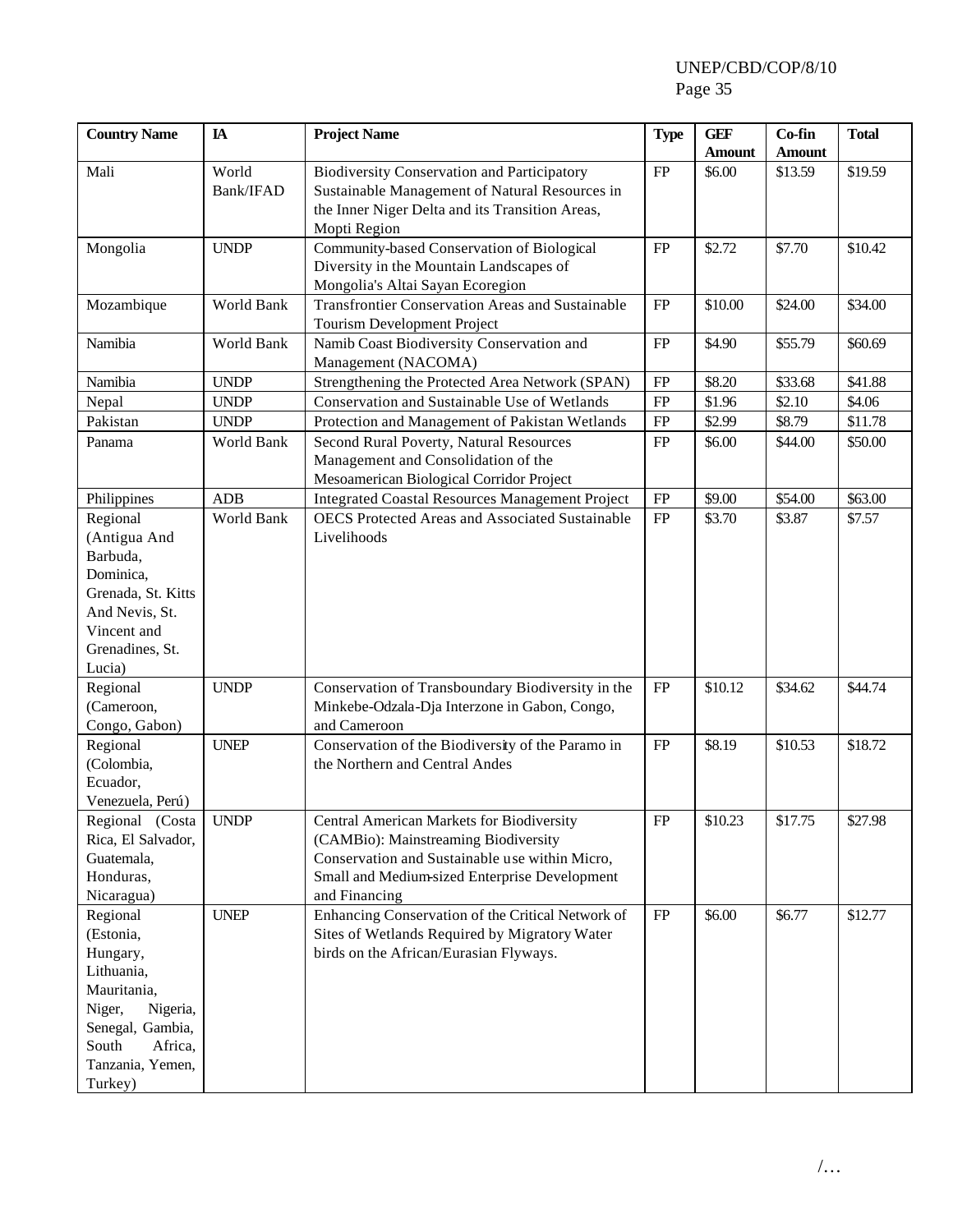| <b>Country Name</b>                                                                                                                                         | IA                           | <b>Project Name</b>                                                                                                                                                                                   | <b>Type</b> | <b>GEF</b><br><b>Amount</b> | Co-fin<br><b>Amount</b> | <b>Total</b> |
|-------------------------------------------------------------------------------------------------------------------------------------------------------------|------------------------------|-------------------------------------------------------------------------------------------------------------------------------------------------------------------------------------------------------|-------------|-----------------------------|-------------------------|--------------|
| Mali                                                                                                                                                        | World<br>Bank/IFAD           | <b>Biodiversity Conservation and Participatory</b><br>Sustainable Management of Natural Resources in<br>the Inner Niger Delta and its Transition Areas,<br>Mopti Region                               | ${\rm FP}$  | \$6.00                      | \$13.59                 | \$19.59      |
| Mongolia                                                                                                                                                    | <b>UNDP</b>                  | Community-based Conservation of Biological<br>Diversity in the Mountain Landscapes of<br>Mongolia's Altai Sayan Ecoregion                                                                             | FP          | \$2.72                      | \$7.70                  | \$10.42      |
| Mozambique                                                                                                                                                  | World Bank                   | <b>Transfrontier Conservation Areas and Sustainable</b><br>Tourism Development Project                                                                                                                | FP          | \$10.00                     | \$24.00                 | \$34.00      |
| Namibia                                                                                                                                                     | World Bank                   | Namib Coast Biodiversity Conservation and<br>Management (NACOMA)                                                                                                                                      | FP          | \$4.90                      | \$55.79                 | \$60.69      |
| Namibia                                                                                                                                                     | <b>UNDP</b>                  | Strengthening the Protected Area Network (SPAN)                                                                                                                                                       | FP          | \$8.20                      | \$33.68                 | \$41.88      |
| Nepal                                                                                                                                                       | <b>UNDP</b>                  | Conservation and Sustainable Use of Wetlands                                                                                                                                                          | FP          | \$1.96                      | \$2.10                  | \$4.06       |
| Pakistan                                                                                                                                                    | <b>UNDP</b>                  | Protection and Management of Pakistan Wetlands                                                                                                                                                        | ${\rm FP}$  | \$2.99                      | \$8.79                  | \$11.78      |
| Panama                                                                                                                                                      | World Bank                   | Second Rural Poverty, Natural Resources<br>Management and Consolidation of the<br>Mesoamerican Biological Corridor Project                                                                            | FP          | \$6.00                      | \$44.00                 | \$50.00      |
| Philippines                                                                                                                                                 | <b>ADB</b>                   | <b>Integrated Coastal Resources Management Project</b>                                                                                                                                                | ${\rm FP}$  | \$9.00                      | \$54.00                 | \$63.00      |
| Regional<br>(Antigua And<br>Barbuda,<br>Dominica,<br>Grenada, St. Kitts<br>And Nevis, St.<br>Vincent and<br>Grenadines, St.<br>Lucia)                       | World Bank                   | <b>OECS</b> Protected Areas and Associated Sustainable<br>Livelihoods                                                                                                                                 | FP          | \$3.70                      | \$3.87                  | \$7.57       |
| Regional<br>(Cameroon,<br>Congo, Gabon)                                                                                                                     | <b>UNDP</b>                  | Conservation of Transboundary Biodiversity in the<br>Minkebe-Odzala-Dja Interzone in Gabon, Congo,<br>and Cameroon                                                                                    | ${\rm FP}$  | \$10.12                     | \$34.62                 | \$44.74      |
| Regional<br>(Colombia,<br>Ecuador,<br>Venezuela, Perú)                                                                                                      | <b>UNEP</b>                  | Conservation of the Biodiversity of the Paramo in<br>the Northern and Central Andes                                                                                                                   | FP          | \$8.19                      | \$10.53                 | \$18.72      |
| Regional (Costa<br>Rica, El Salvador,<br>Guatemala,<br>Honduras,<br>Nicaragua)                                                                              | $\ensuremath{\mathrm{UNDP}}$ | Central American Markets for Biodiversity<br>(CAMBio): Mainstreaming Biodiversity<br>Conservation and Sustainable use within Micro,<br>Small and Medium-sized Enterprise Development<br>and Financing | ${\rm FP}$  | \$10.23                     | \$17.75                 | \$27.98      |
| Regional<br>(Estonia,<br>Hungary,<br>Lithuania,<br>Mauritania,<br>Niger,<br>Nigeria,<br>Senegal, Gambia,<br>South<br>Africa,<br>Tanzania, Yemen,<br>Turkey) | <b>UNEP</b>                  | Enhancing Conservation of the Critical Network of<br>Sites of Wetlands Required by Migratory Water<br>birds on the African/Eurasian Flyways.                                                          | FP          | \$6.00                      | \$6.77                  | \$12.77      |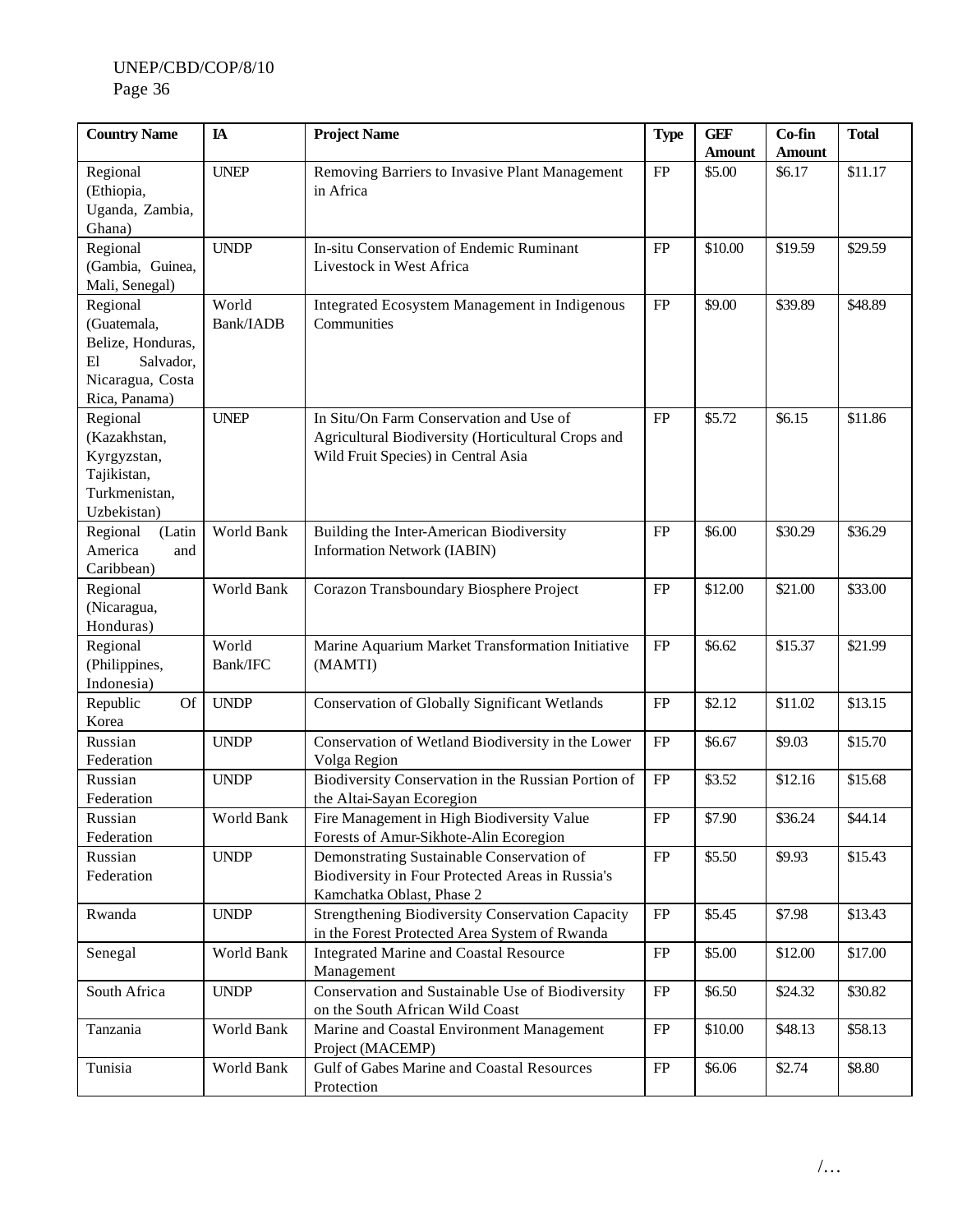| <b>Country Name</b>                                                                                  | IA                 | <b>Project Name</b>                                                                                                                  | <b>Type</b> | <b>GEF</b><br><b>Amount</b> | Co-fin<br><b>Amount</b> | <b>Total</b> |
|------------------------------------------------------------------------------------------------------|--------------------|--------------------------------------------------------------------------------------------------------------------------------------|-------------|-----------------------------|-------------------------|--------------|
| Regional<br>(Ethiopia,<br>Uganda, Zambia,<br>Ghana)                                                  | <b>UNEP</b>        | Removing Barriers to Invasive Plant Management<br>in Africa                                                                          | ${\rm FP}$  | \$5.00                      | \$6.17                  | \$11.17      |
| Regional<br>(Gambia, Guinea,<br>Mali, Senegal)                                                       | <b>UNDP</b>        | In-situ Conservation of Endemic Ruminant<br>Livestock in West Africa                                                                 | ${\rm FP}$  | \$10.00                     | \$19.59                 | \$29.59      |
| Regional<br>(Guatemala,<br>Belize, Honduras,<br>E1<br>Salvador,<br>Nicaragua, Costa<br>Rica, Panama) | World<br>Bank/IADB | Integrated Ecosystem Management in Indigenous<br>Communities                                                                         | ${\rm FP}$  | \$9.00                      | \$39.89                 | \$48.89      |
| Regional<br>(Kazakhstan,<br>Kyrgyzstan,<br>Tajikistan,<br>Turkmenistan,<br>Uzbekistan)               | <b>UNEP</b>        | In Situ/On Farm Conservation and Use of<br>Agricultural Biodiversity (Horticultural Crops and<br>Wild Fruit Species) in Central Asia | ${\rm FP}$  | \$5.72                      | \$6.15                  | \$11.86      |
| Regional<br>(Latin<br>America<br>and<br>Caribbean)                                                   | World Bank         | Building the Inter-American Biodiversity<br><b>Information Network (IABIN)</b>                                                       | <b>FP</b>   | \$6.00                      | \$30.29                 | \$36.29      |
| Regional<br>(Nicaragua,<br>Honduras)                                                                 | World Bank         | Corazon Transboundary Biosphere Project                                                                                              | FP          | \$12.00                     | \$21.00                 | \$33.00      |
| Regional<br>(Philippines,<br>Indonesia)                                                              | World<br>Bank/IFC  | Marine Aquarium Market Transformation Initiative<br>(MAMTI)                                                                          | FP          | \$6.62                      | \$15.37                 | \$21.99      |
| Republic<br><b>Of</b><br>Korea                                                                       | <b>UNDP</b>        | <b>Conservation of Globally Significant Wetlands</b>                                                                                 | FP          | \$2.12                      | \$11.02                 | \$13.15      |
| Russian<br>Federation                                                                                | <b>UNDP</b>        | Conservation of Wetland Biodiversity in the Lower<br>Volga Region                                                                    | FP          | \$6.67                      | \$9.03                  | \$15.70      |
| Russian<br>Federation                                                                                | <b>UNDP</b>        | Biodiversity Conservation in the Russian Portion of<br>the Altai-Sayan Ecoregion                                                     | ${\rm FP}$  | \$3.52                      | \$12.16                 | \$15.68      |
| Russian<br>Federation                                                                                | World Bank         | Fire Management in High Biodiversity Value<br>Forests of Amur-Sikhote-Alin Ecoregion                                                 | ${\rm FP}$  | \$7.90                      | \$36.24                 | \$44.14      |
| Russian<br>Federation                                                                                | <b>UNDP</b>        | Demonstrating Sustainable Conservation of<br>Biodiversity in Four Protected Areas in Russia's<br>Kamchatka Oblast, Phase 2           | ${\rm FP}$  | \$5.50                      | \$9.93                  | \$15.43      |
| Rwanda                                                                                               | <b>UNDP</b>        | Strengthening Biodiversity Conservation Capacity<br>in the Forest Protected Area System of Rwanda                                    | FP          | \$5.45                      | \$7.98                  | \$13.43      |
| Senegal                                                                                              | World Bank         | <b>Integrated Marine and Coastal Resource</b><br>Management                                                                          | FP          | \$5.00                      | \$12.00                 | \$17.00      |
| South Africa                                                                                         | <b>UNDP</b>        | Conservation and Sustainable Use of Biodiversity<br>on the South African Wild Coast                                                  | FP          | \$6.50                      | \$24.32                 | \$30.82      |
| Tanzania                                                                                             | World Bank         | Marine and Coastal Environment Management<br>Project (MACEMP)                                                                        | ${\rm FP}$  | \$10.00                     | \$48.13                 | \$58.13      |
| Tunisia                                                                                              | World Bank         | Gulf of Gabes Marine and Coastal Resources<br>Protection                                                                             | FP          | \$6.06                      | \$2.74                  | \$8.80       |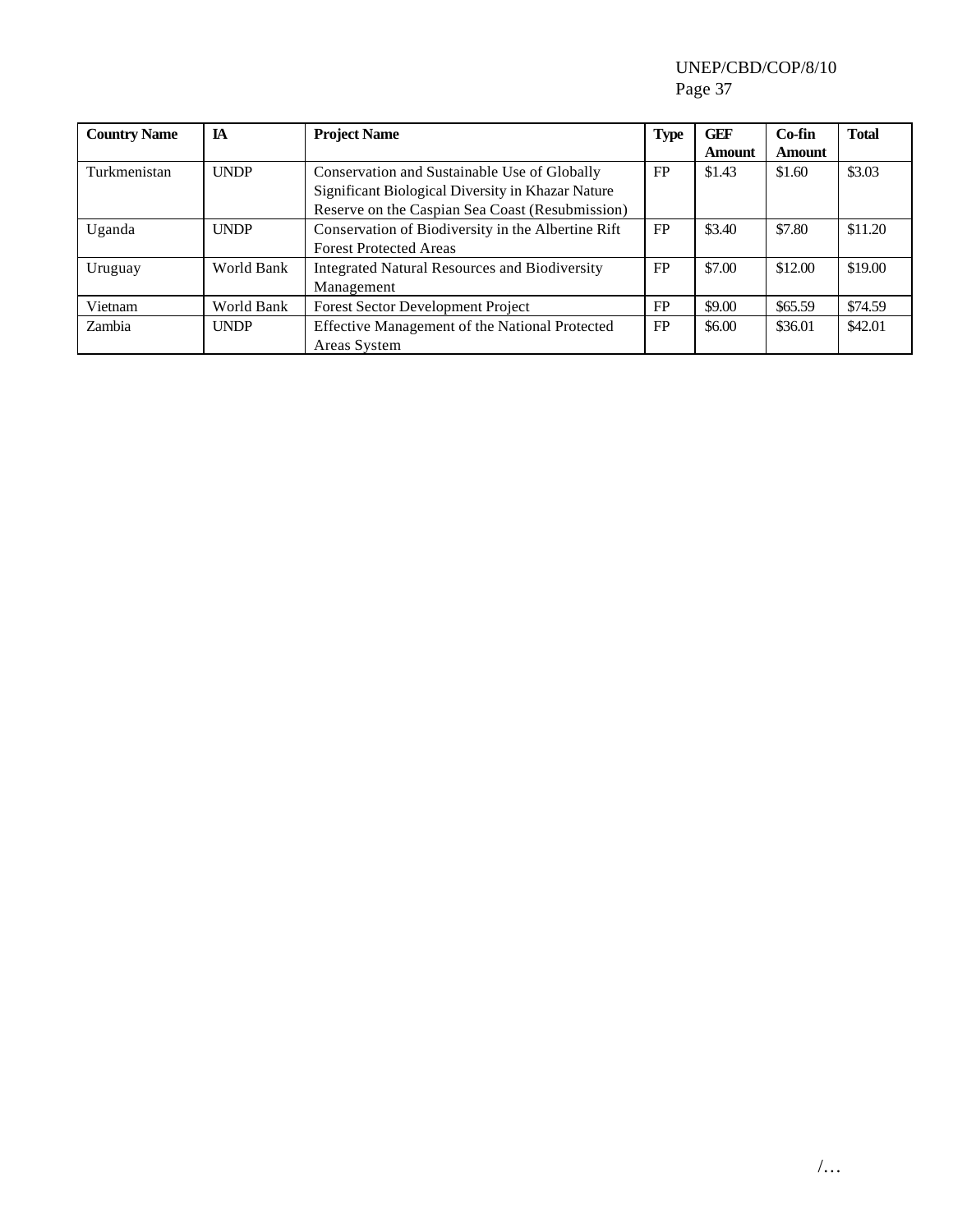| <b>Country Name</b> | <b>IA</b>   | <b>Type</b><br><b>Project Name</b>                   |           | <b>GEF</b>    | $Co-fin$      | <b>Total</b> |
|---------------------|-------------|------------------------------------------------------|-----------|---------------|---------------|--------------|
|                     |             |                                                      |           | <b>Amount</b> | <b>Amount</b> |              |
| Turkmenistan        | <b>UNDP</b> | Conservation and Sustainable Use of Globally         | FP        | \$1.43        | \$1.60        | \$3.03       |
|                     |             | Significant Biological Diversity in Khazar Nature    |           |               |               |              |
|                     |             | Reserve on the Caspian Sea Coast (Resubmission)      |           |               |               |              |
| Uganda              | <b>UNDP</b> | Conservation of Biodiversity in the Albertine Rift   | <b>FP</b> | \$3.40        | \$7.80        | \$11.20      |
|                     |             | <b>Forest Protected Areas</b>                        |           |               |               |              |
| Uruguay             | World Bank  | <b>Integrated Natural Resources and Biodiversity</b> | FP        | \$7.00        | \$12.00       | \$19.00      |
|                     |             | Management                                           |           |               |               |              |
| Vietnam             | World Bank  | <b>Forest Sector Development Project</b>             | FP        | \$9.00        | \$65.59       | \$74.59      |
| Zambia              | <b>UNDP</b> | Effective Management of the National Protected       | <b>FP</b> | \$6.00        | \$36.01       | \$42.01      |
|                     |             | Areas System                                         |           |               |               |              |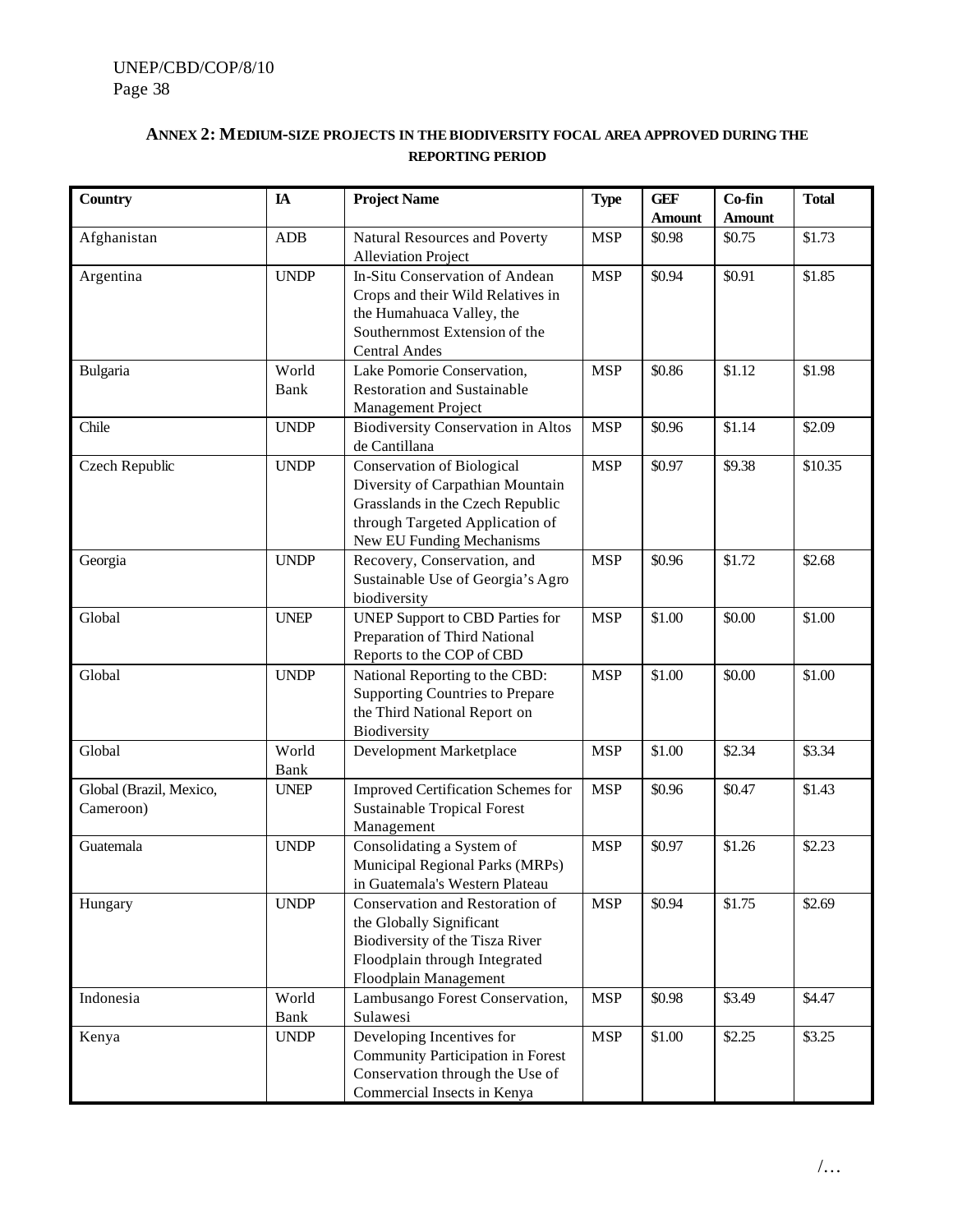## **ANNEX 2: MEDIUM-SIZE PROJECTS IN THEBIODIVERSITY FOCAL AREA APPROVED DURING THE REPORTING PERIOD**

| <b>Country</b>                       | $I\!\!A$      | <b>Project Name</b>                                                                                                                                                       | <b>Type</b> | <b>GEF</b><br><b>Amount</b> | Co-fin<br><b>Amount</b> | <b>Total</b> |
|--------------------------------------|---------------|---------------------------------------------------------------------------------------------------------------------------------------------------------------------------|-------------|-----------------------------|-------------------------|--------------|
| Afghanistan                          | ADB           | Natural Resources and Poverty<br><b>Alleviation Project</b>                                                                                                               | <b>MSP</b>  | \$0.98                      | \$0.75                  | \$1.73       |
| Argentina                            | <b>UNDP</b>   | In-Situ Conservation of Andean<br>Crops and their Wild Relatives in<br>the Humahuaca Valley, the<br>Southernmost Extension of the<br><b>Central Andes</b>                 | <b>MSP</b>  | \$0.94                      | \$0.91                  | \$1.85       |
| Bulgaria                             | World<br>Bank | Lake Pomorie Conservation,<br><b>Restoration and Sustainable</b><br>Management Project                                                                                    | <b>MSP</b>  | \$0.86                      | \$1.12                  | \$1.98       |
| Chile                                | <b>UNDP</b>   | <b>Biodiversity Conservation in Altos</b><br>de Cantillana                                                                                                                | <b>MSP</b>  | \$0.96                      | \$1.14                  | \$2.09       |
| Czech Republic                       | <b>UNDP</b>   | <b>Conservation of Biological</b><br>Diversity of Carpathian Mountain<br>Grasslands in the Czech Republic<br>through Targeted Application of<br>New EU Funding Mechanisms | <b>MSP</b>  | \$0.97                      | \$9.38                  | \$10.35      |
| Georgia                              | <b>UNDP</b>   | Recovery, Conservation, and<br>Sustainable Use of Georgia's Agro<br>biodiversity                                                                                          | <b>MSP</b>  | \$0.96                      | \$1.72                  | \$2.68       |
| Global                               | <b>UNEP</b>   | <b>UNEP Support to CBD Parties for</b><br>Preparation of Third National<br>Reports to the COP of CBD                                                                      | <b>MSP</b>  | \$1.00                      | \$0.00                  | \$1.00       |
| Global                               | <b>UNDP</b>   | National Reporting to the CBD:<br><b>Supporting Countries to Prepare</b><br>the Third National Report on<br>Biodiversity                                                  | <b>MSP</b>  | \$1.00                      | \$0.00                  | \$1.00       |
| Global                               | World<br>Bank | Development Marketplace                                                                                                                                                   | <b>MSP</b>  | \$1.00                      | \$2.34                  | \$3.34       |
| Global (Brazil, Mexico,<br>Cameroon) | <b>UNEP</b>   | Improved Certification Schemes for<br><b>Sustainable Tropical Forest</b><br>Management                                                                                    | <b>MSP</b>  | \$0.96                      | \$0.47                  | \$1.43       |
| Guatemala                            | <b>UNDP</b>   | Consolidating a System of<br>Municipal Regional Parks (MRPs)<br>in Guatemala's Western Plateau                                                                            | <b>MSP</b>  | \$0.97                      | \$1.26                  | \$2.23       |
| Hungary                              | <b>UNDP</b>   | Conservation and Restoration of<br>the Globally Significant<br>Biodiversity of the Tisza River<br>Floodplain through Integrated<br>Floodplain Management                  | <b>MSP</b>  | \$0.94                      | \$1.75                  | \$2.69       |
| Indonesia                            | World<br>Bank | Lambusango Forest Conservation,<br>Sulawesi                                                                                                                               | <b>MSP</b>  | \$0.98                      | \$3.49                  | \$4.47       |
| Kenya                                | <b>UNDP</b>   | Developing Incentives for<br>Community Participation in Forest<br>Conservation through the Use of<br>Commercial Insects in Kenya                                          | <b>MSP</b>  | \$1.00                      | \$2.25                  | \$3.25       |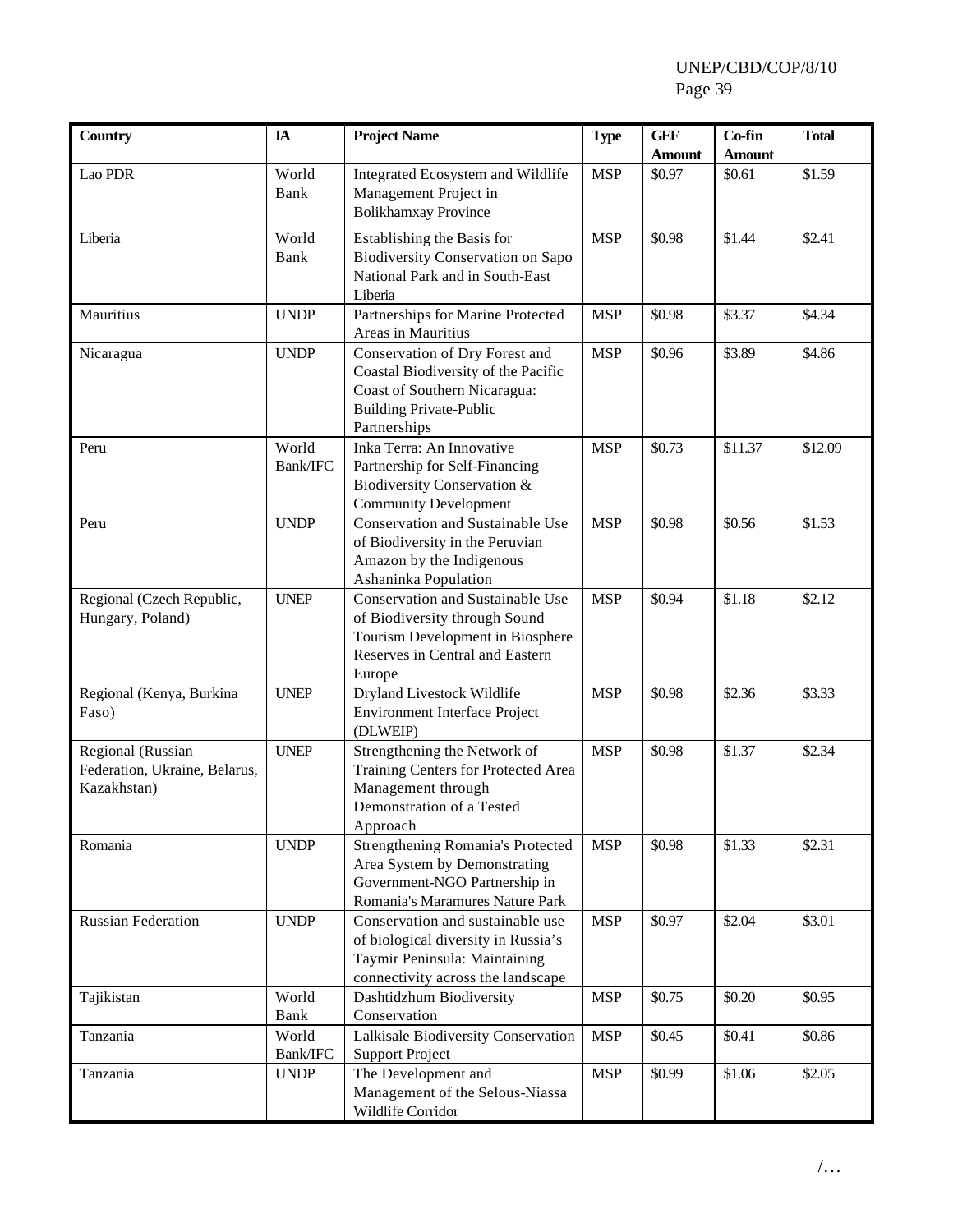| <b>Country</b>                                                    | IA                | <b>Project Name</b>                                                                                                                                     | <b>Type</b> | <b>GEF</b>    | Co-fin        | <b>Total</b> |
|-------------------------------------------------------------------|-------------------|---------------------------------------------------------------------------------------------------------------------------------------------------------|-------------|---------------|---------------|--------------|
|                                                                   |                   |                                                                                                                                                         |             | <b>Amount</b> | <b>Amount</b> |              |
| Lao PDR                                                           | World<br>Bank     | Integrated Ecosystem and Wildlife<br>Management Project in<br><b>Bolikhamxay Province</b>                                                               | <b>MSP</b>  | \$0.97        | \$0.61        | \$1.59       |
| Liberia                                                           | World<br>Bank     | Establishing the Basis for<br><b>Biodiversity Conservation on Sapo</b><br>National Park and in South-East<br>Liberia                                    | <b>MSP</b>  | \$0.98        | \$1.44        | \$2.41       |
| Mauritius                                                         | <b>UNDP</b>       | Partnerships for Marine Protected<br>Areas in Mauritius                                                                                                 | <b>MSP</b>  | \$0.98        | \$3.37        | \$4.34       |
| Nicaragua                                                         | <b>UNDP</b>       | Conservation of Dry Forest and<br>Coastal Biodiversity of the Pacific<br>Coast of Southern Nicaragua:<br><b>Building Private-Public</b><br>Partnerships | <b>MSP</b>  | \$0.96        | \$3.89        | \$4.86       |
| Peru                                                              | World<br>Bank/IFC | Inka Terra: An Innovative<br>Partnership for Self-Financing<br>Biodiversity Conservation &<br><b>Community Development</b>                              | <b>MSP</b>  | \$0.73        | \$11.37       | \$12.09      |
| Peru                                                              | <b>UNDP</b>       | <b>Conservation and Sustainable Use</b><br>of Biodiversity in the Peruvian<br>Amazon by the Indigenous<br>Ashaninka Population                          | <b>MSP</b>  | \$0.98        | \$0.56        | \$1.53       |
| Regional (Czech Republic,<br>Hungary, Poland)                     | <b>UNEP</b>       | Conservation and Sustainable Use<br>of Biodiversity through Sound<br>Tourism Development in Biosphere<br>Reserves in Central and Eastern<br>Europe      | <b>MSP</b>  | \$0.94        | \$1.18        | \$2.12       |
| Regional (Kenya, Burkina<br>Faso)                                 | <b>UNEP</b>       | Dryland Livestock Wildlife<br><b>Environment Interface Project</b><br>(DLWEIP)                                                                          | <b>MSP</b>  | \$0.98        | \$2.36        | \$3.33       |
| Regional (Russian<br>Federation, Ukraine, Belarus,<br>Kazakhstan) | <b>UNEP</b>       | Strengthening the Network of<br>Training Centers for Protected Area<br>Management through<br>Demonstration of a Tested<br>Approach                      | <b>MSP</b>  | \$0.98        | \$1.37        | \$2.34       |
| Romania                                                           | <b>UNDP</b>       | Strengthening Romania's Protected<br>Area System by Demonstrating<br>Government-NGO Partnership in<br>Romania's Maramures Nature Park                   | <b>MSP</b>  | \$0.98        | \$1.33        | \$2.31       |
| <b>Russian Federation</b>                                         | <b>UNDP</b>       | Conservation and sustainable use<br>of biological diversity in Russia's<br>Taymir Peninsula: Maintaining<br>connectivity across the landscape           | <b>MSP</b>  | \$0.97        | \$2.04        | \$3.01       |
| Tajikistan                                                        | World<br>Bank     | Dashtidzhum Biodiversity<br>Conservation                                                                                                                | <b>MSP</b>  | \$0.75        | \$0.20        | \$0.95       |
| Tanzania                                                          | World<br>Bank/IFC | Lalkisale Biodiversity Conservation<br><b>Support Project</b>                                                                                           | <b>MSP</b>  | \$0.45        | \$0.41        | \$0.86       |
| Tanzania                                                          | <b>UNDP</b>       | The Development and<br>Management of the Selous-Niassa<br>Wildlife Corridor                                                                             | <b>MSP</b>  | \$0.99        | \$1.06        | \$2.05       |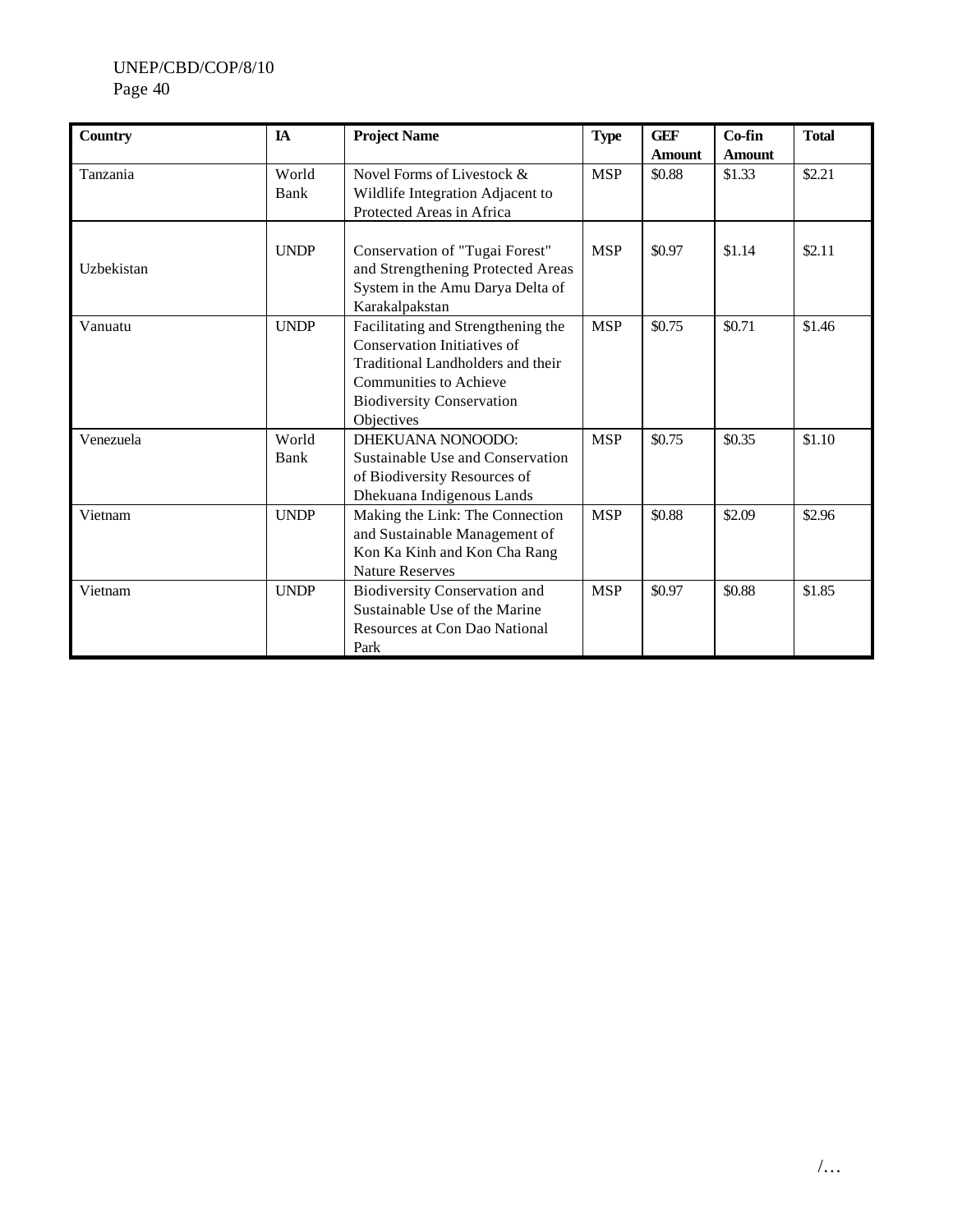| <b>Country</b> | <b>IA</b>     | <b>Project Name</b>                                                                                                                                                                       | <b>Type</b> | <b>GEF</b><br><b>Amount</b> | Co-fin<br><b>Amount</b> | <b>Total</b> |
|----------------|---------------|-------------------------------------------------------------------------------------------------------------------------------------------------------------------------------------------|-------------|-----------------------------|-------------------------|--------------|
| Tanzania       | World<br>Bank | Novel Forms of Livestock &<br>Wildlife Integration Adjacent to<br>Protected Areas in Africa                                                                                               | <b>MSP</b>  | \$0.88                      | \$1.33                  | \$2.21       |
| Uzbekistan     | <b>UNDP</b>   | Conservation of "Tugai Forest"<br>and Strengthening Protected Areas<br>System in the Amu Darya Delta of<br>Karakalpakstan                                                                 | <b>MSP</b>  | \$0.97                      | \$1.14                  | \$2.11       |
| Vanuatu        | <b>UNDP</b>   | Facilitating and Strengthening the<br>Conservation Initiatives of<br>Traditional Landholders and their<br><b>Communities to Achieve</b><br><b>Biodiversity Conservation</b><br>Objectives | <b>MSP</b>  | \$0.75                      | \$0.71                  | \$1.46       |
| Venezuela      | World<br>Bank | DHEKUANA NONOODO:<br>Sustainable Use and Conservation<br>of Biodiversity Resources of<br>Dhekuana Indigenous Lands                                                                        | <b>MSP</b>  | \$0.75                      | \$0.35                  | \$1.10       |
| Vietnam        | <b>UNDP</b>   | Making the Link: The Connection<br>and Sustainable Management of<br>Kon Ka Kinh and Kon Cha Rang<br><b>Nature Reserves</b>                                                                | <b>MSP</b>  | \$0.88                      | \$2.09                  | \$2.96       |
| Vietnam        | <b>UNDP</b>   | <b>Biodiversity Conservation and</b><br>Sustainable Use of the Marine<br>Resources at Con Dao National<br>Park                                                                            | <b>MSP</b>  | \$0.97                      | \$0.88                  | \$1.85       |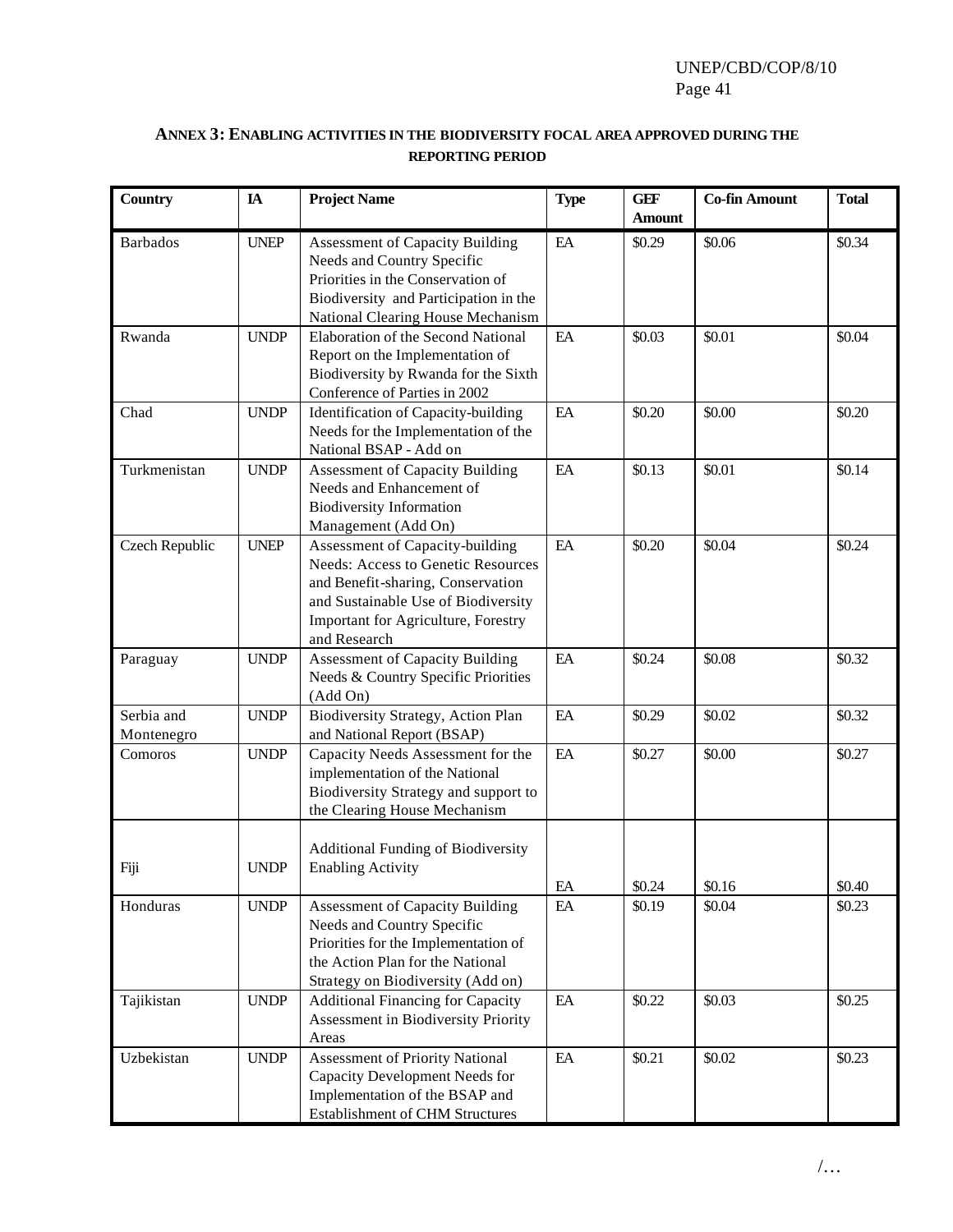## **ANNEX 3: ENABLING ACTIVITIES IN THE BIODIVERSITY FOCAL AREA APPROVED DURING THE REPORTING PERIOD**

| <b>Country</b>           | IA          | <b>Project Name</b>                                                                                                                                                                                             | <b>Type</b>          | <b>GEF</b><br><b>Amount</b> | <b>Co-fin Amount</b> | <b>Total</b> |
|--------------------------|-------------|-----------------------------------------------------------------------------------------------------------------------------------------------------------------------------------------------------------------|----------------------|-----------------------------|----------------------|--------------|
| <b>Barbados</b>          | <b>UNEP</b> | <b>Assessment of Capacity Building</b><br>Needs and Country Specific<br>Priorities in the Conservation of<br>Biodiversity and Participation in the<br>National Clearing House Mechanism                         | EA                   | \$0.29                      | \$0.06               | \$0.34       |
| Rwanda                   | <b>UNDP</b> | Elaboration of the Second National<br>Report on the Implementation of<br>Biodiversity by Rwanda for the Sixth<br>Conference of Parties in 2002                                                                  | EA                   | \$0.03                      | \$0.01               | \$0.04       |
| Chad                     | <b>UNDP</b> | Identification of Capacity-building<br>Needs for the Implementation of the<br>National BSAP - Add on                                                                                                            | EA                   | \$0.20                      | \$0.00               | \$0.20       |
| Turkmenistan             | <b>UNDP</b> | <b>Assessment of Capacity Building</b><br>Needs and Enhancement of<br><b>Biodiversity Information</b><br>Management (Add On)                                                                                    | EA                   | \$0.13                      | \$0.01               | \$0.14       |
| Czech Republic           | <b>UNEP</b> | Assessment of Capacity-building<br><b>Needs: Access to Genetic Resources</b><br>and Benefit-sharing, Conservation<br>and Sustainable Use of Biodiversity<br>Important for Agriculture, Forestry<br>and Research | EA                   | \$0.20                      | \$0.04               | \$0.24       |
| Paraguay                 | <b>UNDP</b> | <b>Assessment of Capacity Building</b><br>Needs & Country Specific Priorities<br>(Add On)                                                                                                                       | EA                   | \$0.24                      | \$0.08               | \$0.32       |
| Serbia and<br>Montenegro | <b>UNDP</b> | Biodiversity Strategy, Action Plan<br>and National Report (BSAP)                                                                                                                                                | EA                   | \$0.29                      | \$0.02               | \$0.32       |
| Comoros                  | <b>UNDP</b> | Capacity Needs Assessment for the<br>implementation of the National<br>Biodiversity Strategy and support to<br>the Clearing House Mechanism                                                                     | EA                   | \$0.27                      | \$0.00               | \$0.27       |
| Fiji                     | <b>UNDP</b> | Additional Funding of Biodiversity<br><b>Enabling Activity</b>                                                                                                                                                  | $\mathop{\text{EA}}$ | \$0.24                      | \$0.16               | \$0.40       |
| Honduras                 | <b>UNDP</b> | <b>Assessment of Capacity Building</b><br>Needs and Country Specific<br>Priorities for the Implementation of<br>the Action Plan for the National<br>Strategy on Biodiversity (Add on)                           | $\rm EA$             | \$0.19                      | \$0.04               | \$0.23       |
| Tajikistan               | <b>UNDP</b> | <b>Additional Financing for Capacity</b><br>Assessment in Biodiversity Priority<br>Areas                                                                                                                        | $\rm EA$             | \$0.22                      | \$0.03               | \$0.25       |
| Uzbekistan               | <b>UNDP</b> | Assessment of Priority National<br>Capacity Development Needs for<br>Implementation of the BSAP and<br><b>Establishment of CHM Structures</b>                                                                   | $\rm EA$             | \$0.21                      | \$0.02               | \$0.23       |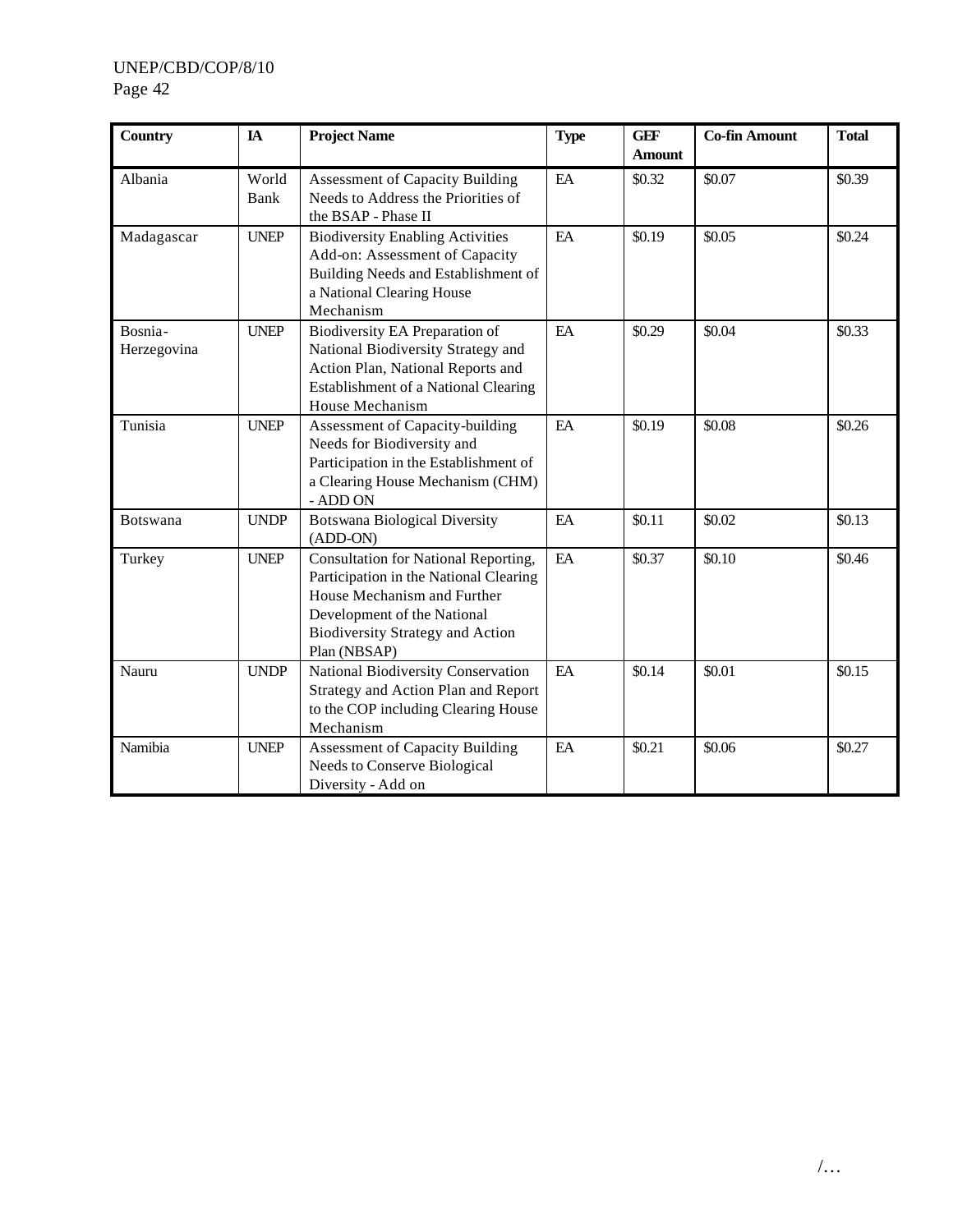| <b>Country</b>         | IA            | <b>Project Name</b>                                                                                                                                                                                     | <b>Type</b> | <b>GEF</b><br><b>Amount</b> | <b>Co-fin Amount</b> | <b>Total</b> |
|------------------------|---------------|---------------------------------------------------------------------------------------------------------------------------------------------------------------------------------------------------------|-------------|-----------------------------|----------------------|--------------|
| Albania                | World<br>Bank | <b>Assessment of Capacity Building</b><br>Needs to Address the Priorities of<br>the BSAP - Phase II                                                                                                     | EA          | \$0.32                      | \$0.07               | \$0.39       |
| Madagascar             | <b>UNEP</b>   | <b>Biodiversity Enabling Activities</b><br>Add-on: Assessment of Capacity<br>Building Needs and Establishment of<br>a National Clearing House<br>Mechanism                                              | EA          | \$0.19                      | \$0.05               | \$0.24       |
| Bosnia-<br>Herzegovina | <b>UNEP</b>   | Biodiversity EA Preparation of<br>National Biodiversity Strategy and<br>Action Plan, National Reports and<br>Establishment of a National Clearing<br>House Mechanism                                    | EA          | \$0.29                      | \$0.04               | \$0.33       |
| Tunisia                | <b>UNEP</b>   | Assessment of Capacity-building<br>Needs for Biodiversity and<br>Participation in the Establishment of<br>a Clearing House Mechanism (CHM)<br>- ADD ON                                                  | EA          | \$0.19                      | \$0.08               | \$0.26       |
| Botswana               | <b>UNDP</b>   | <b>Botswana Biological Diversity</b><br>(ADD-ON)                                                                                                                                                        | EA          | \$0.11                      | \$0.02               | \$0.13       |
| Turkey                 | <b>UNEP</b>   | Consultation for National Reporting,<br>Participation in the National Clearing<br>House Mechanism and Further<br>Development of the National<br><b>Biodiversity Strategy and Action</b><br>Plan (NBSAP) | EA          | \$0.37                      | \$0.10               | \$0.46       |
| Nauru                  | <b>UNDP</b>   | National Biodiversity Conservation<br>Strategy and Action Plan and Report<br>to the COP including Clearing House<br>Mechanism                                                                           | EA          | \$0.14                      | \$0.01               | \$0.15       |
| Namibia                | <b>UNEP</b>   | <b>Assessment of Capacity Building</b><br>Needs to Conserve Biological<br>Diversity - Add on                                                                                                            | EA          | \$0.21                      | \$0.06               | \$0.27       |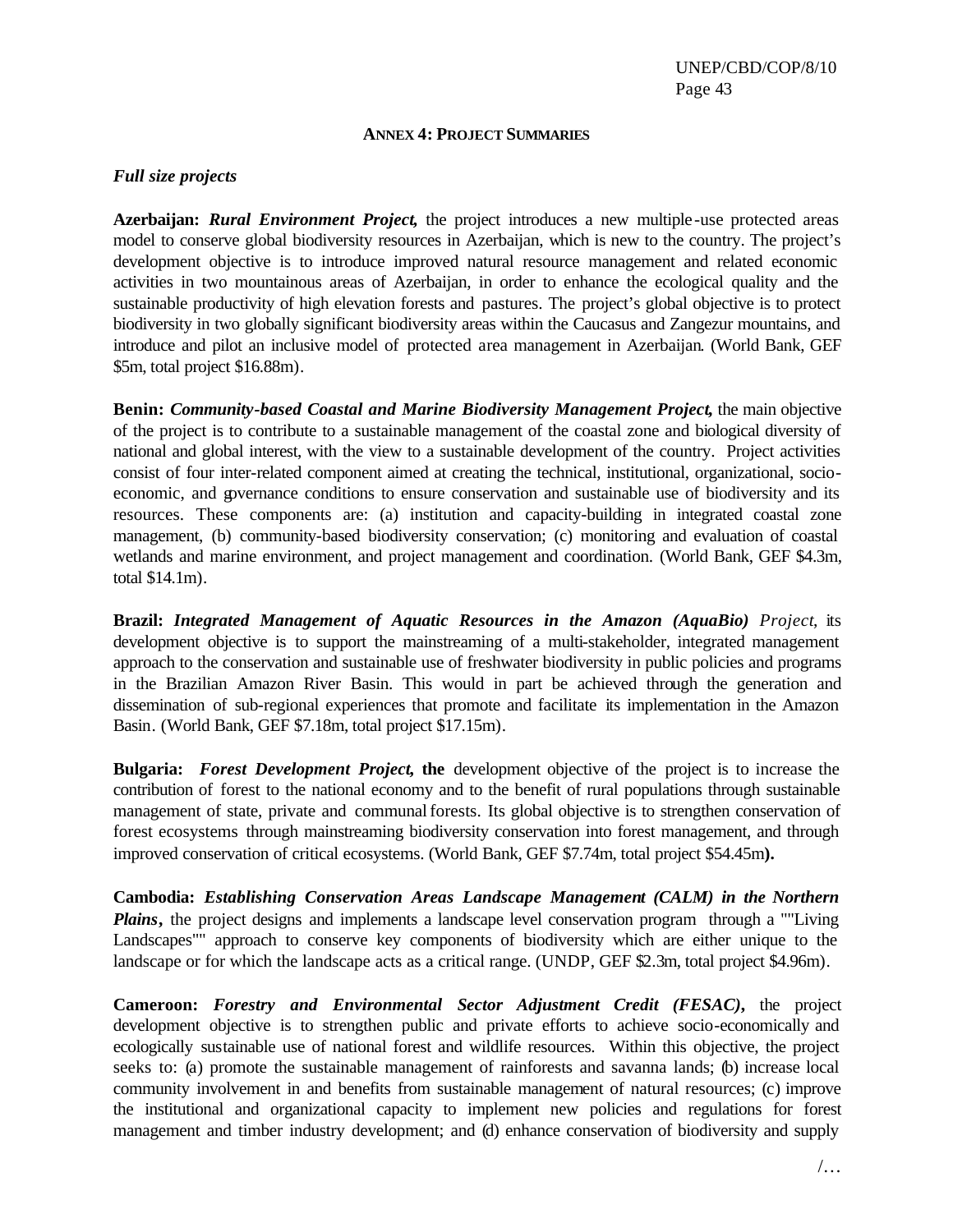#### **ANNEX 4: PROJECT SUMMARIES**

#### *Full size projects*

**Azerbaijan:** *Rural Environment Project***,** the project introduces a new multiple-use protected areas model to conserve global biodiversity resources in Azerbaijan, which is new to the country. The project's development objective is to introduce improved natural resource management and related economic activities in two mountainous areas of Azerbaijan, in order to enhance the ecological quality and the sustainable productivity of high elevation forests and pastures. The project's global objective is to protect biodiversity in two globally significant biodiversity areas within the Caucasus and Zangezur mountains, and introduce and pilot an inclusive model of protected area management in Azerbaijan. (World Bank, GEF \$5m, total project \$16.88m).

**Benin:** *Community-based Coastal and Marine Biodiversity Management Project***,** the main objective of the project is to contribute to a sustainable management of the coastal zone and biological diversity of national and global interest, with the view to a sustainable development of the country. Project activities consist of four inter-related component aimed at creating the technical, institutional, organizational, socioeconomic, and governance conditions to ensure conservation and sustainable use of biodiversity and its resources. These components are: (a) institution and capacity-building in integrated coastal zone management, (b) community-based biodiversity conservation; (c) monitoring and evaluation of coastal wetlands and marine environment, and project management and coordination. (World Bank, GEF \$4.3m, total \$14.1m).

**Brazil:** *Integrated Management of Aquatic Resources in the Amazon (AquaBio) Project*, its development objective is to support the mainstreaming of a multi-stakeholder, integrated management approach to the conservation and sustainable use of freshwater biodiversity in public policies and programs in the Brazilian Amazon River Basin. This would in part be achieved through the generation and dissemination of sub-regional experiences that promote and facilitate its implementation in the Amazon Basin. (World Bank, GEF \$7.18m, total project \$17.15m).

**Bulgaria:** *Forest Development Project***, the** development objective of the project is to increase the contribution of forest to the national economy and to the benefit of rural populations through sustainable management of state, private and communal forests. Its global objective is to strengthen conservation of forest ecosystems through mainstreaming biodiversity conservation into forest management, and through improved conservation of critical ecosystems. (World Bank, GEF \$7.74m, total project \$54.45m**).**

**Cambodia:** *Establishing Conservation Areas Landscape Management (CALM) in the Northern Plains***,** the project designs and implements a landscape level conservation program through a ""Living Landscapes"" approach to conserve key components of biodiversity which are either unique to the landscape or for which the landscape acts as a critical range. (UNDP, GEF \$2.3m, total project \$4.96m).

**Cameroon:** *Forestry and Environmental Sector Adjustment Credit (FESAC)***,** the project development objective is to strengthen public and private efforts to achieve socio-economically and ecologically sustainable use of national forest and wildlife resources. Within this objective, the project seeks to: (a) promote the sustainable management of rainforests and savanna lands; (b) increase local community involvement in and benefits from sustainable management of natural resources; (c) improve the institutional and organizational capacity to implement new policies and regulations for forest management and timber industry development; and (d) enhance conservation of biodiversity and supply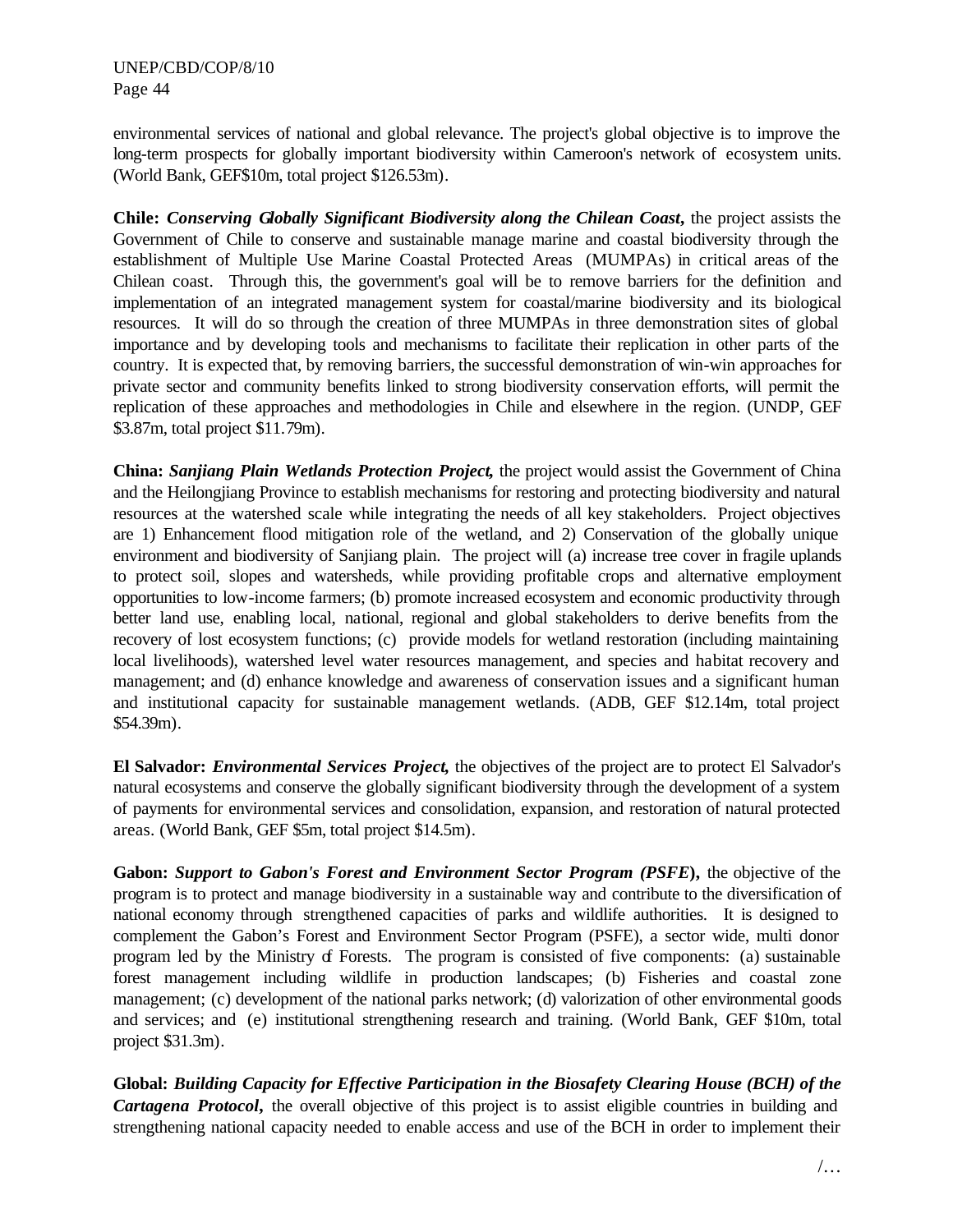environmental services of national and global relevance. The project's global objective is to improve the long-term prospects for globally important biodiversity within Cameroon's network of ecosystem units. (World Bank, GEF\$10m, total project \$126.53m).

**Chile:** *Conserving Globally Significant Biodiversity along the Chilean Coast***,** the project assists the Government of Chile to conserve and sustainable manage marine and coastal biodiversity through the establishment of Multiple Use Marine Coastal Protected Areas (MUMPAs) in critical areas of the Chilean coast. Through this, the government's goal will be to remove barriers for the definition and implementation of an integrated management system for coastal/marine biodiversity and its biological resources. It will do so through the creation of three MUMPAs in three demonstration sites of global importance and by developing tools and mechanisms to facilitate their replication in other parts of the country. It is expected that, by removing barriers, the successful demonstration of win-win approaches for private sector and community benefits linked to strong biodiversity conservation efforts, will permit the replication of these approaches and methodologies in Chile and elsewhere in the region. (UNDP, GEF \$3.87m, total project \$11.79m).

**China:** *Sanjiang Plain Wetlands Protection Project***,** the project would assist the Government of China and the Heilongjiang Province to establish mechanisms for restoring and protecting biodiversity and natural resources at the watershed scale while integrating the needs of all key stakeholders. Project objectives are 1) Enhancement flood mitigation role of the wetland, and 2) Conservation of the globally unique environment and biodiversity of Sanjiang plain. The project will (a) increase tree cover in fragile uplands to protect soil, slopes and watersheds, while providing profitable crops and alternative employment opportunities to low-income farmers; (b) promote increased ecosystem and economic productivity through better land use, enabling local, national, regional and global stakeholders to derive benefits from the recovery of lost ecosystem functions; (c) provide models for wetland restoration (including maintaining local livelihoods), watershed level water resources management, and species and habitat recovery and management; and (d) enhance knowledge and awareness of conservation issues and a significant human and institutional capacity for sustainable management wetlands. (ADB, GEF \$12.14m, total project \$54.39m).

**El Salvador:** *Environmental Services Project***,** the objectives of the project are to protect El Salvador's natural ecosystems and conserve the globally significant biodiversity through the development of a system of payments for environmental services and consolidation, expansion, and restoration of natural protected areas. (World Bank, GEF \$5m, total project \$14.5m).

**Gabon:** *Support to Gabon's Forest and Environment Sector Program (PSFE***),** the objective of the program is to protect and manage biodiversity in a sustainable way and contribute to the diversification of national economy through strengthened capacities of parks and wildlife authorities. It is designed to complement the Gabon's Forest and Environment Sector Program (PSFE), a sector wide, multi donor program led by the Ministry of Forests. The program is consisted of five components: (a) sustainable forest management including wildlife in production landscapes; (b) Fisheries and coastal zone management; (c) development of the national parks network; (d) valorization of other environmental goods and services; and (e) institutional strengthening research and training. (World Bank, GEF \$10m, total project \$31.3m).

**Global:** *Building Capacity for Effective Participation in the Biosafety Clearing House (BCH) of the Cartagena Protocol***,** the overall objective of this project is to assist eligible countries in building and strengthening national capacity needed to enable access and use of the BCH in order to implement their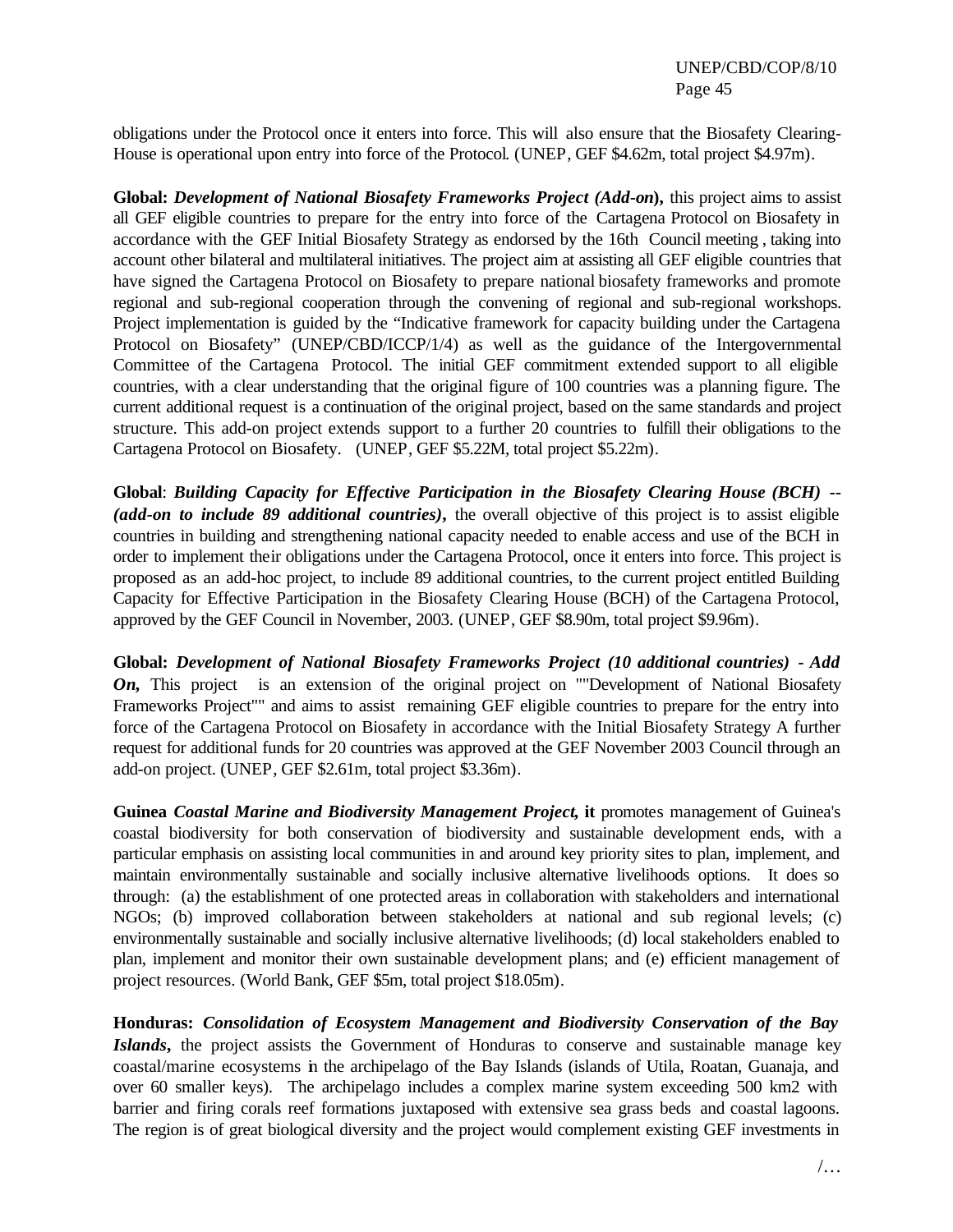obligations under the Protocol once it enters into force. This will also ensure that the Biosafety Clearing-House is operational upon entry into force of the Protocol. (UNEP, GEF \$4.62m, total project \$4.97m).

**Global:** *Development of National Biosafety Frameworks Project (Add-on***),** this project aims to assist all GEF eligible countries to prepare for the entry into force of the Cartagena Protocol on Biosafety in accordance with the GEF Initial Biosafety Strategy as endorsed by the 16th Council meeting , taking into account other bilateral and multilateral initiatives. The project aim at assisting all GEF eligible countries that have signed the Cartagena Protocol on Biosafety to prepare national biosafety frameworks and promote regional and sub-regional cooperation through the convening of regional and sub-regional workshops. Project implementation is guided by the "Indicative framework for capacity building under the Cartagena Protocol on Biosafety" (UNEP/CBD/ICCP/1/4) as well as the guidance of the Intergovernmental Committee of the Cartagena Protocol. The initial GEF commitment extended support to all eligible countries, with a clear understanding that the original figure of 100 countries was a planning figure. The current additional request is a continuation of the original project, based on the same standards and project structure. This add-on project extends support to a further 20 countries to fulfill their obligations to the Cartagena Protocol on Biosafety. (UNEP, GEF \$5.22M, total project \$5.22m).

**Global**: *Building Capacity for Effective Participation in the Biosafety Clearing House (BCH) --* (*add-on to include 89 additional countries*), the overall objective of this project is to assist eligible countries in building and strengthening national capacity needed to enable access and use of the BCH in order to implement their obligations under the Cartagena Protocol, once it enters into force. This project is proposed as an add-hoc project, to include 89 additional countries, to the current project entitled Building Capacity for Effective Participation in the Biosafety Clearing House (BCH) of the Cartagena Protocol, approved by the GEF Council in November, 2003. (UNEP, GEF \$8.90m, total project \$9.96m).

**Global:** *Development of National Biosafety Frameworks Project (10 additional countries) - Add On*, This project is an extension of the original project on ""Development of National Biosafety Frameworks Project"" and aims to assist remaining GEF eligible countries to prepare for the entry into force of the Cartagena Protocol on Biosafety in accordance with the Initial Biosafety Strategy A further request for additional funds for 20 countries was approved at the GEF November 2003 Council through an add-on project. (UNEP, GEF \$2.61m, total project \$3.36m).

**Guinea** *Coastal Marine and Biodiversity Management Project***, it** promotes management of Guinea's coastal biodiversity for both conservation of biodiversity and sustainable development ends, with a particular emphasis on assisting local communities in and around key priority sites to plan, implement, and maintain environmentally sustainable and socially inclusive alternative livelihoods options. It does so through: (a) the establishment of one protected areas in collaboration with stakeholders and international NGOs; (b) improved collaboration between stakeholders at national and sub regional levels; (c) environmentally sustainable and socially inclusive alternative livelihoods; (d) local stakeholders enabled to plan, implement and monitor their own sustainable development plans; and (e) efficient management of project resources. (World Bank, GEF \$5m, total project \$18.05m).

**Honduras:** *Consolidation of Ecosystem Management and Biodiversity Conservation of the Bay Islands***,** the project assists the Government of Honduras to conserve and sustainable manage key coastal/marine ecosystems in the archipelago of the Bay Islands (islands of Utila, Roatan, Guanaja, and over 60 smaller keys). The archipelago includes a complex marine system exceeding 500 km2 with barrier and firing corals reef formations juxtaposed with extensive sea grass beds and coastal lagoons. The region is of great biological diversity and the project would complement existing GEF investments in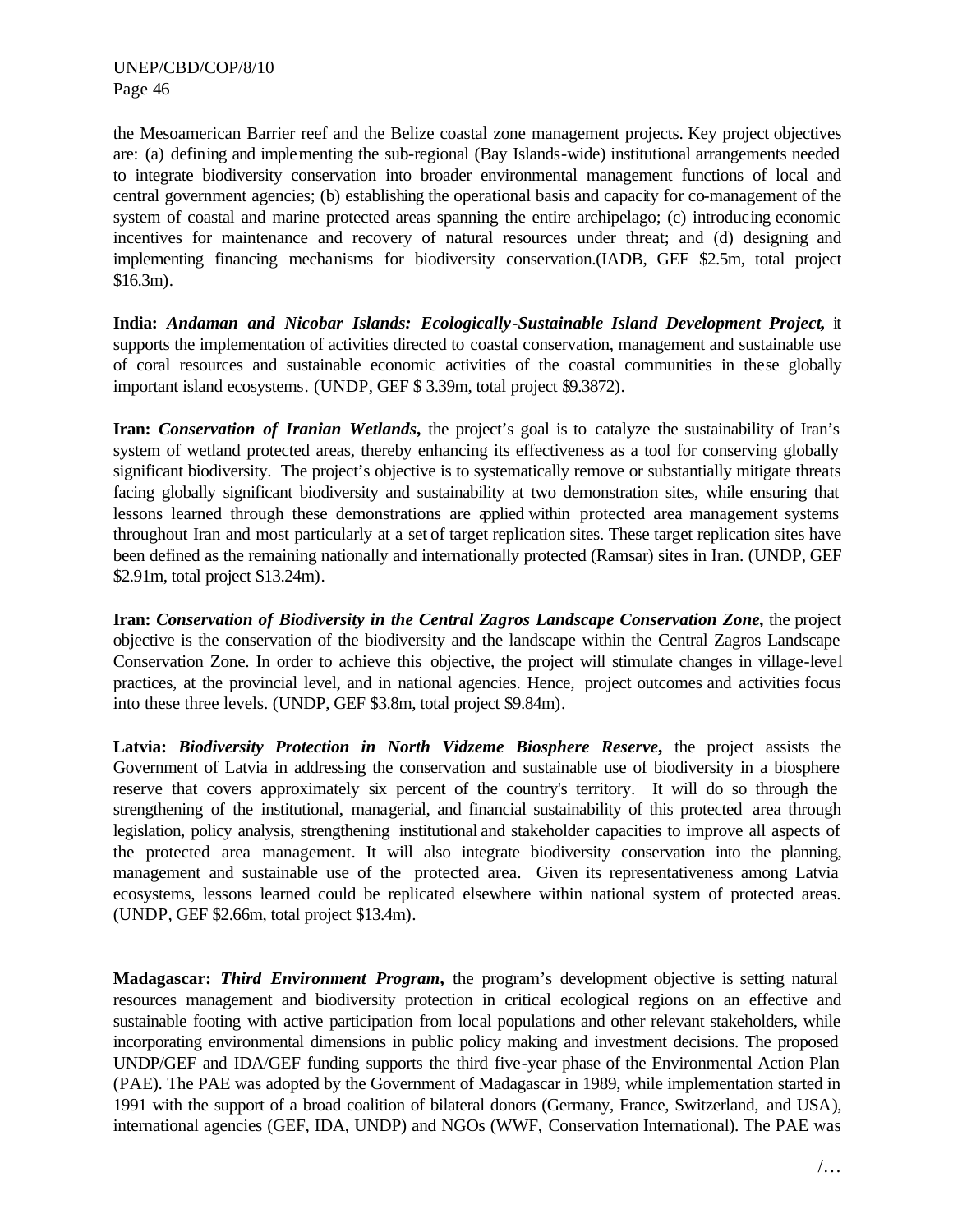the Mesoamerican Barrier reef and the Belize coastal zone management projects. Key project objectives are: (a) defining and implementing the sub-regional (Bay Islands-wide) institutional arrangements needed to integrate biodiversity conservation into broader environmental management functions of local and central government agencies; (b) establishing the operational basis and capacity for co-management of the system of coastal and marine protected areas spanning the entire archipelago; (c) introducing economic incentives for maintenance and recovery of natural resources under threat; and (d) designing and implementing financing mechanisms for biodiversity conservation.(IADB, GEF \$2.5m, total project \$16.3m).

**India:** *Andaman and Nicobar Islands: Ecologically-Sustainable Island Development Project***,** it supports the implementation of activities directed to coastal conservation, management and sustainable use of coral resources and sustainable economic activities of the coastal communities in these globally important island ecosystems. (UNDP, GEF \$ 3.39m, total project \$9.3872).

**Iran:** *Conservation of Iranian Wetlands***,** the project's goal is to catalyze the sustainability of Iran's system of wetland protected areas, thereby enhancing its effectiveness as a tool for conserving globally significant biodiversity. The project's objective is to systematically remove or substantially mitigate threats facing globally significant biodiversity and sustainability at two demonstration sites, while ensuring that lessons learned through these demonstrations are applied within protected area management systems throughout Iran and most particularly at a set of target replication sites. These target replication sites have been defined as the remaining nationally and internationally protected (Ramsar) sites in Iran. (UNDP, GEF \$2.91m, total project \$13.24m).

**Iran:** *Conservation of Biodiversity in the Central Zagros Landscape Conservation Zone,* the project objective is the conservation of the biodiversity and the landscape within the Central Zagros Landscape Conservation Zone. In order to achieve this objective, the project will stimulate changes in village-level practices, at the provincial level, and in national agencies. Hence, project outcomes and activities focus into these three levels. (UNDP, GEF \$3.8m, total project \$9.84m).

**Latvia:** *Biodiversity Protection in North Vidzeme Biosphere Reserve***,** the project assists the Government of Latvia in addressing the conservation and sustainable use of biodiversity in a biosphere reserve that covers approximately six percent of the country's territory. It will do so through the strengthening of the institutional, managerial, and financial sustainability of this protected area through legislation, policy analysis, strengthening institutional and stakeholder capacities to improve all aspects of the protected area management. It will also integrate biodiversity conservation into the planning, management and sustainable use of the protected area. Given its representativeness among Latvia ecosystems, lessons learned could be replicated elsewhere within national system of protected areas. (UNDP, GEF \$2.66m, total project \$13.4m).

**Madagascar:** *Third Environment Program***,** the program's development objective is setting natural resources management and biodiversity protection in critical ecological regions on an effective and sustainable footing with active participation from local populations and other relevant stakeholders, while incorporating environmental dimensions in public policy making and investment decisions. The proposed UNDP/GEF and IDA/GEF funding supports the third five-year phase of the Environmental Action Plan (PAE). The PAE was adopted by the Government of Madagascar in 1989, while implementation started in 1991 with the support of a broad coalition of bilateral donors (Germany, France, Switzerland, and USA), international agencies (GEF, IDA, UNDP) and NGOs (WWF, Conservation International). The PAE was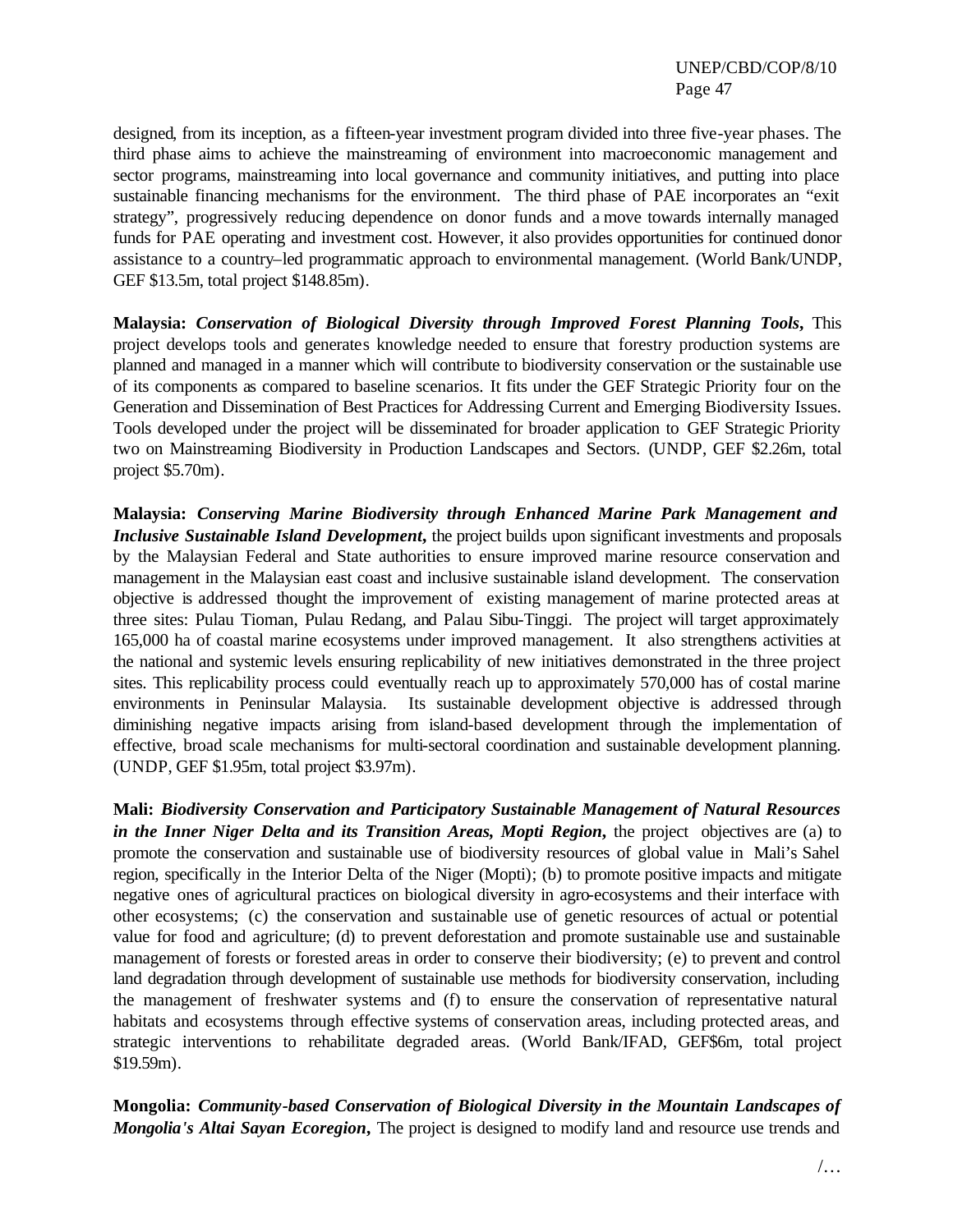designed, from its inception, as a fifteen-year investment program divided into three five-year phases. The third phase aims to achieve the mainstreaming of environment into macroeconomic management and sector programs, mainstreaming into local governance and community initiatives, and putting into place sustainable financing mechanisms for the environment. The third phase of PAE incorporates an "exit strategy", progressively reducing dependence on donor funds and a move towards internally managed funds for PAE operating and investment cost. However, it also provides opportunities for continued donor assistance to a country–led programmatic approach to environmental management. (World Bank/UNDP, GEF \$13.5m, total project \$148.85m).

**Malaysia:** *Conservation of Biological Diversity through Improved Forest Planning Tools***,** This project develops tools and generates knowledge needed to ensure that forestry production systems are planned and managed in a manner which will contribute to biodiversity conservation or the sustainable use of its components as compared to baseline scenarios. It fits under the GEF Strategic Priority four on the Generation and Dissemination of Best Practices for Addressing Current and Emerging Biodiversity Issues. Tools developed under the project will be disseminated for broader application to GEF Strategic Priority two on Mainstreaming Biodiversity in Production Landscapes and Sectors. (UNDP, GEF \$2.26m, total project \$5.70m).

**Malaysia:** *Conserving Marine Biodiversity through Enhanced Marine Park Management and Inclusive Sustainable Island Development*, the project builds upon significant investments and proposals by the Malaysian Federal and State authorities to ensure improved marine resource conservation and management in the Malaysian east coast and inclusive sustainable island development. The conservation objective is addressed thought the improvement of existing management of marine protected areas at three sites: Pulau Tioman, Pulau Redang, and Palau Sibu-Tinggi. The project will target approximately 165,000 ha of coastal marine ecosystems under improved management. It also strengthens activities at the national and systemic levels ensuring replicability of new initiatives demonstrated in the three project sites. This replicability process could eventually reach up to approximately 570,000 has of costal marine environments in Peninsular Malaysia. Its sustainable development objective is addressed through diminishing negative impacts arising from island-based development through the implementation of effective, broad scale mechanisms for multi-sectoral coordination and sustainable development planning. (UNDP, GEF \$1.95m, total project \$3.97m).

**Mali:** *Biodiversity Conservation and Participatory Sustainable Management of Natural Resources in the Inner Niger Delta and its Transition Areas, Mopti Region, the project objectives are (a) to* promote the conservation and sustainable use of biodiversity resources of global value in Mali's Sahel region, specifically in the Interior Delta of the Niger (Mopti); (b) to promote positive impacts and mitigate negative ones of agricultural practices on biological diversity in agro-ecosystems and their interface with other ecosystems; (c) the conservation and sustainable use of genetic resources of actual or potential value for food and agriculture; (d) to prevent deforestation and promote sustainable use and sustainable management of forests or forested areas in order to conserve their biodiversity; (e) to prevent and control land degradation through development of sustainable use methods for biodiversity conservation, including the management of freshwater systems and (f) to ensure the conservation of representative natural habitats and ecosystems through effective systems of conservation areas, including protected areas, and strategic interventions to rehabilitate degraded areas. (World Bank/IFAD, GEF\$6m, total project \$19.59m).

**Mongolia:** *Community-based Conservation of Biological Diversity in the Mountain Landscapes of Mongolia's Altai Sayan Ecoregion*, The project is designed to modify land and resource use trends and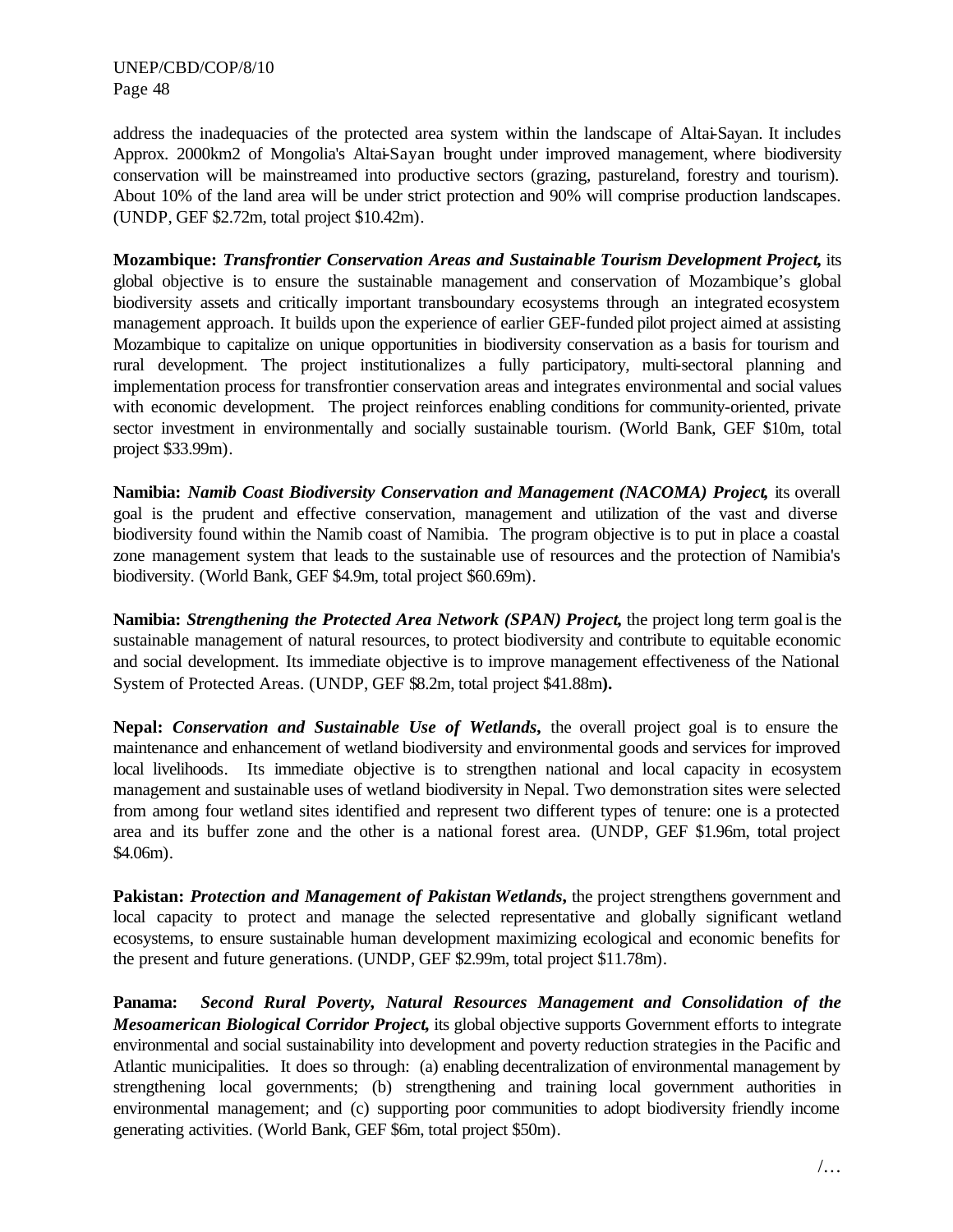address the inadequacies of the protected area system within the landscape of Altai-Sayan. It includes Approx. 2000km2 of Mongolia's Altai-Sayan brought under improved management, where biodiversity conservation will be mainstreamed into productive sectors (grazing, pastureland, forestry and tourism). About 10% of the land area will be under strict protection and 90% will comprise production landscapes. (UNDP, GEF \$2.72m, total project \$10.42m).

**Mozambique:** *Transfrontier Conservation Areas and Sustainable Tourism Development Project***,** its global objective is to ensure the sustainable management and conservation of Mozambique's global biodiversity assets and critically important transboundary ecosystems through an integrated ecosystem management approach. It builds upon the experience of earlier GEF-funded pilot project aimed at assisting Mozambique to capitalize on unique opportunities in biodiversity conservation as a basis for tourism and rural development. The project institutionalizes a fully participatory, multi-sectoral planning and implementation process for transfrontier conservation areas and integrates environmental and social values with economic development. The project reinforces enabling conditions for community-oriented, private sector investment in environmentally and socially sustainable tourism. (World Bank, GEF \$10m, total project \$33.99m).

**Namibia:** *Namib Coast Biodiversity Conservation and Management (NACOMA) Project,* its overall goal is the prudent and effective conservation, management and utilization of the vast and diverse biodiversity found within the Namib coast of Namibia. The program objective is to put in place a coastal zone management system that leads to the sustainable use of resources and the protection of Namibia's biodiversity. (World Bank, GEF \$4.9m, total project \$60.69m).

**Namibia:** *Strengthening the Protected Area Network (SPAN) Project***,** the project long term goal is the sustainable management of natural resources, to protect biodiversity and contribute to equitable economic and social development. Its immediate objective is to improve management effectiveness of the National System of Protected Areas. (UNDP, GEF \$8.2m, total project \$41.88m**).**

**Nepal:** *Conservation and Sustainable Use of Wetlands***,** the overall project goal is to ensure the maintenance and enhancement of wetland biodiversity and environmental goods and services for improved local livelihoods. Its immediate objective is to strengthen national and local capacity in ecosystem management and sustainable uses of wetland biodiversity in Nepal. Two demonstration sites were selected from among four wetland sites identified and represent two different types of tenure: one is a protected area and its buffer zone and the other is a national forest area. (UNDP, GEF \$1.96m, total project \$4.06m).

**Pakistan:** *Protection and Management of Pakistan Wetlands***,** the project strengthens government and local capacity to protect and manage the selected representative and globally significant wetland ecosystems, to ensure sustainable human development maximizing ecological and economic benefits for the present and future generations. (UNDP, GEF \$2.99m, total project \$11.78m).

**Panama:** *Second Rural Poverty, Natural Resources Management and Consolidation of the Mesoamerican Biological Corridor Project***,** its global objective supports Government efforts to integrate environmental and social sustainability into development and poverty reduction strategies in the Pacific and Atlantic municipalities. It does so through: (a) enabling decentralization of environmental management by strengthening local governments; (b) strengthening and training local government authorities in environmental management; and (c) supporting poor communities to adopt biodiversity friendly income generating activities. (World Bank, GEF \$6m, total project \$50m).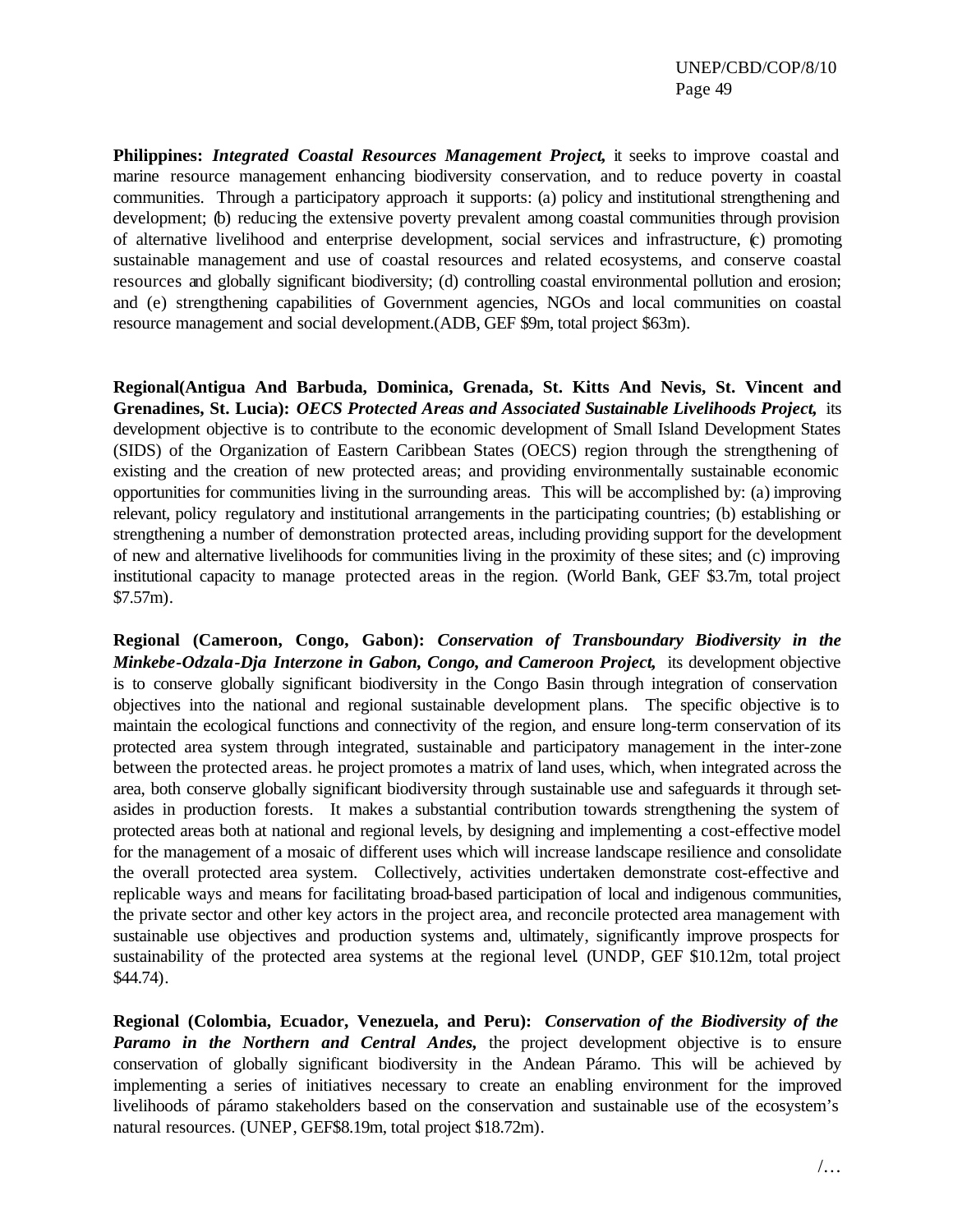**Philippines:** *Integrated Coastal Resources Management Project***,** it seeks to improve coastal and marine resource management enhancing biodiversity conservation, and to reduce poverty in coastal communities. Through a participatory approach it supports: (a) policy and institutional strengthening and development; (b) reducing the extensive poverty prevalent among coastal communities through provision of alternative livelihood and enterprise development, social services and infrastructure, (c) promoting sustainable management and use of coastal resources and related ecosystems, and conserve coastal resources and globally significant biodiversity; (d) controlling coastal environmental pollution and erosion; and (e) strengthening capabilities of Government agencies, NGOs and local communities on coastal resource management and social development.(ADB, GEF \$9m, total project \$63m).

**Regional(Antigua And Barbuda, Dominica, Grenada, St. Kitts And Nevis, St. Vincent and Grenadines, St. Lucia):** *OECS Protected Areas and Associated Sustainable Livelihoods Project***,** its development objective is to contribute to the economic development of Small Island Development States (SIDS) of the Organization of Eastern Caribbean States (OECS) region through the strengthening of existing and the creation of new protected areas; and providing environmentally sustainable economic opportunities for communities living in the surrounding areas. This will be accomplished by: (a) improving relevant, policy regulatory and institutional arrangements in the participating countries; (b) establishing or strengthening a number of demonstration protected areas, including providing support for the development of new and alternative livelihoods for communities living in the proximity of these sites; and (c) improving institutional capacity to manage protected areas in the region. (World Bank, GEF \$3.7m, total project \$7.57m).

**Regional (Cameroon, Congo, Gabon):** *Conservation of Transboundary Biodiversity in the Minkebe-Odzala-Dja Interzone in Gabon, Congo, and Cameroon Project***,** its development objective is to conserve globally significant biodiversity in the Congo Basin through integration of conservation objectives into the national and regional sustainable development plans. The specific objective is to maintain the ecological functions and connectivity of the region, and ensure long-term conservation of its protected area system through integrated, sustainable and participatory management in the inter-zone between the protected areas. he project promotes a matrix of land uses, which, when integrated across the area, both conserve globally significant biodiversity through sustainable use and safeguards it through setasides in production forests. It makes a substantial contribution towards strengthening the system of protected areas both at national and regional levels, by designing and implementing a cost-effective model for the management of a mosaic of different uses which will increase landscape resilience and consolidate the overall protected area system. Collectively, activities undertaken demonstrate cost-effective and replicable ways and means for facilitating broad-based participation of local and indigenous communities, the private sector and other key actors in the project area, and reconcile protected area management with sustainable use objectives and production systems and, ultimately, significantly improve prospects for sustainability of the protected area systems at the regional level. (UNDP, GEF \$10.12m, total project \$44.74).

**Regional (Colombia, Ecuador, Venezuela, and Peru):** *Conservation of the Biodiversity of the Paramo in the Northern and Central Andes,* the project development objective is to ensure conservation of globally significant biodiversity in the Andean Páramo. This will be achieved by implementing a series of initiatives necessary to create an enabling environment for the improved livelihoods of páramo stakeholders based on the conservation and sustainable use of the ecosystem's natural resources. (UNEP, GEF\$8.19m, total project \$18.72m).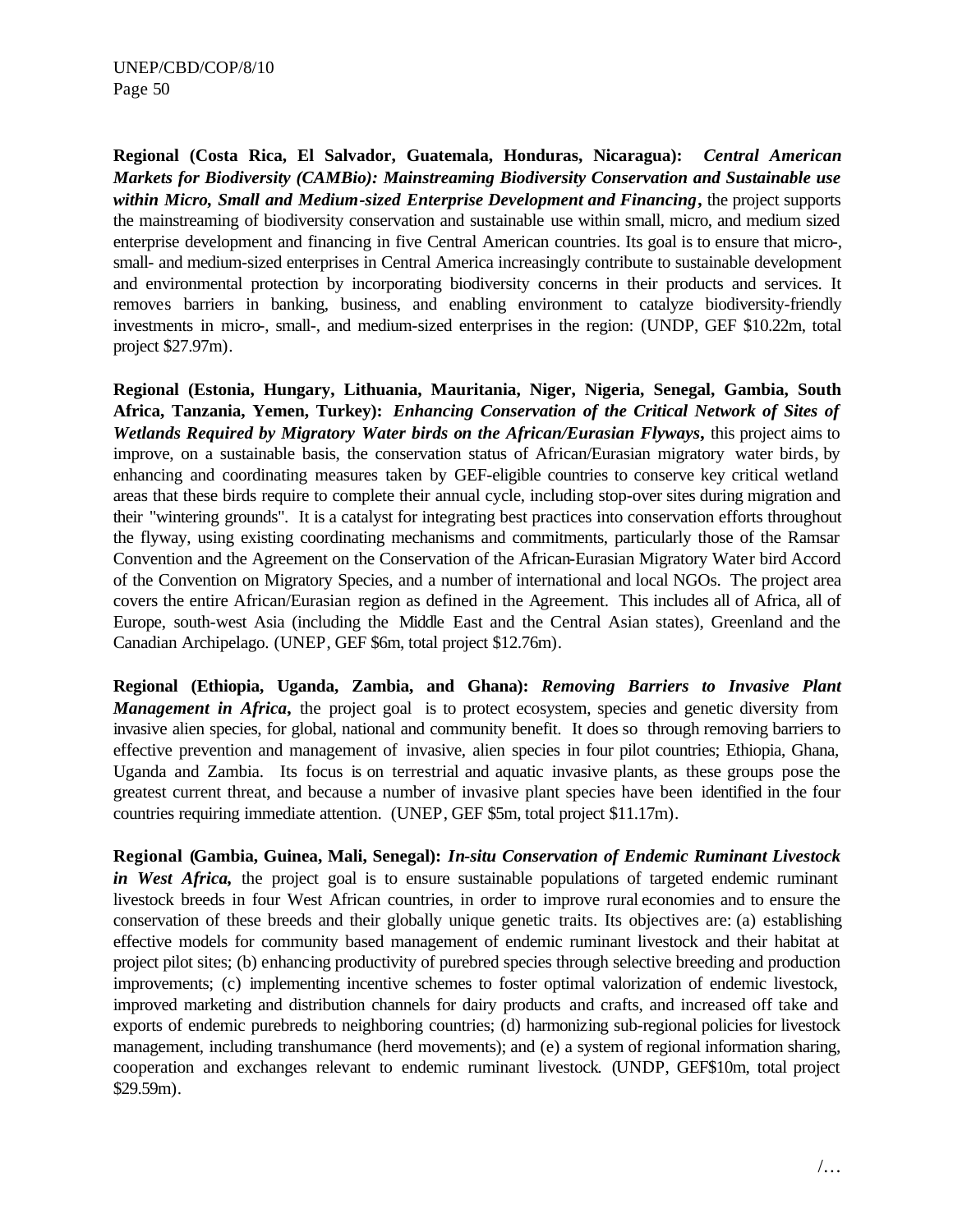**Regional (Costa Rica, El Salvador, Guatemala, Honduras, Nicaragua):** *Central American Markets for Biodiversity (CAMBio): Mainstreaming Biodiversity Conservation and Sustainable use within Micro, Small and Medium-sized Enterprise Development and Financing***,** the project supports the mainstreaming of biodiversity conservation and sustainable use within small, micro, and medium sized enterprise development and financing in five Central American countries. Its goal is to ensure that micro-, small- and medium-sized enterprises in Central America increasingly contribute to sustainable development and environmental protection by incorporating biodiversity concerns in their products and services. It removes barriers in banking, business, and enabling environment to catalyze biodiversity-friendly investments in micro-, small-, and medium-sized enterprises in the region: (UNDP, GEF \$10.22m, total project \$27.97m).

**Regional (Estonia, Hungary, Lithuania, Mauritania, Niger, Nigeria, Senegal, Gambia, South Africa, Tanzania, Yemen, Turkey):** *Enhancing Conservation of the Critical Network of Sites of Wetlands Required by Migratory Water birds on the African/Eurasian Flyways***,** this project aims to improve, on a sustainable basis, the conservation status of African/Eurasian migratory water birds, by enhancing and coordinating measures taken by GEF-eligible countries to conserve key critical wetland areas that these birds require to complete their annual cycle, including stop-over sites during migration and their "wintering grounds". It is a catalyst for integrating best practices into conservation efforts throughout the flyway, using existing coordinating mechanisms and commitments, particularly those of the Ramsar Convention and the Agreement on the Conservation of the African-Eurasian Migratory Water bird Accord of the Convention on Migratory Species, and a number of international and local NGOs. The project area covers the entire African/Eurasian region as defined in the Agreement. This includes all of Africa, all of Europe, south-west Asia (including the Middle East and the Central Asian states), Greenland and the Canadian Archipelago. (UNEP, GEF \$6m, total project \$12.76m).

**Regional (Ethiopia, Uganda, Zambia, and Ghana):** *Removing Barriers to Invasive Plant Management in Africa*, the project goal is to protect ecosystem, species and genetic diversity from invasive alien species, for global, national and community benefit. It does so through removing barriers to effective prevention and management of invasive, alien species in four pilot countries; Ethiopia, Ghana, Uganda and Zambia. Its focus is on terrestrial and aquatic invasive plants, as these groups pose the greatest current threat, and because a number of invasive plant species have been identified in the four countries requiring immediate attention. (UNEP, GEF \$5m, total project \$11.17m).

**Regional (Gambia, Guinea, Mali, Senegal):** *In-situ Conservation of Endemic Ruminant Livestock in West Africa*, the project goal is to ensure sustainable populations of targeted endemic ruminant livestock breeds in four West African countries, in order to improve rural economies and to ensure the conservation of these breeds and their globally unique genetic traits. Its objectives are: (a) establishing effective models for community based management of endemic ruminant livestock and their habitat at project pilot sites; (b) enhancing productivity of purebred species through selective breeding and production improvements; (c) implementing incentive schemes to foster optimal valorization of endemic livestock, improved marketing and distribution channels for dairy products and crafts, and increased off take and exports of endemic purebreds to neighboring countries; (d) harmonizing sub-regional policies for livestock management, including transhumance (herd movements); and (e) a system of regional information sharing, cooperation and exchanges relevant to endemic ruminant livestock. (UNDP, GEF\$10m, total project \$29.59m).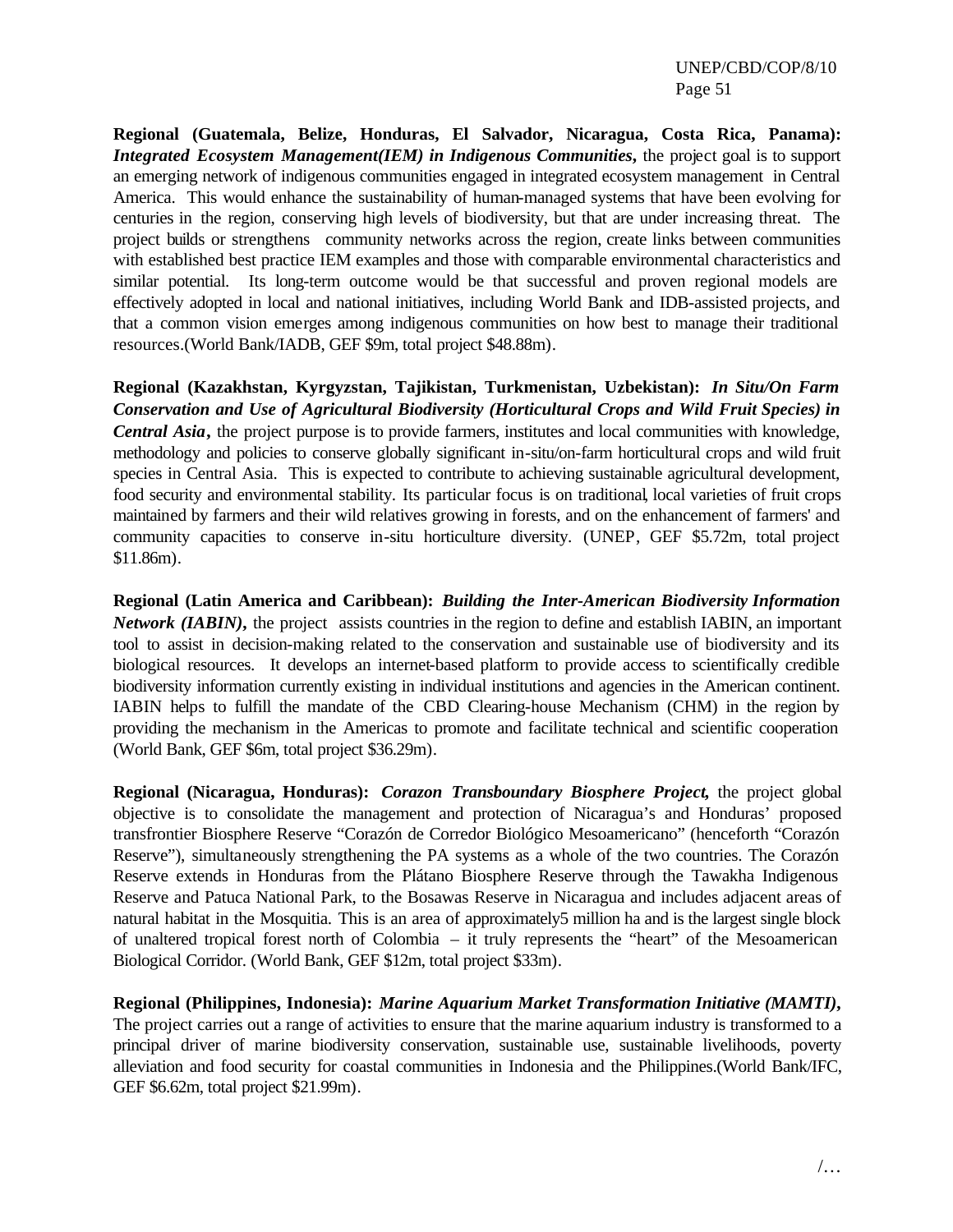**Regional (Guatemala, Belize, Honduras, El Salvador, Nicaragua, Costa Rica, Panama):** *Integrated Ecosystem Management(IEM) in Indigenous Communities***,** the project goal is to support an emerging network of indigenous communities engaged in integrated ecosystem management in Central America. This would enhance the sustainability of human-managed systems that have been evolving for centuries in the region, conserving high levels of biodiversity, but that are under increasing threat. The project builds or strengthens community networks across the region, create links between communities with established best practice IEM examples and those with comparable environmental characteristics and similar potential. Its long-term outcome would be that successful and proven regional models are effectively adopted in local and national initiatives, including World Bank and IDB-assisted projects, and that a common vision emerges among indigenous communities on how best to manage their traditional resources.(World Bank/IADB, GEF \$9m, total project \$48.88m).

**Regional (Kazakhstan, Kyrgyzstan, Tajikistan, Turkmenistan, Uzbekistan):** *In Situ/On Farm Conservation and Use of Agricultural Biodiversity (Horticultural Crops and Wild Fruit Species) in Central Asia*, the project purpose is to provide farmers, institutes and local communities with knowledge, methodology and policies to conserve globally significant in-situ/on-farm horticultural crops and wild fruit species in Central Asia. This is expected to contribute to achieving sustainable agricultural development, food security and environmental stability. Its particular focus is on traditional, local varieties of fruit crops maintained by farmers and their wild relatives growing in forests, and on the enhancement of farmers' and community capacities to conserve in-situ horticulture diversity. (UNEP, GEF \$5.72m, total project \$11.86m).

**Regional (Latin America and Caribbean):** *Building the Inter-American Biodiversity Information Network (IABIN)*, the project assists countries in the region to define and establish IABIN, an important tool to assist in decision-making related to the conservation and sustainable use of biodiversity and its biological resources. It develops an internet-based platform to provide access to scientifically credible biodiversity information currently existing in individual institutions and agencies in the American continent. IABIN helps to fulfill the mandate of the CBD Clearing-house Mechanism (CHM) in the region by providing the mechanism in the Americas to promote and facilitate technical and scientific cooperation (World Bank, GEF \$6m, total project \$36.29m).

**Regional (Nicaragua, Honduras):** *Corazon Transboundary Biosphere Project***,** the project global objective is to consolidate the management and protection of Nicaragua's and Honduras' proposed transfrontier Biosphere Reserve "Corazón de Corredor Biológico Mesoamericano" (henceforth "Corazón Reserve"), simultaneously strengthening the PA systems as a whole of the two countries. The Corazón Reserve extends in Honduras from the Plátano Biosphere Reserve through the Tawakha Indigenous Reserve and Patuca National Park, to the Bosawas Reserve in Nicaragua and includes adjacent areas of natural habitat in the Mosquitia. This is an area of approximately5 million ha and is the largest single block of unaltered tropical forest north of Colombia – it truly represents the "heart" of the Mesoamerican Biological Corridor. (World Bank, GEF \$12m, total project \$33m).

**Regional (Philippines, Indonesia):** *Marine Aquarium Market Transformation Initiative (MAMTI)***,**  The project carries out a range of activities to ensure that the marine aquarium industry is transformed to a principal driver of marine biodiversity conservation, sustainable use, sustainable livelihoods, poverty alleviation and food security for coastal communities in Indonesia and the Philippines.(World Bank/IFC, GEF \$6.62m, total project \$21.99m).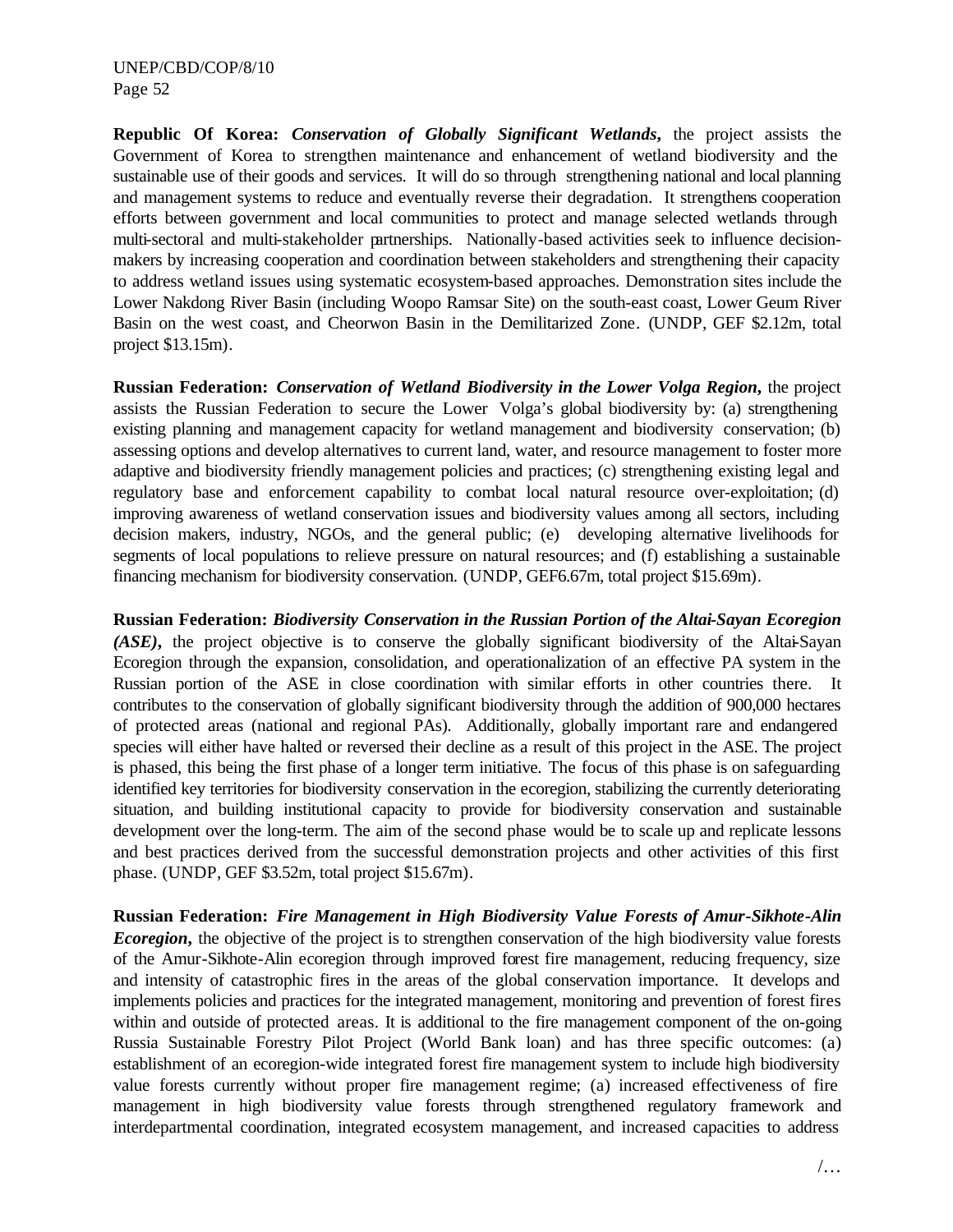**Republic Of Korea:** *Conservation of Globally Significant Wetlands***,** the project assists the Government of Korea to strengthen maintenance and enhancement of wetland biodiversity and the sustainable use of their goods and services. It will do so through strengthening national and local planning and management systems to reduce and eventually reverse their degradation. It strengthens cooperation efforts between government and local communities to protect and manage selected wetlands through multi-sectoral and multi-stakeholder partnerships. Nationally-based activities seek to influence decisionmakers by increasing cooperation and coordination between stakeholders and strengthening their capacity to address wetland issues using systematic ecosystem-based approaches. Demonstration sites include the Lower Nakdong River Basin (including Woopo Ramsar Site) on the south-east coast, Lower Geum River Basin on the west coast, and Cheorwon Basin in the Demilitarized Zone. (UNDP, GEF \$2.12m, total project \$13.15m).

**Russian Federation:** *Conservation of Wetland Biodiversity in the Lower Volga Region***,** the project assists the Russian Federation to secure the Lower Volga's global biodiversity by: (a) strengthening existing planning and management capacity for wetland management and biodiversity conservation; (b) assessing options and develop alternatives to current land, water, and resource management to foster more adaptive and biodiversity friendly management policies and practices; (c) strengthening existing legal and regulatory base and enforcement capability to combat local natural resource over-exploitation; (d) improving awareness of wetland conservation issues and biodiversity values among all sectors, including decision makers, industry, NGOs, and the general public; (e) developing alternative livelihoods for segments of local populations to relieve pressure on natural resources; and (f) establishing a sustainable financing mechanism for biodiversity conservation. (UNDP, GEF6.67m, total project \$15.69m).

**Russian Federation:** *Biodiversity Conservation in the Russian Portion of the Altai-Sayan Ecoregion (ASE)***,** the project objective is to conserve the globally significant biodiversity of the Altai-Sayan Ecoregion through the expansion, consolidation, and operationalization of an effective PA system in the Russian portion of the ASE in close coordination with similar efforts in other countries there. It contributes to the conservation of globally significant biodiversity through the addition of 900,000 hectares of protected areas (national and regional PAs). Additionally, globally important rare and endangered species will either have halted or reversed their decline as a result of this project in the ASE. The project is phased, this being the first phase of a longer term initiative. The focus of this phase is on safeguarding identified key territories for biodiversity conservation in the ecoregion, stabilizing the currently deteriorating situation, and building institutional capacity to provide for biodiversity conservation and sustainable development over the long-term. The aim of the second phase would be to scale up and replicate lessons and best practices derived from the successful demonstration projects and other activities of this first phase. (UNDP, GEF \$3.52m, total project \$15.67m).

**Russian Federation:** *Fire Management in High Biodiversity Value Forests of Amur-Sikhote-Alin Ecoregion*, the objective of the project is to strengthen conservation of the high biodiversity value forests of the Amur-Sikhote-Alin ecoregion through improved forest fire management, reducing frequency, size and intensity of catastrophic fires in the areas of the global conservation importance. It develops and implements policies and practices for the integrated management, monitoring and prevention of forest fires within and outside of protected areas. It is additional to the fire management component of the on-going Russia Sustainable Forestry Pilot Project (World Bank loan) and has three specific outcomes: (a) establishment of an ecoregion-wide integrated forest fire management system to include high biodiversity value forests currently without proper fire management regime; (a) increased effectiveness of fire management in high biodiversity value forests through strengthened regulatory framework and interdepartmental coordination, integrated ecosystem management, and increased capacities to address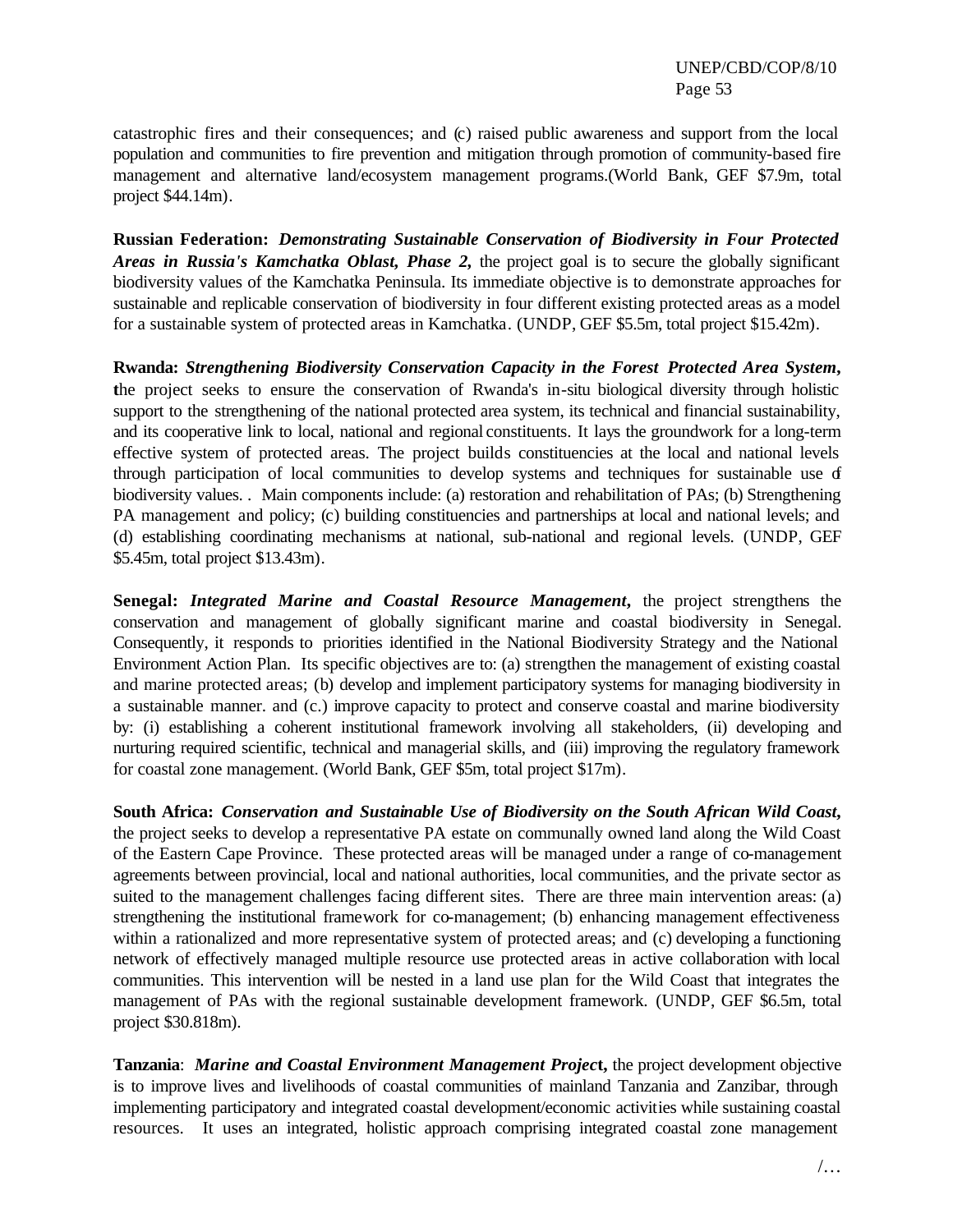catastrophic fires and their consequences; and (c) raised public awareness and support from the local population and communities to fire prevention and mitigation through promotion of community-based fire management and alternative land/ecosystem management programs.(World Bank, GEF \$7.9m, total project \$44.14m).

**Russian Federation:** *Demonstrating Sustainable Conservation of Biodiversity in Four Protected Areas in Russia's Kamchatka Oblast, Phase 2,* the project goal is to secure the globally significant biodiversity values of the Kamchatka Peninsula. Its immediate objective is to demonstrate approaches for sustainable and replicable conservation of biodiversity in four different existing protected areas as a model for a sustainable system of protected areas in Kamchatka. (UNDP, GEF \$5.5m, total project \$15.42m).

**Rwanda:** *Strengthening Biodiversity Conservation Capacity in the Forest Protected Area System***, t**he project seeks to ensure the conservation of Rwanda's in-situ biological diversity through holistic support to the strengthening of the national protected area system, its technical and financial sustainability, and its cooperative link to local, national and regional constituents. It lays the groundwork for a long-term effective system of protected areas. The project builds constituencies at the local and national levels through participation of local communities to develop systems and techniques for sustainable use of biodiversity values. . Main components include: (a) restoration and rehabilitation of PAs; (b) Strengthening PA management and policy; (c) building constituencies and partnerships at local and national levels; and (d) establishing coordinating mechanisms at national, sub-national and regional levels. (UNDP, GEF \$5.45m, total project \$13.43m).

**Senegal:** *Integrated Marine and Coastal Resource Management***,** the project strengthens the conservation and management of globally significant marine and coastal biodiversity in Senegal. Consequently, it responds to priorities identified in the National Biodiversity Strategy and the National Environment Action Plan. Its specific objectives are to: (a) strengthen the management of existing coastal and marine protected areas; (b) develop and implement participatory systems for managing biodiversity in a sustainable manner. and (c.) improve capacity to protect and conserve coastal and marine biodiversity by: (i) establishing a coherent institutional framework involving all stakeholders, (ii) developing and nurturing required scientific, technical and managerial skills, and (iii) improving the regulatory framework for coastal zone management. (World Bank, GEF \$5m, total project \$17m).

**South Africa:** *Conservation and Sustainable Use of Biodiversity on the South African Wild Coast***,**  the project seeks to develop a representative PA estate on communally owned land along the Wild Coast of the Eastern Cape Province. These protected areas will be managed under a range of co-management agreements between provincial, local and national authorities, local communities, and the private sector as suited to the management challenges facing different sites. There are three main intervention areas: (a) strengthening the institutional framework for co-management; (b) enhancing management effectiveness within a rationalized and more representative system of protected areas; and (c) developing a functioning network of effectively managed multiple resource use protected areas in active collaboration with local communities. This intervention will be nested in a land use plan for the Wild Coast that integrates the management of PAs with the regional sustainable development framework. (UNDP, GEF \$6.5m, total project \$30.818m).

**Tanzania**: *Marine and Coastal Environment Management Projec***t,** the project development objective is to improve lives and livelihoods of coastal communities of mainland Tanzania and Zanzibar, through implementing participatory and integrated coastal development/economic activities while sustaining coastal resources. It uses an integrated, holistic approach comprising integrated coastal zone management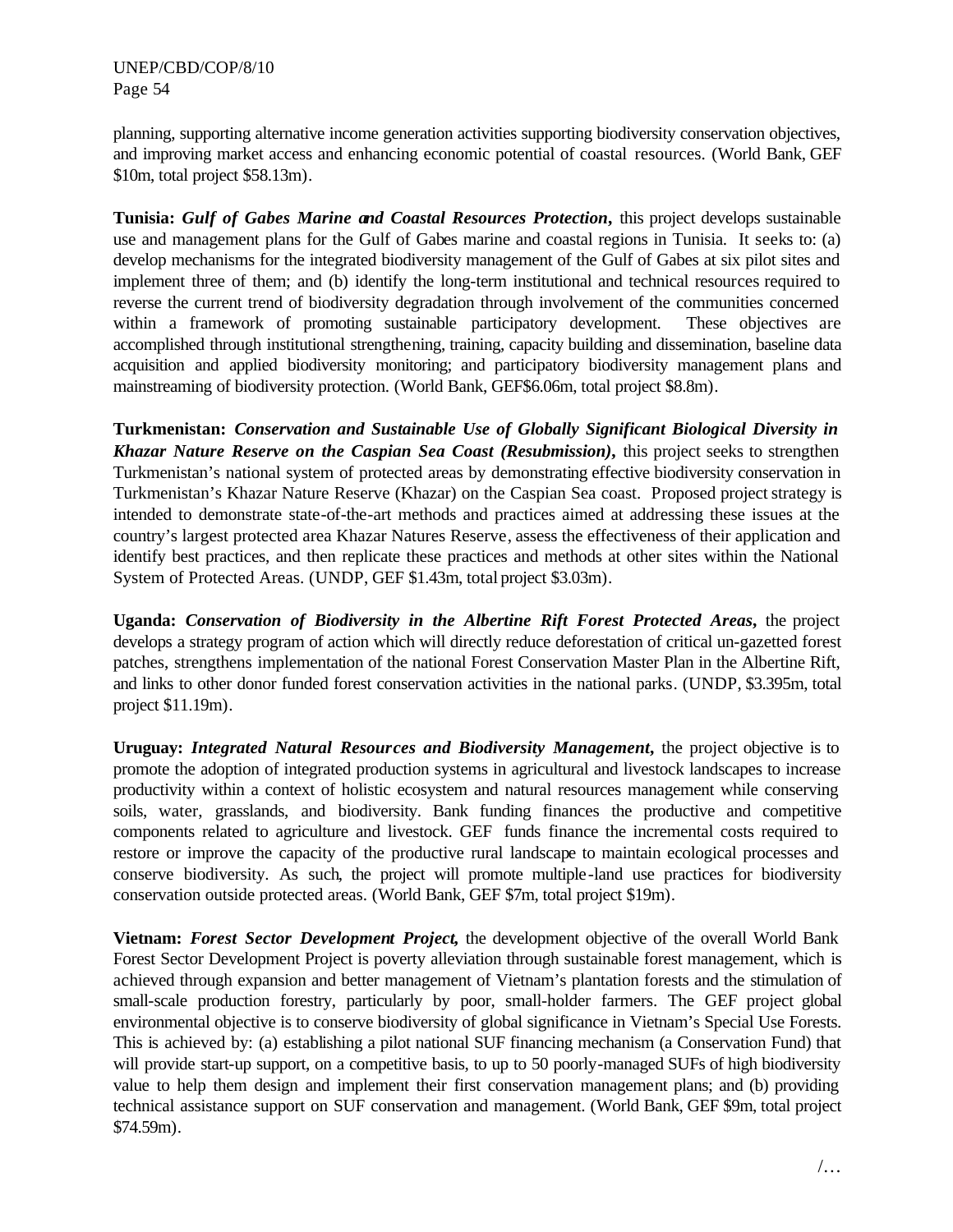planning, supporting alternative income generation activities supporting biodiversity conservation objectives, and improving market access and enhancing economic potential of coastal resources. (World Bank, GEF \$10m, total project \$58.13m).

**Tunisia:** *Gulf of Gabes Marine and Coastal Resources Protection***,** this project develops sustainable use and management plans for the Gulf of Gabes marine and coastal regions in Tunisia. It seeks to: (a) develop mechanisms for the integrated biodiversity management of the Gulf of Gabes at six pilot sites and implement three of them; and (b) identify the long-term institutional and technical resources required to reverse the current trend of biodiversity degradation through involvement of the communities concerned within a framework of promoting sustainable participatory development. These objectives are accomplished through institutional strengthening, training, capacity building and dissemination, baseline data acquisition and applied biodiversity monitoring; and participatory biodiversity management plans and mainstreaming of biodiversity protection. (World Bank, GEF\$6.06m, total project \$8.8m).

**Turkmenistan:** *Conservation and Sustainable Use of Globally Significant Biological Diversity in Khazar Nature Reserve on the Caspian Sea Coast (Resubmission)***,** this project seeks to strengthen Turkmenistan's national system of protected areas by demonstrating effective biodiversity conservation in Turkmenistan's Khazar Nature Reserve (Khazar) on the Caspian Sea coast. Proposed project strategy is intended to demonstrate state-of-the-art methods and practices aimed at addressing these issues at the country's largest protected area Khazar Natures Reserve, assess the effectiveness of their application and identify best practices, and then replicate these practices and methods at other sites within the National System of Protected Areas. (UNDP, GEF \$1.43m, total project \$3.03m).

**Uganda:** *Conservation of Biodiversity in the Albertine Rift Forest Protected Areas***,** the project develops a strategy program of action which will directly reduce deforestation of critical un-gazetted forest patches, strengthens implementation of the national Forest Conservation Master Plan in the Albertine Rift, and links to other donor funded forest conservation activities in the national parks. (UNDP, \$3.395m, total project \$11.19m).

**Uruguay:** *Integrated Natural Resources and Biodiversity Management***,** the project objective is to promote the adoption of integrated production systems in agricultural and livestock landscapes to increase productivity within a context of holistic ecosystem and natural resources management while conserving soils, water, grasslands, and biodiversity. Bank funding finances the productive and competitive components related to agriculture and livestock. GEF funds finance the incremental costs required to restore or improve the capacity of the productive rural landscape to maintain ecological processes and conserve biodiversity. As such, the project will promote multiple-land use practices for biodiversity conservation outside protected areas. (World Bank, GEF \$7m, total project \$19m).

**Vietnam:** *Forest Sector Development Project***,** the development objective of the overall World Bank Forest Sector Development Project is poverty alleviation through sustainable forest management, which is achieved through expansion and better management of Vietnam's plantation forests and the stimulation of small-scale production forestry, particularly by poor, small-holder farmers. The GEF project global environmental objective is to conserve biodiversity of global significance in Vietnam's Special Use Forests. This is achieved by: (a) establishing a pilot national SUF financing mechanism (a Conservation Fund) that will provide start-up support, on a competitive basis, to up to 50 poorly-managed SUFs of high biodiversity value to help them design and implement their first conservation management plans; and (b) providing technical assistance support on SUF conservation and management. (World Bank, GEF \$9m, total project \$74.59m).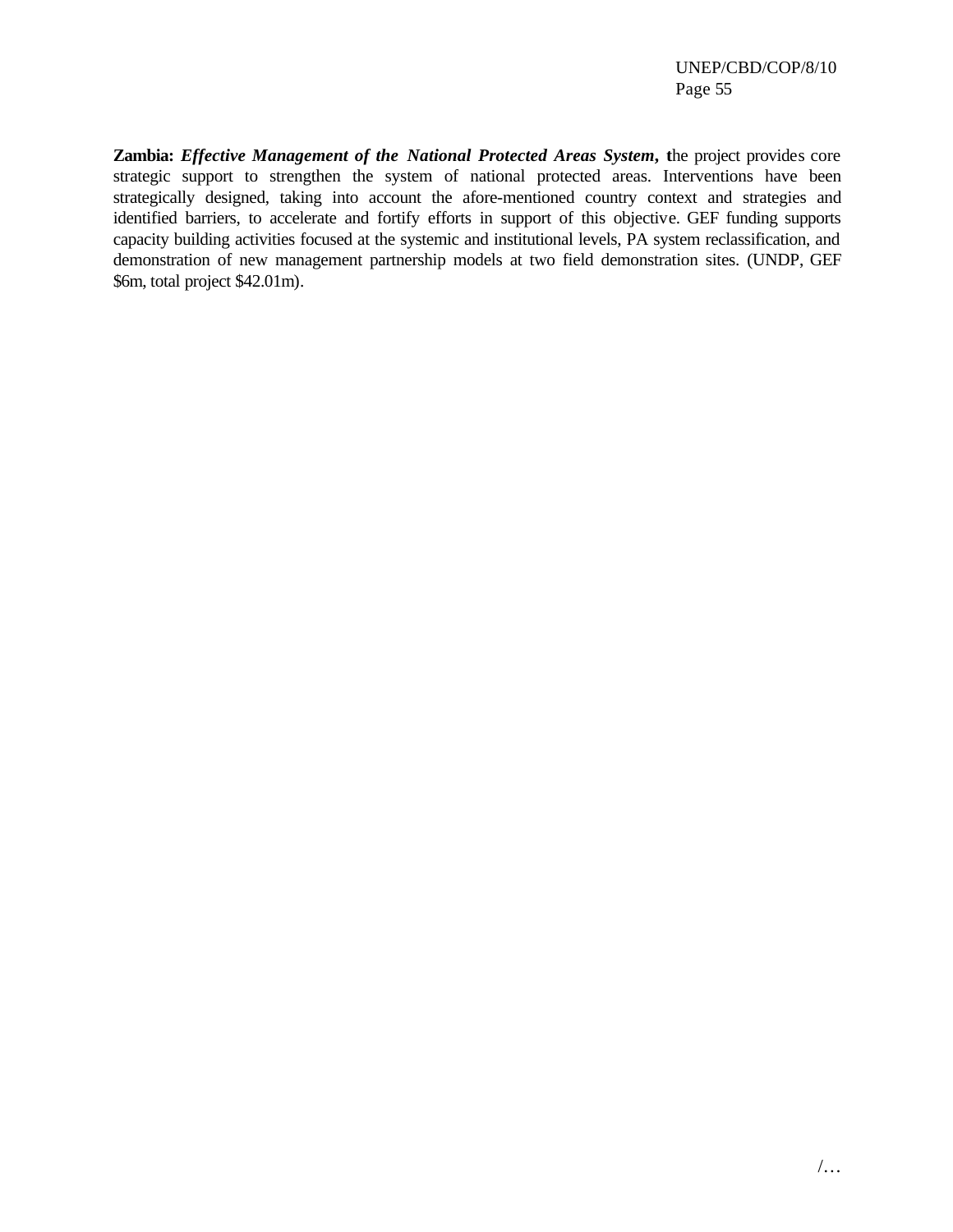**Zambia:** *Effective Management of the National Protected Areas System***, t**he project provides core strategic support to strengthen the system of national protected areas. Interventions have been strategically designed, taking into account the afore-mentioned country context and strategies and identified barriers, to accelerate and fortify efforts in support of this objective. GEF funding supports capacity building activities focused at the systemic and institutional levels, PA system reclassification, and demonstration of new management partnership models at two field demonstration sites. (UNDP, GEF \$6m, total project \$42.01m).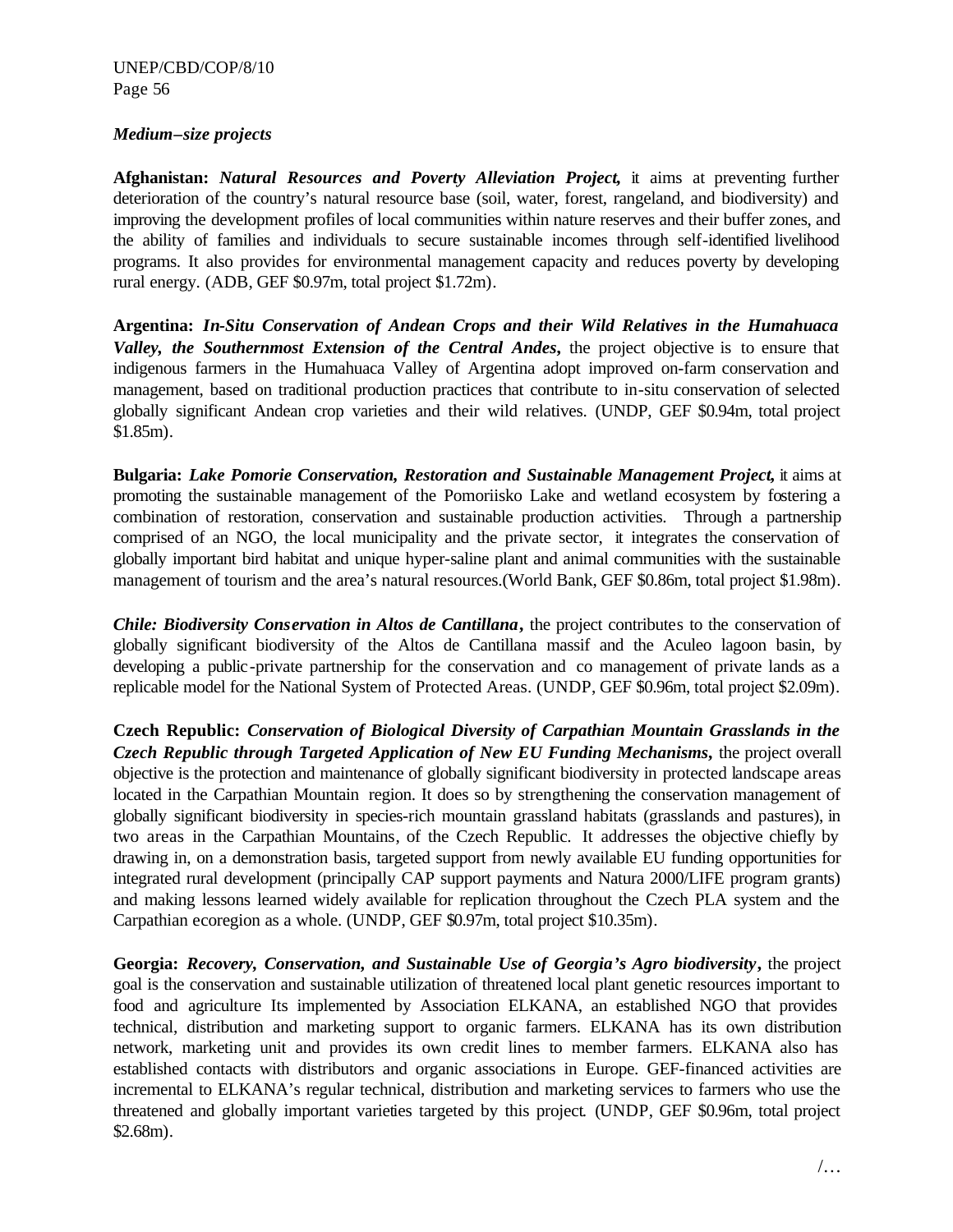#### *Medium–size projects*

**Afghanistan:** *Natural Resources and Poverty Alleviation Project***,** it aims at preventing further deterioration of the country's natural resource base (soil, water, forest, rangeland, and biodiversity) and improving the development profiles of local communities within nature reserves and their buffer zones, and the ability of families and individuals to secure sustainable incomes through self-identified livelihood programs. It also provides for environmental management capacity and reduces poverty by developing rural energy. (ADB, GEF \$0.97m, total project \$1.72m).

**Argentina:** *In-Situ Conservation of Andean Crops and their Wild Relatives in the Humahuaca Valley, the Southernmost Extension of the Central Andes***,** the project objective is to ensure that indigenous farmers in the Humahuaca Valley of Argentina adopt improved on-farm conservation and management, based on traditional production practices that contribute to in-situ conservation of selected globally significant Andean crop varieties and their wild relatives. (UNDP, GEF \$0.94m, total project \$1.85m).

**Bulgaria:** *Lake Pomorie Conservation, Restoration and Sustainable Management Project***,** it aims at promoting the sustainable management of the Pomoriisko Lake and wetland ecosystem by fostering a combination of restoration, conservation and sustainable production activities. Through a partnership comprised of an NGO, the local municipality and the private sector, it integrates the conservation of globally important bird habitat and unique hyper-saline plant and animal communities with the sustainable management of tourism and the area's natural resources.(World Bank, GEF \$0.86m, total project \$1.98m).

*Chile: Biodiversity Conservation in Altos de Cantillana***,** the project contributes to the conservation of globally significant biodiversity of the Altos de Cantillana massif and the Aculeo lagoon basin, by developing a public-private partnership for the conservation and co management of private lands as a replicable model for the National System of Protected Areas. (UNDP, GEF \$0.96m, total project \$2.09m).

**Czech Republic:** *Conservation of Biological Diversity of Carpathian Mountain Grasslands in the Czech Republic through Targeted Application of New EU Funding Mechanisms***,** the project overall objective is the protection and maintenance of globally significant biodiversity in protected landscape areas located in the Carpathian Mountain region. It does so by strengthening the conservation management of globally significant biodiversity in species-rich mountain grassland habitats (grasslands and pastures), in two areas in the Carpathian Mountains, of the Czech Republic. It addresses the objective chiefly by drawing in, on a demonstration basis, targeted support from newly available EU funding opportunities for integrated rural development (principally CAP support payments and Natura 2000/LIFE program grants) and making lessons learned widely available for replication throughout the Czech PLA system and the Carpathian ecoregion as a whole. (UNDP, GEF \$0.97m, total project \$10.35m).

**Georgia:** *Recovery, Conservation, and Sustainable Use of Georgia's Agro biodiversity***,** the project goal is the conservation and sustainable utilization of threatened local plant genetic resources important to food and agriculture Its implemented by Association ELKANA, an established NGO that provides technical, distribution and marketing support to organic farmers. ELKANA has its own distribution network, marketing unit and provides its own credit lines to member farmers. ELKANA also has established contacts with distributors and organic associations in Europe. GEF-financed activities are incremental to ELKANA's regular technical, distribution and marketing services to farmers who use the threatened and globally important varieties targeted by this project. (UNDP, GEF \$0.96m, total project \$2.68m).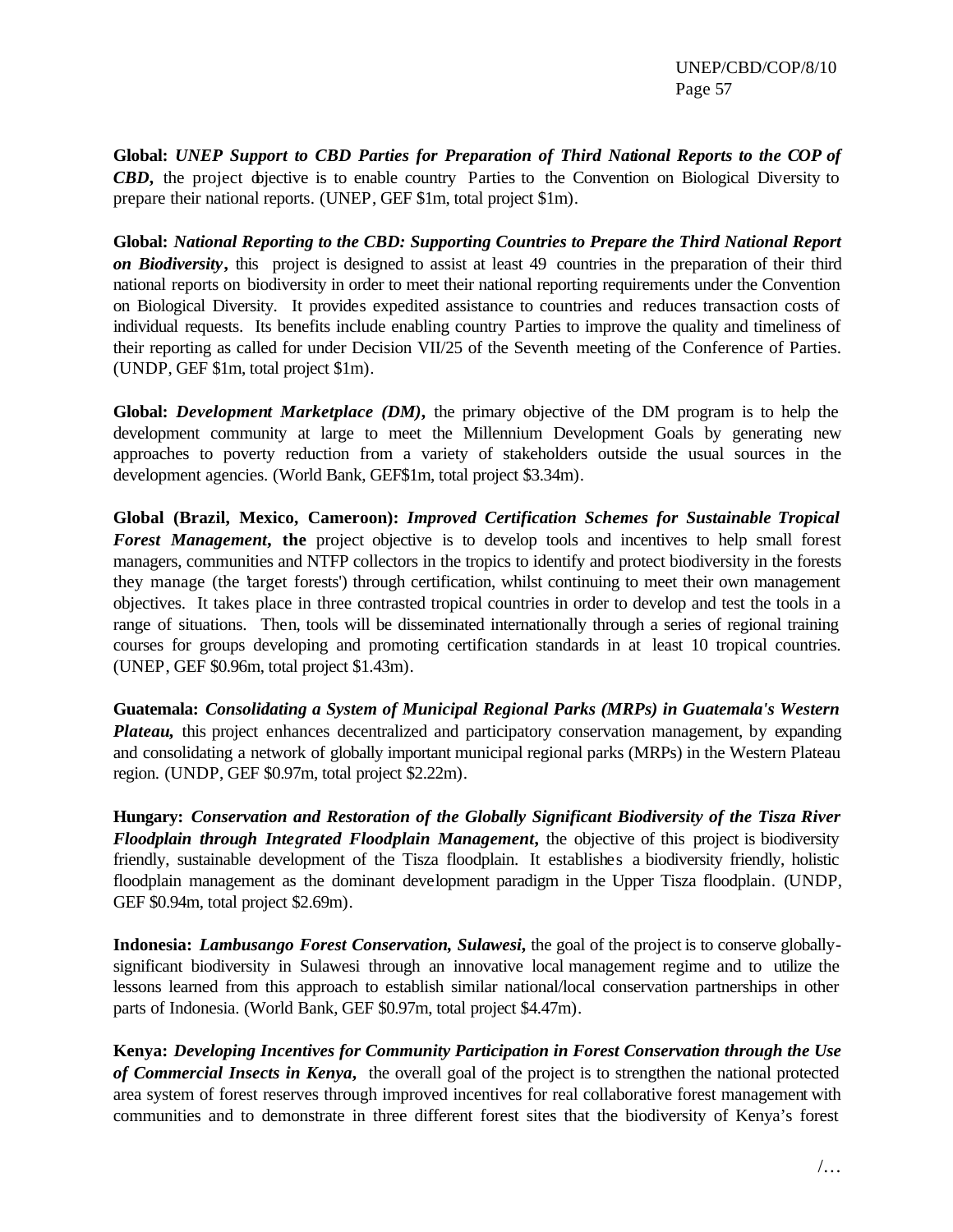**Global:** *UNEP Support to CBD Parties for Preparation of Third National Reports to the COP of CBD***,** the project objective is to enable country Parties to the Convention on Biological Diversity to prepare their national reports. (UNEP, GEF \$1m, total project \$1m).

**Global:** *National Reporting to the CBD: Supporting Countries to Prepare the Third National Report on Biodiversity***,** this project is designed to assist at least 49 countries in the preparation of their third national reports on biodiversity in order to meet their national reporting requirements under the Convention on Biological Diversity. It provides expedited assistance to countries and reduces transaction costs of individual requests. Its benefits include enabling country Parties to improve the quality and timeliness of their reporting as called for under Decision VII/25 of the Seventh meeting of the Conference of Parties. (UNDP, GEF \$1m, total project \$1m).

**Global:** *Development Marketplace (DM)***,** the primary objective of the DM program is to help the development community at large to meet the Millennium Development Goals by generating new approaches to poverty reduction from a variety of stakeholders outside the usual sources in the development agencies. (World Bank, GEF\$1m, total project \$3.34m).

**Global (Brazil, Mexico, Cameroon):** *Improved Certification Schemes for Sustainable Tropical*  **Forest Management, the** project objective is to develop tools and incentives to help small forest managers, communities and NTFP collectors in the tropics to identify and protect biodiversity in the forests they manage (the 'target forests') through certification, whilst continuing to meet their own management objectives. It takes place in three contrasted tropical countries in order to develop and test the tools in a range of situations. Then, tools will be disseminated internationally through a series of regional training courses for groups developing and promoting certification standards in at least 10 tropical countries. (UNEP, GEF \$0.96m, total project \$1.43m).

**Guatemala:** *Consolidating a System of Municipal Regional Parks (MRPs) in Guatemala's Western Plateau*, this project enhances decentralized and participatory conservation management, by expanding and consolidating a network of globally important municipal regional parks (MRPs) in the Western Plateau region. (UNDP, GEF \$0.97m, total project \$2.22m).

**Hungary:** *Conservation and Restoration of the Globally Significant Biodiversity of the Tisza River Floodplain through Integrated Floodplain Management***,** the objective of this project is biodiversity friendly, sustainable development of the Tisza floodplain. It establishes a biodiversity friendly, holistic floodplain management as the dominant development paradigm in the Upper Tisza floodplain. (UNDP, GEF \$0.94m, total project \$2.69m).

**Indonesia:** *Lambusango Forest Conservation, Sulawesi***,** the goal of the project is to conserve globallysignificant biodiversity in Sulawesi through an innovative local management regime and to utilize the lessons learned from this approach to establish similar national/local conservation partnerships in other parts of Indonesia. (World Bank, GEF \$0.97m, total project \$4.47m).

**Kenya:** *Developing Incentives for Community Participation in Forest Conservation through the Use of Commercial Insects in Kenya***,** the overall goal of the project is to strengthen the national protected area system of forest reserves through improved incentives for real collaborative forest management with communities and to demonstrate in three different forest sites that the biodiversity of Kenya's forest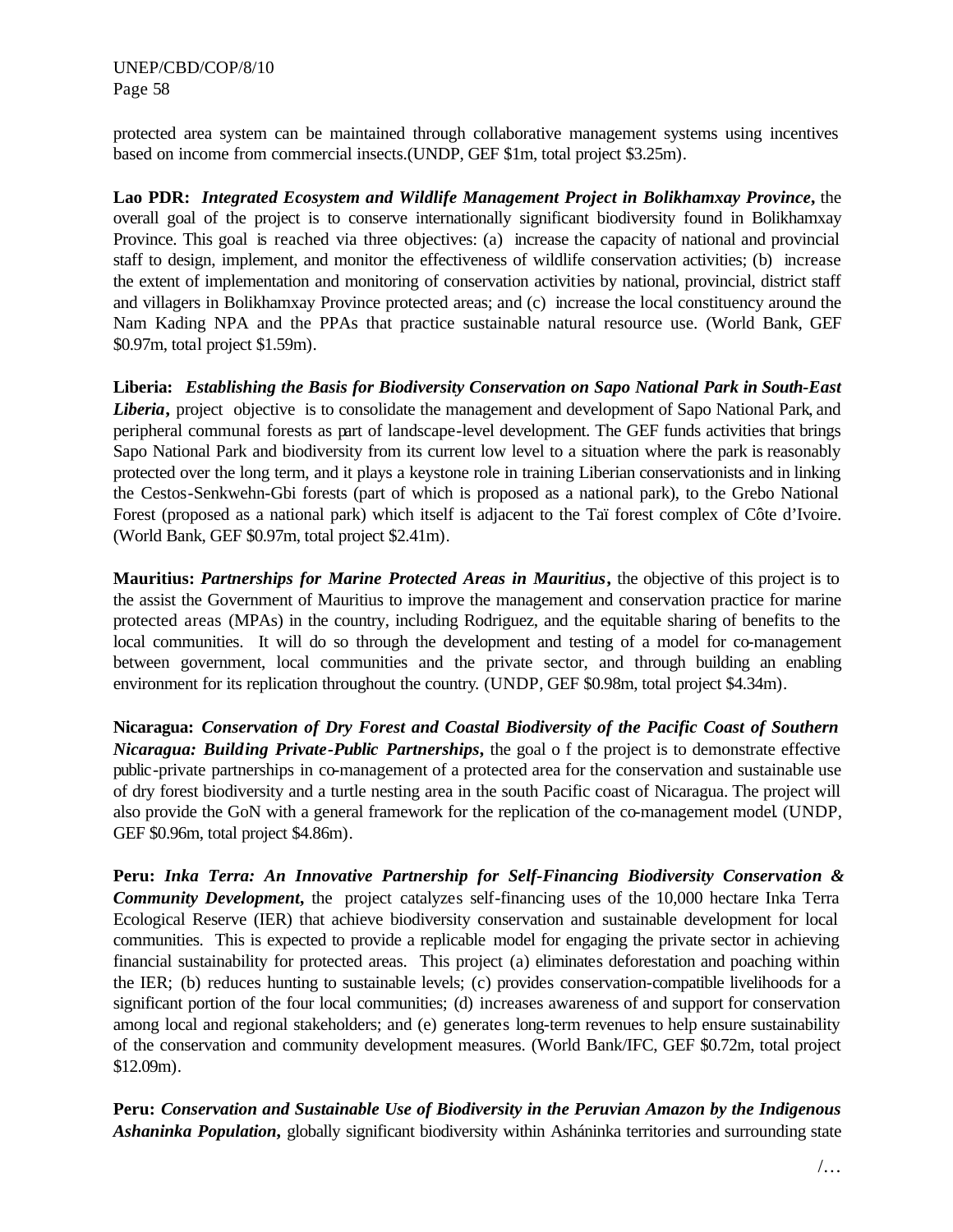protected area system can be maintained through collaborative management systems using incentives based on income from commercial insects.(UNDP, GEF \$1m, total project \$3.25m).

**Lao PDR:** *Integrated Ecosystem and Wildlife Management Project in Bolikhamxay Province***,** the overall goal of the project is to conserve internationally significant biodiversity found in Bolikhamxay Province. This goal is reached via three objectives: (a) increase the capacity of national and provincial staff to design, implement, and monitor the effectiveness of wildlife conservation activities; (b) increase the extent of implementation and monitoring of conservation activities by national, provincial, district staff and villagers in Bolikhamxay Province protected areas; and (c) increase the local constituency around the Nam Kading NPA and the PPAs that practice sustainable natural resource use. (World Bank, GEF \$0.97m, total project \$1.59m).

**Liberia:** *Establishing the Basis for Biodiversity Conservation on Sapo National Park in South-East*  Liberia, project objective is to consolidate the management and development of Sapo National Park, and peripheral communal forests as part of landscape-level development. The GEF funds activities that brings Sapo National Park and biodiversity from its current low level to a situation where the park is reasonably protected over the long term, and it plays a keystone role in training Liberian conservationists and in linking the Cestos-Senkwehn-Gbi forests (part of which is proposed as a national park), to the Grebo National Forest (proposed as a national park) which itself is adjacent to the Taï forest complex of Côte d'Ivoire. (World Bank, GEF \$0.97m, total project \$2.41m).

**Mauritius:** *Partnerships for Marine Protected Areas in Mauritius***,** the objective of this project is to the assist the Government of Mauritius to improve the management and conservation practice for marine protected areas (MPAs) in the country, including Rodriguez, and the equitable sharing of benefits to the local communities. It will do so through the development and testing of a model for co-management between government, local communities and the private sector, and through building an enabling environment for its replication throughout the country. (UNDP, GEF \$0.98m, total project \$4.34m).

**Nicaragua:** *Conservation of Dry Forest and Coastal Biodiversity of the Pacific Coast of Southern Nicaragua: Building Private-Public Partnerships***,** the goal o f the project is to demonstrate effective public-private partnerships in co-management of a protected area for the conservation and sustainable use of dry forest biodiversity and a turtle nesting area in the south Pacific coast of Nicaragua. The project will also provide the GoN with a general framework for the replication of the co-management model. (UNDP, GEF \$0.96m, total project \$4.86m).

**Peru:** *Inka Terra: An Innovative Partnership for Self-Financing Biodiversity Conservation & Community Development*, the project catalyzes self-financing uses of the 10,000 hectare Inka Terra Ecological Reserve (IER) that achieve biodiversity conservation and sustainable development for local communities. This is expected to provide a replicable model for engaging the private sector in achieving financial sustainability for protected areas. This project (a) eliminates deforestation and poaching within the IER; (b) reduces hunting to sustainable levels; (c) provides conservation-compatible livelihoods for a significant portion of the four local communities; (d) increases awareness of and support for conservation among local and regional stakeholders; and (e) generates long-term revenues to help ensure sustainability of the conservation and community development measures. (World Bank/IFC, GEF \$0.72m, total project \$12.09m).

**Peru:** *Conservation and Sustainable Use of Biodiversity in the Peruvian Amazon by the Indigenous Ashaninka Population***,** globally significant biodiversity within Asháninka territories and surrounding state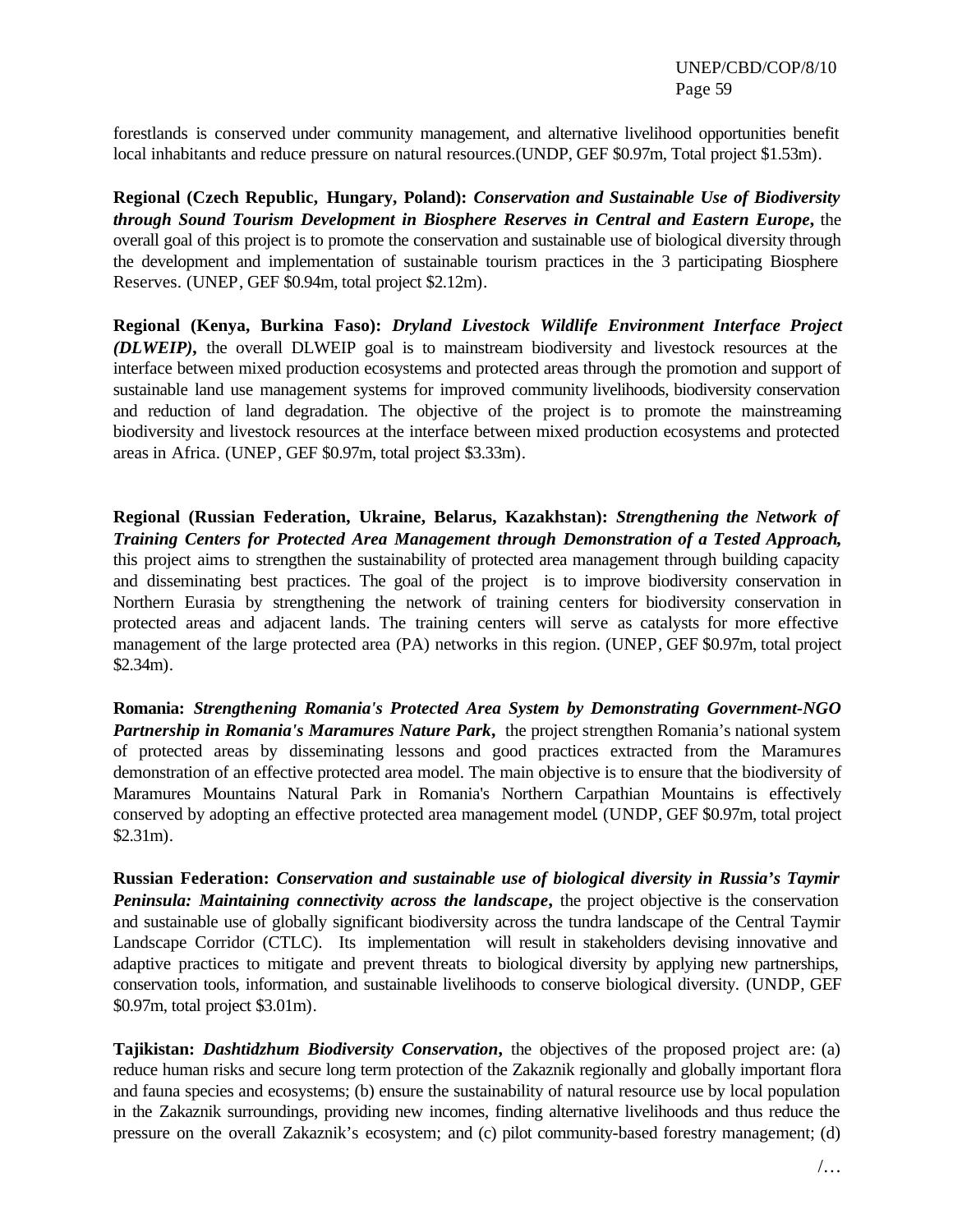forestlands is conserved under community management, and alternative livelihood opportunities benefit local inhabitants and reduce pressure on natural resources.(UNDP, GEF \$0.97m, Total project \$1.53m).

**Regional (Czech Republic, Hungary, Poland):** *Conservation and Sustainable Use of Biodiversity through Sound Tourism Development in Biosphere Reserves in Central and Eastern Europe***,** the overall goal of this project is to promote the conservation and sustainable use of biological diversity through the development and implementation of sustainable tourism practices in the 3 participating Biosphere Reserves. (UNEP, GEF \$0.94m, total project \$2.12m).

**Regional (Kenya, Burkina Faso):** *Dryland Livestock Wildlife Environment Interface Project (DLWEIP)***,** the overall DLWEIP goal is to mainstream biodiversity and livestock resources at the interface between mixed production ecosystems and protected areas through the promotion and support of sustainable land use management systems for improved community livelihoods, biodiversity conservation and reduction of land degradation. The objective of the project is to promote the mainstreaming biodiversity and livestock resources at the interface between mixed production ecosystems and protected areas in Africa. (UNEP, GEF \$0.97m, total project \$3.33m).

**Regional (Russian Federation, Ukraine, Belarus, Kazakhstan):** *Strengthening the Network of Training Centers for Protected Area Management through Demonstration of a Tested Approach***,**  this project aims to strengthen the sustainability of protected area management through building capacity and disseminating best practices. The goal of the project is to improve biodiversity conservation in Northern Eurasia by strengthening the network of training centers for biodiversity conservation in protected areas and adjacent lands. The training centers will serve as catalysts for more effective management of the large protected area (PA) networks in this region. (UNEP, GEF \$0.97m, total project \$2.34m).

**Romania:** *Strengthening Romania's Protected Area System by Demonstrating Government-NGO Partnership in Romania's Maramures Nature Park***,** the project strengthen Romania's national system of protected areas by disseminating lessons and good practices extracted from the Maramures demonstration of an effective protected area model. The main objective is to ensure that the biodiversity of Maramures Mountains Natural Park in Romania's Northern Carpathian Mountains is effectively conserved by adopting an effective protected area management model. (UNDP, GEF \$0.97m, total project \$2.31m).

**Russian Federation:** *Conservation and sustainable use of biological diversity in Russia's Taymir Peninsula: Maintaining connectivity across the landscape***,** the project objective is the conservation and sustainable use of globally significant biodiversity across the tundra landscape of the Central Taymir Landscape Corridor (CTLC). Its implementation will result in stakeholders devising innovative and adaptive practices to mitigate and prevent threats to biological diversity by applying new partnerships, conservation tools, information, and sustainable livelihoods to conserve biological diversity. (UNDP, GEF \$0.97m, total project \$3.01m).

**Tajikistan:** *Dashtidzhum Biodiversity Conservation***,** the objectives of the proposed project are: (a) reduce human risks and secure long term protection of the Zakaznik regionally and globally important flora and fauna species and ecosystems; (b) ensure the sustainability of natural resource use by local population in the Zakaznik surroundings, providing new incomes, finding alternative livelihoods and thus reduce the pressure on the overall Zakaznik's ecosystem; and (c) pilot community-based forestry management; (d)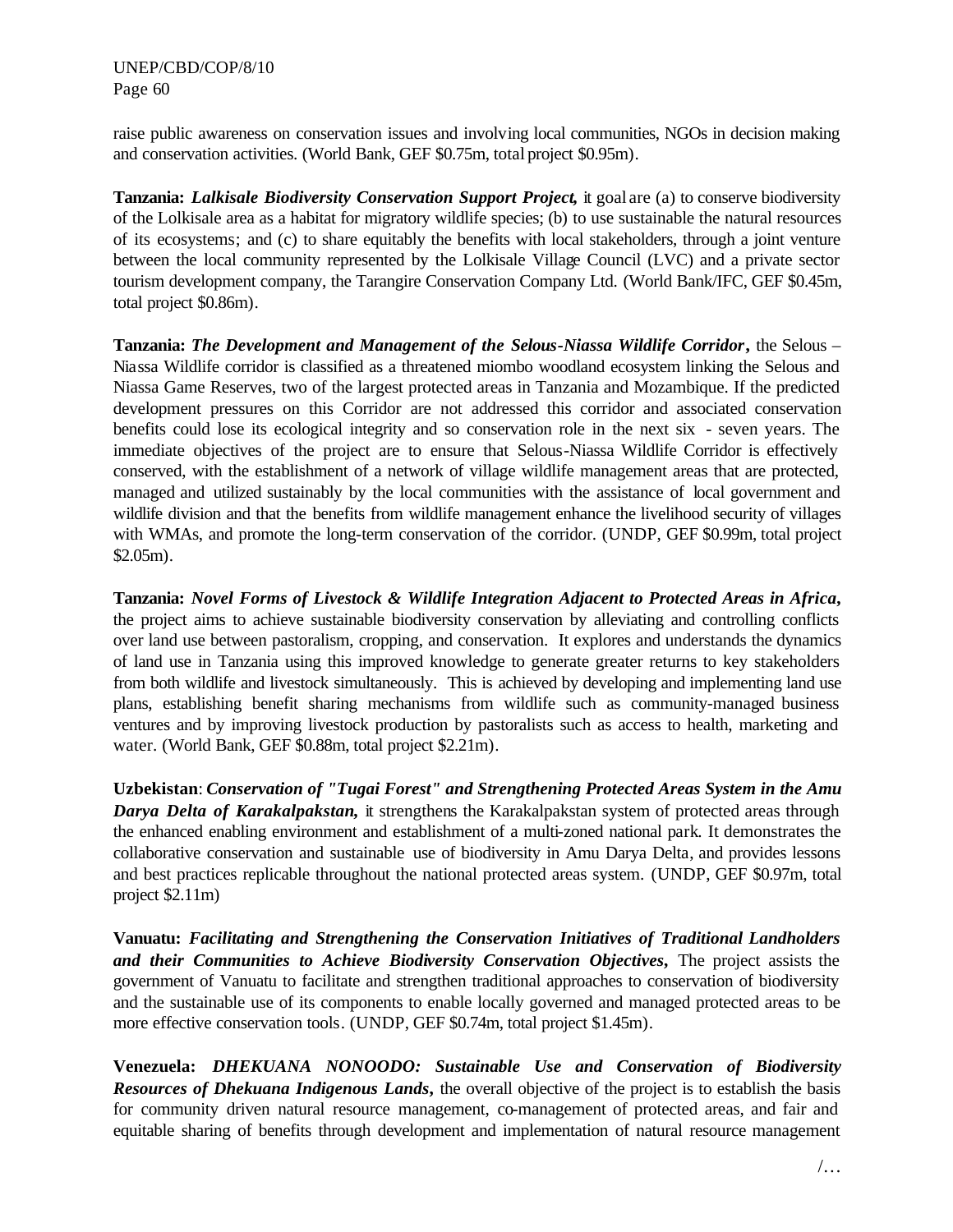raise public awareness on conservation issues and involving local communities, NGOs in decision making and conservation activities. (World Bank, GEF \$0.75m, total project \$0.95m).

**Tanzania:** *Lalkisale Biodiversity Conservation Support Project*, it goal are (a) to conserve biodiversity of the Lolkisale area as a habitat for migratory wildlife species; (b) to use sustainable the natural resources of its ecosystems; and (c) to share equitably the benefits with local stakeholders, through a joint venture between the local community represented by the Lolkisale Village Council (LVC) and a private sector tourism development company, the Tarangire Conservation Company Ltd. (World Bank/IFC, GEF \$0.45m, total project \$0.86m).

**Tanzania:** *The Development and Management of the Selous-Niassa Wildlife Corridor***,** the Selous – Niassa Wildlife corridor is classified as a threatened miombo woodland ecosystem linking the Selous and Niassa Game Reserves, two of the largest protected areas in Tanzania and Mozambique. If the predicted development pressures on this Corridor are not addressed this corridor and associated conservation benefits could lose its ecological integrity and so conservation role in the next six - seven years. The immediate objectives of the project are to ensure that Selous-Niassa Wildlife Corridor is effectively conserved, with the establishment of a network of village wildlife management areas that are protected, managed and utilized sustainably by the local communities with the assistance of local government and wildlife division and that the benefits from wildlife management enhance the livelihood security of villages with WMAs, and promote the long-term conservation of the corridor. (UNDP, GEF \$0.99m, total project \$2.05m).

**Tanzania:** *Novel Forms of Livestock & Wildlife Integration Adjacent to Protected Areas in Africa***,**  the project aims to achieve sustainable biodiversity conservation by alleviating and controlling conflicts over land use between pastoralism, cropping, and conservation. It explores and understands the dynamics of land use in Tanzania using this improved knowledge to generate greater returns to key stakeholders from both wildlife and livestock simultaneously. This is achieved by developing and implementing land use plans, establishing benefit sharing mechanisms from wildlife such as community-managed business ventures and by improving livestock production by pastoralists such as access to health, marketing and water. (World Bank, GEF \$0.88m, total project \$2.21m).

**Uzbekistan**: *Conservation of "Tugai Forest" and Strengthening Protected Areas System in the Amu*  **Darya Delta of Karakalpakstan**, it strengthens the Karakalpakstan system of protected areas through the enhanced enabling environment and establishment of a multi-zoned national park. It demonstrates the collaborative conservation and sustainable use of biodiversity in Amu Darya Delta, and provides lessons and best practices replicable throughout the national protected areas system. (UNDP, GEF \$0.97m, total project \$2.11m)

**Vanuatu:** *Facilitating and Strengthening the Conservation Initiatives of Traditional Landholders and their Communities to Achieve Biodiversity Conservation Objectives***,** The project assists the government of Vanuatu to facilitate and strengthen traditional approaches to conservation of biodiversity and the sustainable use of its components to enable locally governed and managed protected areas to be more effective conservation tools. (UNDP, GEF \$0.74m, total project \$1.45m).

**Venezuela:** *DHEKUANA NONOODO: Sustainable Use and Conservation of Biodiversity Resources of Dhekuana Indigenous Lands***,** the overall objective of the project is to establish the basis for community driven natural resource management, co-management of protected areas, and fair and equitable sharing of benefits through development and implementation of natural resource management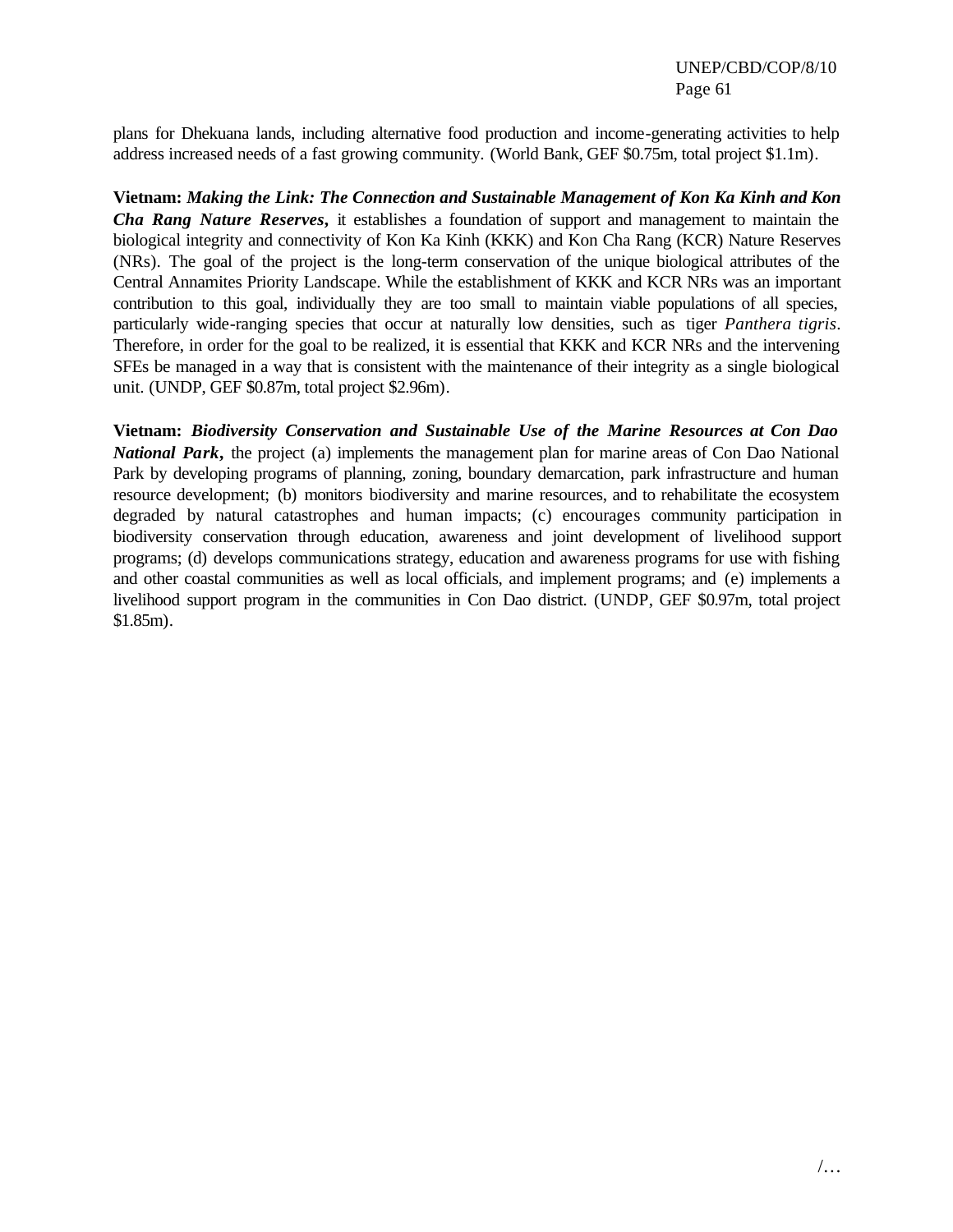plans for Dhekuana lands, including alternative food production and income-generating activities to help address increased needs of a fast growing community. (World Bank, GEF \$0.75m, total project \$1.1m).

**Vietnam:** *Making the Link: The Connection and Sustainable Management of Kon Ka Kinh and Kon Cha Rang Nature Reserves***,** it establishes a foundation of support and management to maintain the biological integrity and connectivity of Kon Ka Kinh (KKK) and Kon Cha Rang (KCR) Nature Reserves (NRs). The goal of the project is the long-term conservation of the unique biological attributes of the Central Annamites Priority Landscape. While the establishment of KKK and KCR NRs was an important contribution to this goal, individually they are too small to maintain viable populations of all species, particularly wide-ranging species that occur at naturally low densities, such as tiger *Panthera tigris*. Therefore, in order for the goal to be realized, it is essential that KKK and KCR NRs and the intervening SFEs be managed in a way that is consistent with the maintenance of their integrity as a single biological unit. (UNDP, GEF \$0.87m, total project \$2.96m).

**Vietnam:** *Biodiversity Conservation and Sustainable Use of the Marine Resources at Con Dao National Park***,** the project (a) implements the management plan for marine areas of Con Dao National Park by developing programs of planning, zoning, boundary demarcation, park infrastructure and human resource development; (b) monitors biodiversity and marine resources, and to rehabilitate the ecosystem degraded by natural catastrophes and human impacts; (c) encourages community participation in biodiversity conservation through education, awareness and joint development of livelihood support programs; (d) develops communications strategy, education and awareness programs for use with fishing and other coastal communities as well as local officials, and implement programs; and (e) implements a livelihood support program in the communities in Con Dao district. (UNDP, GEF \$0.97m, total project \$1.85m).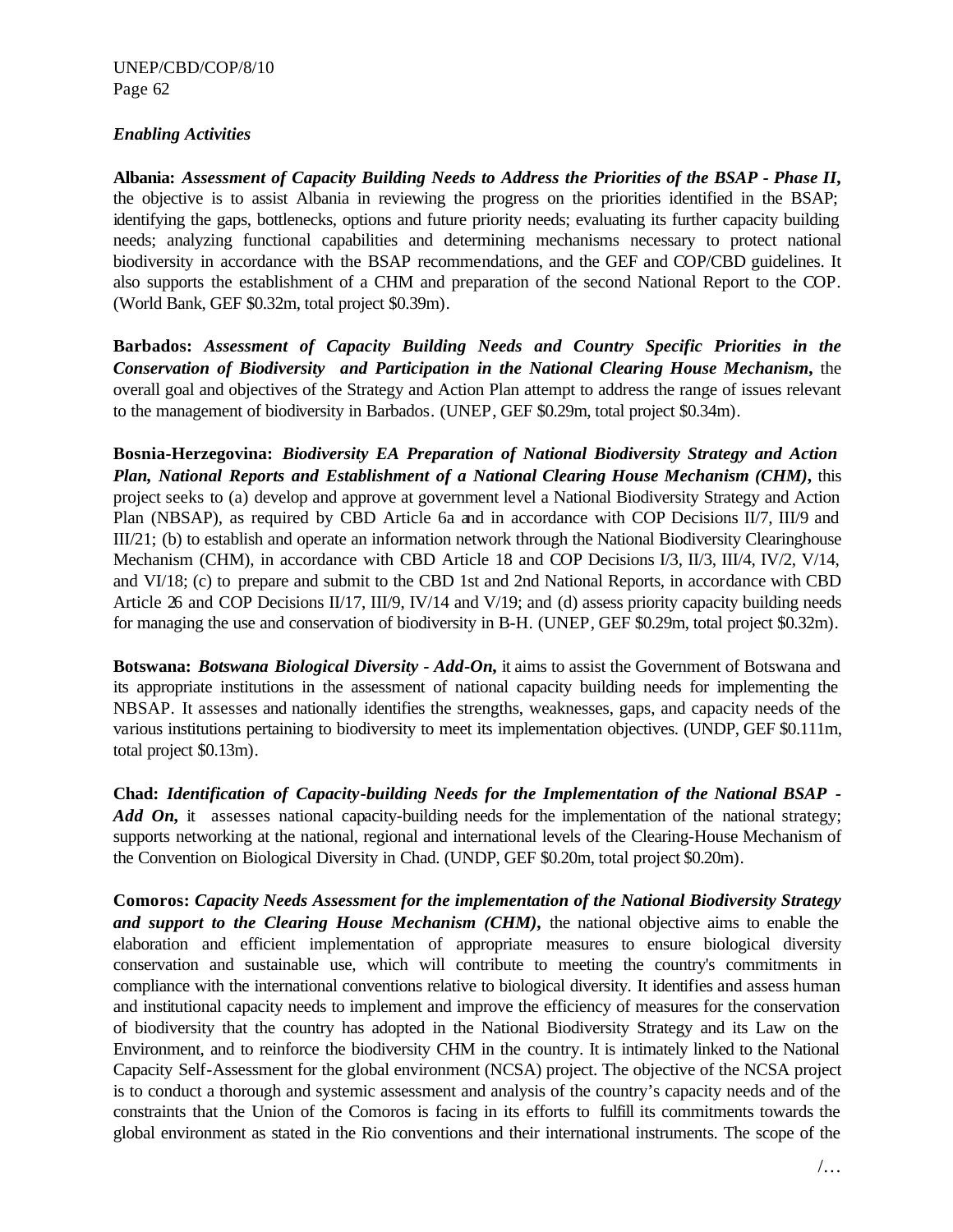#### *Enabling Activities*

**Albania:** *Assessment of Capacity Building Needs to Address the Priorities of the BSAP - Phase II***,**  the objective is to assist Albania in reviewing the progress on the priorities identified in the BSAP; identifying the gaps, bottlenecks, options and future priority needs; evaluating its further capacity building needs; analyzing functional capabilities and determining mechanisms necessary to protect national biodiversity in accordance with the BSAP recommendations, and the GEF and COP/CBD guidelines. It also supports the establishment of a CHM and preparation of the second National Report to the COP. (World Bank, GEF \$0.32m, total project \$0.39m).

**Barbados:** *Assessment of Capacity Building Needs and Country Specific Priorities in the Conservation of Biodiversity and Participation in the National Clearing House Mechanism***,** the overall goal and objectives of the Strategy and Action Plan attempt to address the range of issues relevant to the management of biodiversity in Barbados. (UNEP, GEF \$0.29m, total project \$0.34m).

**Bosnia-Herzegovina:** *Biodiversity EA Preparation of National Biodiversity Strategy and Action Plan, National Reports and Establishment of a National Clearing House Mechanism (CHM)***,** this project seeks to (a) develop and approve at government level a National Biodiversity Strategy and Action Plan (NBSAP), as required by CBD Article 6a and in accordance with COP Decisions II/7, III/9 and III/21; (b) to establish and operate an information network through the National Biodiversity Clearinghouse Mechanism (CHM), in accordance with CBD Article 18 and COP Decisions I/3, II/3, III/4, IV/2, V/14, and VI/18; (c) to prepare and submit to the CBD 1st and 2nd National Reports, in accordance with CBD Article 26 and COP Decisions II/17, III/9, IV/14 and V/19; and (d) assess priority capacity building needs for managing the use and conservation of biodiversity in B-H. (UNEP, GEF \$0.29m, total project \$0.32m).

**Botswana:** *Botswana Biological Diversity - Add-On***,** it aims to assist the Government of Botswana and its appropriate institutions in the assessment of national capacity building needs for implementing the NBSAP. It assesses and nationally identifies the strengths, weaknesses, gaps, and capacity needs of the various institutions pertaining to biodiversity to meet its implementation objectives. (UNDP, GEF \$0.111m, total project \$0.13m).

**Chad:** *Identification of Capacity-building Needs for the Implementation of the National BSAP -* Add On, it assesses national capacity-building needs for the implementation of the national strategy; supports networking at the national, regional and international levels of the Clearing-House Mechanism of the Convention on Biological Diversity in Chad. (UNDP, GEF \$0.20m, total project \$0.20m).

**Comoros:** *Capacity Needs Assessment for the implementation of the National Biodiversity Strategy and support to the Clearing House Mechanism (CHM)***,** the national objective aims to enable the elaboration and efficient implementation of appropriate measures to ensure biological diversity conservation and sustainable use, which will contribute to meeting the country's commitments in compliance with the international conventions relative to biological diversity. It identifies and assess human and institutional capacity needs to implement and improve the efficiency of measures for the conservation of biodiversity that the country has adopted in the National Biodiversity Strategy and its Law on the Environment, and to reinforce the biodiversity CHM in the country. It is intimately linked to the National Capacity Self-Assessment for the global environment (NCSA) project. The objective of the NCSA project is to conduct a thorough and systemic assessment and analysis of the country's capacity needs and of the constraints that the Union of the Comoros is facing in its efforts to fulfill its commitments towards the global environment as stated in the Rio conventions and their international instruments. The scope of the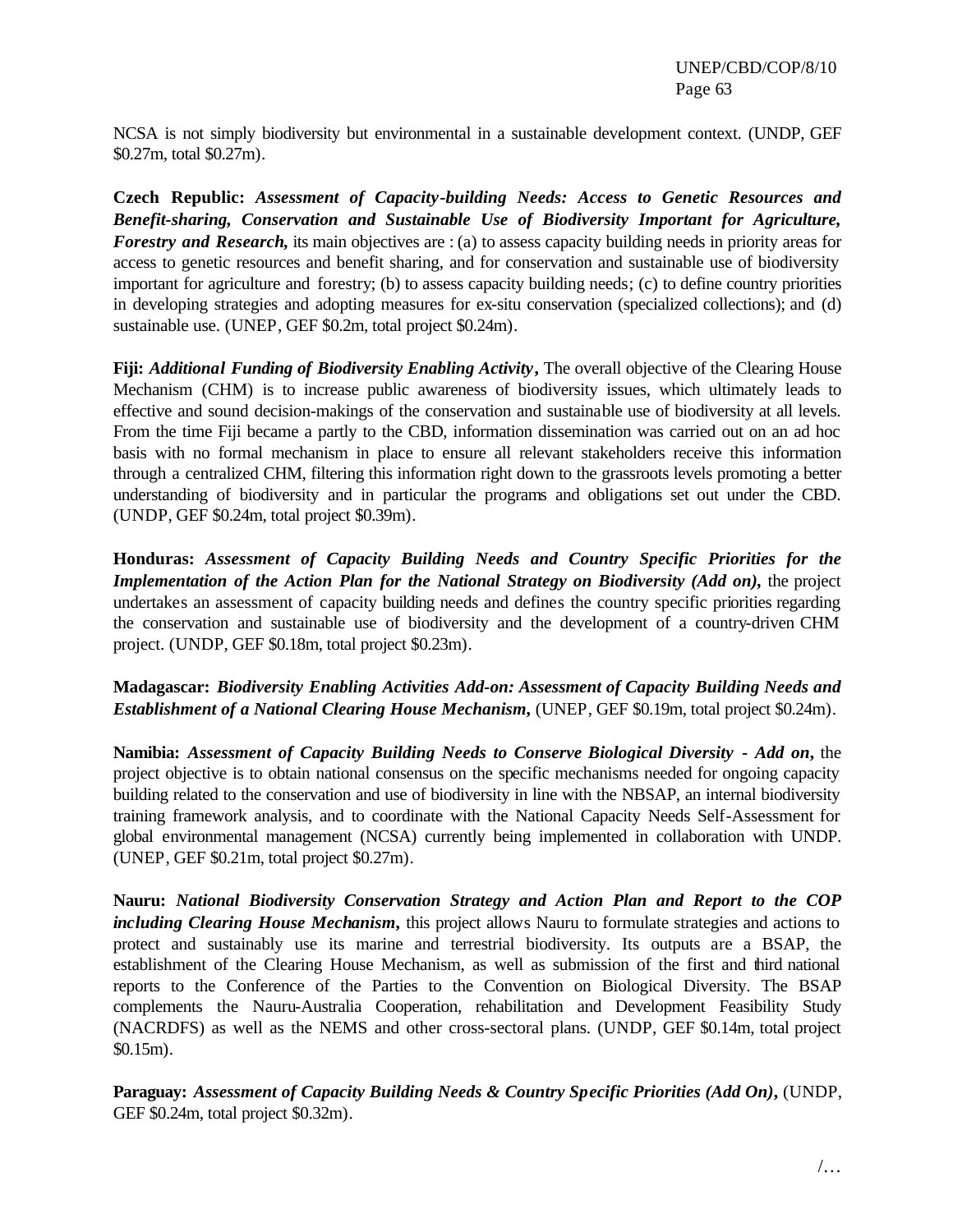NCSA is not simply biodiversity but environmental in a sustainable development context. (UNDP, GEF \$0.27m, total \$0.27m).

**Czech Republic:** *Assessment of Capacity-building Needs: Access to Genetic Resources and Benefit-sharing, Conservation and Sustainable Use of Biodiversity Important for Agriculture, Forestry and Research*, its main objectives are : (a) to assess capacity building needs in priority areas for access to genetic resources and benefit sharing, and for conservation and sustainable use of biodiversity important for agriculture and forestry; (b) to assess capacity building needs; (c) to define country priorities in developing strategies and adopting measures for ex-situ conservation (specialized collections); and (d) sustainable use. (UNEP, GEF \$0.2m, total project \$0.24m).

**Fiji:** *Additional Funding of Biodiversity Enabling Activity***,** The overall objective of the Clearing House Mechanism (CHM) is to increase public awareness of biodiversity issues, which ultimately leads to effective and sound decision-makings of the conservation and sustainable use of biodiversity at all levels. From the time Fiji became a partly to the CBD, information dissemination was carried out on an ad hoc basis with no formal mechanism in place to ensure all relevant stakeholders receive this information through a centralized CHM, filtering this information right down to the grassroots levels promoting a better understanding of biodiversity and in particular the programs and obligations set out under the CBD. (UNDP, GEF \$0.24m, total project \$0.39m).

**Honduras:** *Assessment of Capacity Building Needs and Country Specific Priorities for the Implementation of the Action Plan for the National Strategy on Biodiversity (Add on),* the project undertakes an assessment of capacity building needs and defines the country specific priorities regarding the conservation and sustainable use of biodiversity and the development of a country-driven CHM project. (UNDP, GEF \$0.18m, total project \$0.23m).

**Madagascar:** *Biodiversity Enabling Activities Add-on: Assessment of Capacity Building Needs and Establishment of a National Clearing House Mechanism*, (UNEP, GEF \$0.19m, total project \$0.24m).

**Namibia:** *Assessment of Capacity Building Needs to Conserve Biological Diversity - Add on***,** the project objective is to obtain national consensus on the specific mechanisms needed for ongoing capacity building related to the conservation and use of biodiversity in line with the NBSAP, an internal biodiversity training framework analysis, and to coordinate with the National Capacity Needs Self-Assessment for global environmental management (NCSA) currently being implemented in collaboration with UNDP. (UNEP, GEF \$0.21m, total project \$0.27m).

**Nauru:** *National Biodiversity Conservation Strategy and Action Plan and Report to the COP including Clearing House Mechanism***,** this project allows Nauru to formulate strategies and actions to protect and sustainably use its marine and terrestrial biodiversity. Its outputs are a BSAP, the establishment of the Clearing House Mechanism, as well as submission of the first and third national reports to the Conference of the Parties to the Convention on Biological Diversity. The BSAP complements the Nauru-Australia Cooperation, rehabilitation and Development Feasibility Study (NACRDFS) as well as the NEMS and other cross-sectoral plans. (UNDP, GEF \$0.14m, total project \$0.15m).

**Paraguay:** *Assessment of Capacity Building Needs & Country Specific Priorities (Add On)***,** (UNDP, GEF \$0.24m, total project \$0.32m).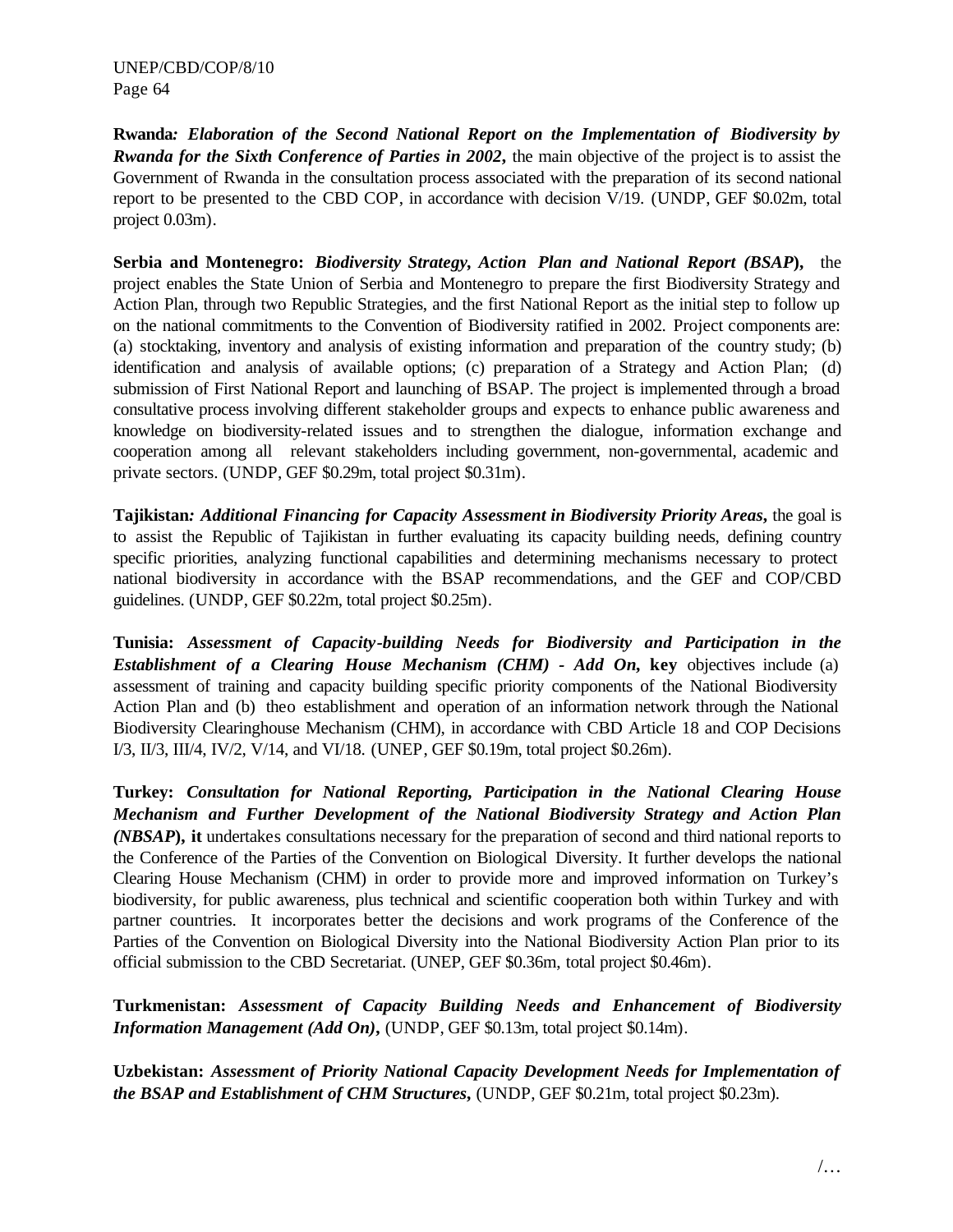**Rwanda***: Elaboration of the Second National Report on the Implementation of Biodiversity by Rwanda for the Sixth Conference of Parties in 2002***,** the main objective of the project is to assist the Government of Rwanda in the consultation process associated with the preparation of its second national report to be presented to the CBD COP, in accordance with decision V/19. (UNDP, GEF \$0.02m, total project 0.03m).

**Serbia and Montenegro:** *Biodiversity Strategy, Action Plan and National Report (BSAP***),** the project enables the State Union of Serbia and Montenegro to prepare the first Biodiversity Strategy and Action Plan, through two Republic Strategies, and the first National Report as the initial step to follow up on the national commitments to the Convention of Biodiversity ratified in 2002. Project components are: (a) stocktaking, inventory and analysis of existing information and preparation of the country study; (b) identification and analysis of available options; (c) preparation of a Strategy and Action Plan; (d) submission of First National Report and launching of BSAP. The project is implemented through a broad consultative process involving different stakeholder groups and expects to enhance public awareness and knowledge on biodiversity-related issues and to strengthen the dialogue, information exchange and cooperation among all relevant stakeholders including government, non-governmental, academic and private sectors. (UNDP, GEF \$0.29m, total project \$0.31m).

**Tajikistan***: Additional Financing for Capacity Assessment in Biodiversity Priority Areas***,** the goal is to assist the Republic of Tajikistan in further evaluating its capacity building needs, defining country specific priorities, analyzing functional capabilities and determining mechanisms necessary to protect national biodiversity in accordance with the BSAP recommendations, and the GEF and COP/CBD guidelines. (UNDP, GEF \$0.22m, total project \$0.25m).

**Tunisia:** *Assessment of Capacity-building Needs for Biodiversity and Participation in the Establishment of a Clearing House Mechanism (CHM) - Add On***, key** objectives include (a) assessment of training and capacity building specific priority components of the National Biodiversity Action Plan and (b) theo establishment and operation of an information network through the National Biodiversity Clearinghouse Mechanism (CHM), in accordance with CBD Article 18 and COP Decisions I/3, II/3, III/4, IV/2, V/14, and VI/18. (UNEP, GEF \$0.19m, total project \$0.26m).

**Turkey:** *Consultation for National Reporting, Participation in the National Clearing House Mechanism and Further Development of the National Biodiversity Strategy and Action Plan (NBSAP***), it** undertakes consultations necessary for the preparation of second and third national reports to the Conference of the Parties of the Convention on Biological Diversity. It further develops the national Clearing House Mechanism (CHM) in order to provide more and improved information on Turkey's biodiversity, for public awareness, plus technical and scientific cooperation both within Turkey and with partner countries. It incorporates better the decisions and work programs of the Conference of the Parties of the Convention on Biological Diversity into the National Biodiversity Action Plan prior to its official submission to the CBD Secretariat. (UNEP, GEF \$0.36m, total project \$0.46m).

**Turkmenistan:** *Assessment of Capacity Building Needs and Enhancement of Biodiversity Information Management (Add On)*, (UNDP, GEF \$0.13m, total project \$0.14m).

**Uzbekistan:** *Assessment of Priority National Capacity Development Needs for Implementation of the BSAP and Establishment of CHM Structures***,** (UNDP, GEF \$0.21m, total project \$0.23m).